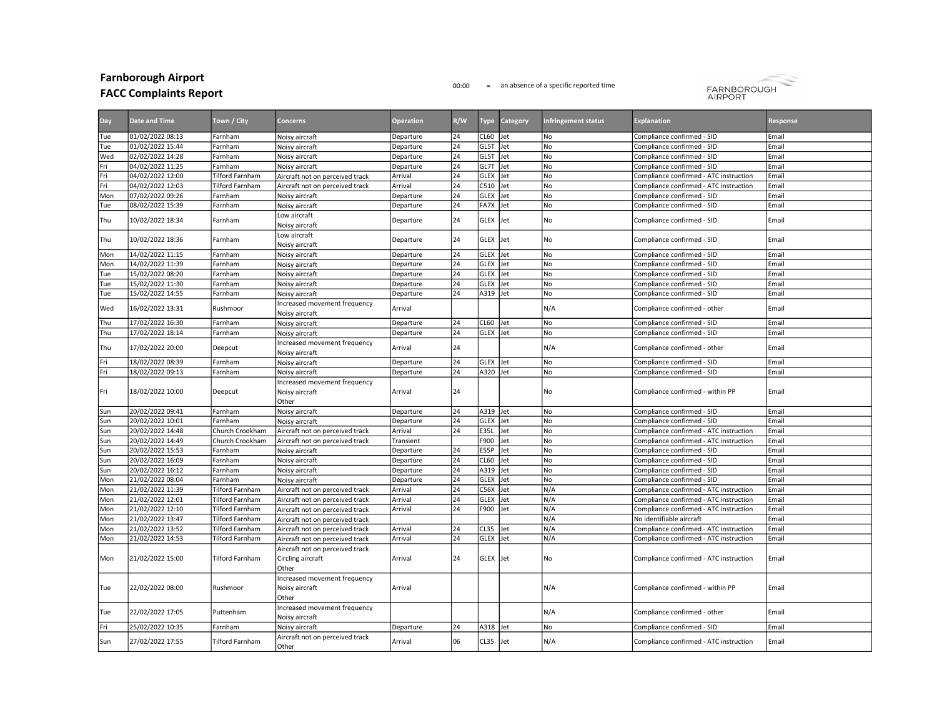## Farnborough Airport

## FACC Complaints Report

## 00:00 = an absence of a specific reported time



| Day | <b>Date and Time</b> | Town / City            | <b>Concerns</b>                                               | <b>Operation</b> | R/W             | Type        | Category | Infringement status | <b>Explanation</b>                     | Response |
|-----|----------------------|------------------------|---------------------------------------------------------------|------------------|-----------------|-------------|----------|---------------------|----------------------------------------|----------|
| Tue | 01/02/2022 08:13     | Farnham                | Noisy aircraft                                                | Departure        | 24              | <b>CL60</b> | Jet      | No                  | Compliance confirmed - SID             | Email    |
| Tue | 01/02/2022 15:44     | Farnham                | Noisy aircraft                                                | Departure        | 24              | GL5T        | Jet      | No                  | Compliance confirmed - SID             | Email    |
| Wed | 02/02/2022 14:28     | Farnham                | Noisy aircraft                                                | Departure        | 24              | GL5T        | Jet      | N <sub>o</sub>      | Compliance confirmed - SID             | Email    |
| Fri | 04/02/2022 11:25     | Farnham                | Noisy aircraft                                                | Departure        | 24              | GL7T        | Jet      | No                  | Compliance confirmed - SID             | Email    |
| Fri | 04/02/2022 12:00     | <b>Tilford Farnham</b> | Aircraft not on perceived track                               | Arrival          | $\overline{24}$ | GLEX        | Jet      | No                  | Compliance confirmed - ATC instruction | Email    |
| Fri | 04/02/2022 12:03     | <b>Tilford Farnham</b> | Aircraft not on perceived track                               | Arrival          | 24              | C510        | Jet      | No                  | Compliance confirmed - ATC instruction | Email    |
| Mon | 07/02/2022 09:26     | Farnham                | Noisy aircraft                                                | Departure        | 24              | GLEX        | Jet      | No                  | Compliance confirmed - SID             | Email    |
| Tue | 08/02/2022 15:39     | Farnham                | Noisy aircraft                                                | Departure        | 24              | <b>FA7X</b> | Jet      | <b>No</b>           | Compliance confirmed - SID             | Email    |
| Thu | 10/02/2022 18:34     | Farnham                | Low aircraft<br>Noisy aircraft                                | Departure        | 24              | <b>GLEX</b> | Jet      | No                  | Compliance confirmed - SID             | Email    |
| Thu | 10/02/2022 18:36     | Farnham                | Low aircraft<br>Noisy aircraft                                | Departure        | 24              | <b>GLEX</b> | Jet      | No                  | Compliance confirmed - SID             | Email    |
| Mon | 14/02/2022 11:15     | Farnham                | Noisy aircraft                                                | Departure        | 24              | GLEX        | Jet      | No                  | Compliance confirmed - SID             | Email    |
| Mon | 14/02/2022 11:39     | Farnham                | Noisy aircraft                                                | Departure        | 24              | GLEX        | Jet      | No                  | Compliance confirmed - SID             | Email    |
| Tue | 15/02/2022 08:20     | Farnham                | Noisy aircraft                                                | Departure        | 24              | GLEX        | Jet      | No                  | Compliance confirmed - SID             | Email    |
| Tue | 15/02/2022 11:30     | Farnham                | Noisy aircraft                                                | Departure        | 24              | GLEX        | Jet      | No                  | Compliance confirmed - SID             | Email    |
| Tue | 15/02/2022 14:55     | Farnham                | Noisy aircraft                                                | Departure        | 24              | A319 Jet    |          | No                  | Compliance confirmed - SID             | Email    |
| Wed | 16/02/2022 13:31     | Rushmoor               | Increased movement frequency<br>Noisy aircraft                | Arrival          |                 |             |          | N/A                 | Compliance confirmed - other           | Email    |
| Thu | 17/02/2022 16:30     | Farnham                | Noisy aircraft                                                | Departure        | 24              | CL60 Jet    |          | No                  | Compliance confirmed - SID             | Email    |
| Thu | 17/02/2022 18:14     | Farnham                | Noisy aircraft                                                | Departure        | 24              | <b>GLEX</b> | Jet      | No                  | Compliance confirmed - SID             | Email    |
| Thu | 17/02/2022 20:00     | Deepcut                | Increased movement frequency<br>Noisy aircraft                | Arrival          | 24              |             |          | N/A                 | Compliance confirmed - other           | Email    |
| Fri | 18/02/2022 08:39     | Farnham                | Noisy aircraft                                                | Departure        | 24              | <b>GLEX</b> | Jet      | N <sub>o</sub>      | Compliance confirmed - SID             | Email    |
| Fri | 18/02/2022 09:13     | Farnham                | Noisy aircraft                                                | Departure        | 24              | A320        | Jet      | No                  | Compliance confirmed - SID             | Email    |
| Fri | 18/02/2022 10:00     | Deepcut                | Increased movement frequency<br>Noisy aircraft<br>Other       | Arrival          | 24              |             |          | No                  | Compliance confirmed - within PP       | Email    |
| Sun | 20/02/2022 09:41     | Farnham                | Noisy aircraft                                                | Departure        | 24              | A319 Jet    |          | l No                | Compliance confirmed - SID             | Email    |
| Sun | 20/02/2022 10:01     | Farnham                | Noisy aircraft                                                | Departure        | 24              | GLEX        | Jet      | No                  | Compliance confirmed - SID             | Email    |
| Sun | 20/02/2022 14:48     | Church Crookham        | Aircraft not on perceived track                               | Arrival          | 24              | <b>E35L</b> | Jet      | N <sub>o</sub>      | Compliance confirmed - ATC instruction | Email    |
| Sun | 20/02/2022 14:49     | Church Crookham        | Aircraft not on perceived track                               | Transient        |                 | F900        | Jet      | No                  | Compliance confirmed - ATC instruction | Email    |
| Sun | 20/02/2022 15:53     | Farnham                | Noisy aircraft                                                | Departure        | 24              | <b>E55P</b> | Jet      | No                  | Compliance confirmed - SID             | Email    |
| Sun | 20/02/2022 16:09     | Farnham                | Noisy aircraft                                                | Departure        | 24              | CL60        | Jet      | No                  | Compliance confirmed - SID             | Email    |
| Sun | 20/02/2022 16:12     | Farnham                | Noisy aircraft                                                | Departure        | 24              | A319        | Jet      | No                  | Compliance confirmed - SID             | Email    |
| Mon | 21/02/2022 08:04     | Farnham                | Noisy aircraft                                                | Departure        | 24              | GLEX        | Jet      | No                  | Compliance confirmed - SID             | Email    |
| Mon | 21/02/2022 11:39     | <b>Tilford Farnham</b> | Aircraft not on perceived track                               | Arrival          | 24              | C56X        | Jet      | N/A                 | Compliance confirmed - ATC instruction | Email    |
| Mon | 21/02/2022 12:01     | Tilford Farnham        | Aircraft not on perceived track                               | Arrival          | 24              | GLEX        | Jet      | N/A                 | Compliance confirmed - ATC instruction | Email    |
| Mon | 21/02/2022 12:10     | <b>Tilford Farnham</b> | Aircraft not on perceived track                               | Arrival          | 24              | F900        | Jet      | N/A                 | Compliance confirmed - ATC instruction | Email    |
| Mon | 21/02/2022 13:47     | <b>Tilford Farnham</b> | Aircraft not on perceived track                               |                  |                 |             |          | N/A                 | No identifiable aircraft               | Email    |
| Mon | 21/02/2022 13:52     | <b>Tilford Farnham</b> | Aircraft not on perceived track                               | Arrival          | 24              | <b>CL35</b> | Jet      | N/A                 | Compliance confirmed - ATC instruction | Email    |
| Mon | 21/02/2022 14:53     | Tilford Farnham        | Aircraft not on perceived track                               | Arrival          | 24              | GLEX        | Jet      | N/A                 | Compliance confirmed - ATC instruction | Email    |
| Mon | 21/02/2022 15:00     | <b>Tilford Farnham</b> | Aircraft not on perceived track<br>Circling aircraft<br>Other | Arrival          | 24              | GLEX Jet    |          | No                  | Compliance confirmed - ATC instruction | Email    |
| Tue | 22/02/2022 08:00     | Rushmoor               | Increased movement frequency<br>Noisy aircraft<br>Other       | Arrival          |                 |             |          | N/A                 | Compliance confirmed - within PP       | Email    |
| Tue | 22/02/2022 17:05     | Puttenham              | Increased movement frequency<br>Noisy aircraft                |                  |                 |             |          | N/A                 | Compliance confirmed - other           | Email    |
| Fri | 25/02/2022 10:35     | Farnham                | Noisy aircraft                                                | Departure        | 24              | A318 Jet    |          | No                  | Compliance confirmed - SID             | Email    |
| Sun | 27/02/2022 17:55     | <b>Tilford Farnham</b> | Aircraft not on perceived track<br>lOther                     | Arrival          | 06              | <b>CL35</b> | Jet      | N/A                 | Compliance confirmed - ATC instruction | Email    |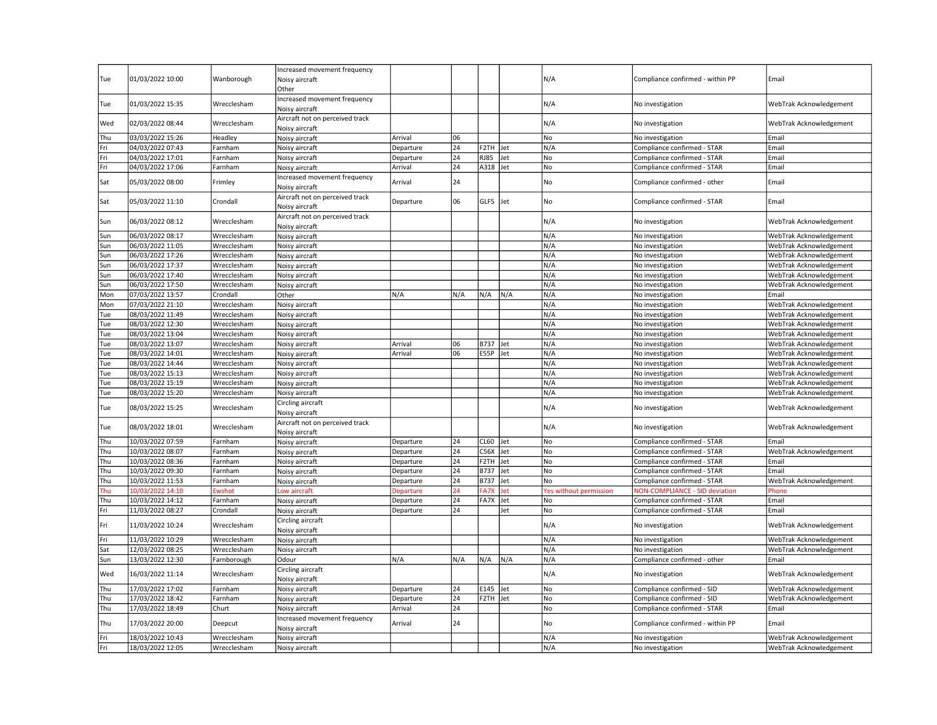|            |                                      |                            | Increased movement frequency                      |                  |                 |             |            |                        |                                       |                                                    |
|------------|--------------------------------------|----------------------------|---------------------------------------------------|------------------|-----------------|-------------|------------|------------------------|---------------------------------------|----------------------------------------------------|
| Tue        | 01/03/2022 10:00                     | Wanborough                 | Noisy aircraft                                    |                  |                 |             |            | N/A                    | Compliance confirmed - within PP      | Email                                              |
|            |                                      |                            | Other                                             |                  |                 |             |            |                        |                                       |                                                    |
| Tue        | 01/03/2022 15:35                     | Wrecclesham                | Increased movement frequency<br>Noisy aircraft    |                  |                 |             |            | N/A                    | No investigation                      | WebTrak Acknowledgement                            |
| Wed        | 02/03/2022 08:44                     | Wrecclesham                | Aircraft not on perceived track<br>Noisy aircraft |                  |                 |             |            | N/A                    | No investigation                      | WebTrak Acknowledgement                            |
| Thu        | 03/03/2022 15:26                     | Headley                    | Noisy aircraft                                    | Arrival          | 06              |             |            | No                     | No investigation                      | Email                                              |
| Fri        | 04/03/2022 07:43                     | Farnham                    | Noisy aircraft                                    | Departure        | 24              | F2TH Jet    |            | N/A                    | Compliance confirmed - STAR           | Email                                              |
| Fri        | 04/03/2022 17:01                     | Farnham                    | Noisy aircraft                                    | Departure        | 24              | <b>RJ85</b> | Jet        | No                     | Compliance confirmed - STAR           | Email                                              |
| Fri        | 04/03/2022 17:06                     | Farnham                    | Noisy aircraft                                    | Arrival          | 24              | A318 Jet    |            | No                     | Compliance confirmed - STAR           | Email                                              |
|            |                                      |                            |                                                   |                  |                 |             |            |                        |                                       |                                                    |
| Sat        | 05/03/2022 08:00                     | Frimley                    | Increased movement frequency<br>Noisy aircraft    | Arrival          | 24              |             |            | No                     | Compliance confirmed - other          | Email                                              |
| Sat        | 05/03/2022 11:10                     | Crondall                   | Aircraft not on perceived track<br>Noisy aircraft | Departure        | 06              | GLF5 Jet    |            | No                     | Compliance confirmed - STAR           | Email                                              |
| Sun        | 06/03/2022 08:12                     | Wrecclesham                | Aircraft not on perceived track<br>Noisy aircraft |                  |                 |             |            | N/A                    | No investigation                      | WebTrak Acknowledgement                            |
| Sun        | 06/03/2022 08:17                     | Wrecclesham                | Noisy aircraft                                    |                  |                 |             |            | N/A                    | No investigation                      | WebTrak Acknowledgement                            |
| Sun        | 06/03/2022 11:05                     | Wrecclesham                | Noisy aircraft                                    |                  |                 |             |            | N/A                    | No investigation                      | WebTrak Acknowledgement                            |
| Sun        | 06/03/2022 17:26                     | Wrecclesham                | Noisy aircraft                                    |                  |                 |             |            | N/A                    | No investigation                      | WebTrak Acknowledgement                            |
| Sun        | 06/03/2022 17:37                     | Wrecclesham                | Noisy aircraft                                    |                  |                 |             |            | N/A                    | No investigation                      | WebTrak Acknowledgement                            |
| Sun        | 06/03/2022 17:40                     | Wrecclesham                | Noisy aircraft                                    |                  |                 |             |            | N/A                    | No investigation                      | WebTrak Acknowledgement                            |
| Sun        | 06/03/2022 17:50                     | Wrecclesham                | Noisy aircraft                                    |                  |                 |             |            | N/A                    | No investigation                      | WebTrak Acknowledgement                            |
|            |                                      |                            |                                                   | N/A              | N/A             | N/A         | IN/A       | N/A                    |                                       |                                                    |
| Mon        | 07/03/2022 13:57                     | Crondall                   | Other                                             |                  |                 |             |            |                        | No investigation                      | Email                                              |
| Mon        | 07/03/2022 21:10                     | Wrecclesham                | Noisy aircraft                                    |                  |                 |             |            | N/A                    | No investigation                      | WebTrak Acknowledgement                            |
| Tue        | 08/03/2022 11:49                     | Wrecclesham                | Noisy aircraft                                    |                  |                 |             |            | N/A                    | No investigation                      | WebTrak Acknowledgement                            |
| Tue        | 08/03/2022 12:30                     | Wrecclesham                | Noisy aircraft                                    |                  |                 |             |            | N/A                    | No investigation                      | WebTrak Acknowledgement                            |
| Tue        | 08/03/2022 13:04                     | Wrecclesham                | Noisy aircraft                                    |                  |                 |             |            | N/A                    | No investigation                      | WebTrak Acknowledgement                            |
| Tue        | 08/03/2022 13:07                     | Wrecclesham                | Noisy aircraft                                    | Arrival          | 06              | B737 Jet    |            | N/A                    | No investigation                      | WebTrak Acknowledgement                            |
| Tue        | 08/03/2022 14:01                     | Wrecclesham                | Noisy aircraft                                    | Arrival          | 06              | E55P Jet    |            | N/A                    | No investigation                      | WebTrak Acknowledgement                            |
| Tue        | 08/03/2022 14:44                     | Wrecclesham                | Noisy aircraft                                    |                  |                 |             |            | N/A                    | No investigation                      | WebTrak Acknowledgement                            |
| Tue        | 08/03/2022 15:13                     | Wrecclesham                | Noisy aircraft                                    |                  |                 |             |            | N/A                    | No investigation                      | WebTrak Acknowledgement                            |
| Tue        | 08/03/2022 15:19                     | Wrecclesham                | Noisy aircraft                                    |                  |                 |             |            | N/A                    | No investigation                      | WebTrak Acknowledgement                            |
| Tue        | 08/03/2022 15:20                     | Wrecclesham                | Noisy aircraft                                    |                  |                 |             |            | N/A                    | No investigation                      | WebTrak Acknowledgement                            |
| Tue        | 08/03/2022 15:25                     | Wrecclesham                | Circling aircraft<br>Noisy aircraft               |                  |                 |             |            | N/A                    | No investigation                      | WebTrak Acknowledgement                            |
| Tue        | 08/03/2022 18:01                     | Wrecclesham                | Aircraft not on perceived track<br>Noisy aircraft |                  |                 |             |            | N/A                    | No investigation                      | WebTrak Acknowledgement                            |
| Thu        | 10/03/2022 07:59                     | Farnham                    | Noisy aircraft                                    | Departure        | 24              | CL60 Jet    |            | No                     | Compliance confirmed - STAR           | Email                                              |
| Thu        | 10/03/2022 08:07                     | Farnham                    | Noisy aircraft                                    | Departure        | 24              | C56X Jet    |            | No                     | Compliance confirmed - STAR           | WebTrak Acknowledgement                            |
| Thu        | 10/03/2022 08:36                     | Farnham                    | Noisy aircraft                                    | Departure        | 24              | F2TH Jet    |            | <b>No</b>              | Compliance confirmed - STAR           | Email                                              |
| Thu        | 10/03/2022 09:30                     | Farnham                    | Noisy aircraft                                    | Departure        | 24              | <b>B737</b> | Jet        | No                     | Compliance confirmed - STAR           | Email                                              |
| Thu        | 10/03/2022 11:53                     | Farnham                    | Noisy aircraft                                    | Departure        | 24              | <b>B737</b> | Jet        | No                     | Compliance confirmed - STAR           | WebTrak Acknowledgement                            |
| Thu        | 10/03/2022 14:10                     | Ewshot                     | Low aircraft                                      | <b>Departure</b> | 24              | FA7X        | Jet        | Yes without permission | <b>NON-COMPLIANCE - SID deviation</b> | Phone                                              |
| Thu        | 10/03/2022 14:12                     | Farnham                    |                                                   | Departure        | 24              | FA7X        | <b>Jet</b> | No                     | Compliance confirmed - STAR           | Email                                              |
|            |                                      |                            | Noisy aircraft                                    |                  |                 |             |            |                        |                                       |                                                    |
| Fri        | 11/03/2022 08:27                     | Crondall                   | Noisy aircraft<br>Circling aircraft               | Departure        | 24              |             | Jet        | No                     | Compliance confirmed - STAR           | Email                                              |
| Fri<br>Fri | 11/03/2022 10:24<br>11/03/2022 10:29 | Wrecclesham<br>Wrecclesham | Noisy aircraft<br>Noisy aircraft                  |                  |                 |             |            | N/A<br>N/A             | No investigation<br>No investigation  | WebTrak Acknowledgement<br>WebTrak Acknowledgement |
| Sat        | 12/03/2022 08:25                     | Wrecclesham                | Noisy aircraft                                    |                  |                 |             |            | N/A                    | No investigation                      | WebTrak Acknowledgement                            |
|            |                                      |                            |                                                   |                  |                 |             |            | N/A                    |                                       |                                                    |
| Sun        | 13/03/2022 12:30                     | Farnborough                | Odour                                             | N/A              | N/A             | N/A         | N/A        |                        | Compliance confirmed - other          | Email                                              |
| Wed        | 16/03/2022 11:14                     | Wrecclesham                | Circling aircraft<br>Noisy aircraft               |                  |                 |             |            | N/A                    | No investigation                      | WebTrak Acknowledgement                            |
| Thu        | 17/03/2022 17:02                     | Farnham                    | Noisy aircraft                                    | Departure        | 24              | E145 Jet    |            | No                     | Compliance confirmed - SID            | WebTrak Acknowledgement                            |
| Thu        | 17/03/2022 18:42                     | Farnham                    | Noisy aircraft                                    | Departure        | 24              | F2TH Jet    |            | No                     | Compliance confirmed - SID            | WebTrak Acknowledgement                            |
| Thu        | 17/03/2022 18:49                     | Churt                      | Noisy aircraft                                    | Arrival          | $\overline{24}$ |             |            | No                     | Compliance confirmed - STAR           | Email                                              |
| Thu        | 17/03/2022 20:00                     | Deepcut                    | Increased movement frequency<br>Noisy aircraft    | Arrival          | 24              |             |            | No                     | Compliance confirmed - within PP      | Email                                              |
| Fri        | 18/03/2022 10:43                     | Wrecclesham                | Noisy aircraft                                    |                  |                 |             |            | N/A                    | No investigation                      | WebTrak Acknowledgement                            |
| Fri        | 18/03/2022 12:05                     | Wrecclesham                | Noisy aircraft                                    |                  |                 |             |            | N/A                    | No investigation                      | WebTrak Acknowledgement                            |
|            |                                      |                            |                                                   |                  |                 |             |            |                        |                                       |                                                    |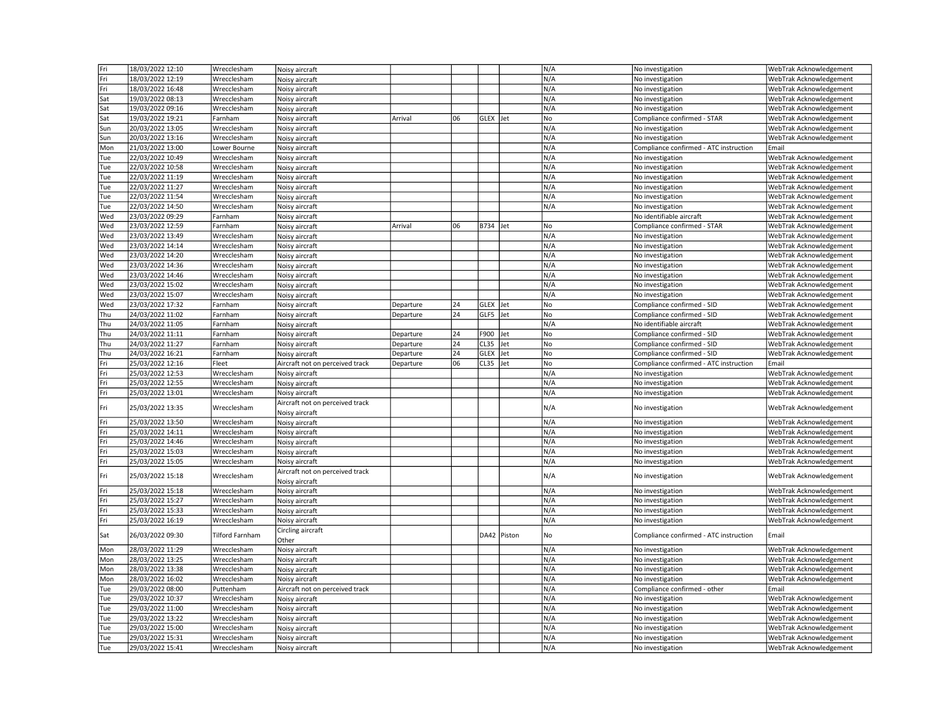| Fri        | 18/03/2022 12:10                     | Wrecclesham                | Noisy aircraft                                    |           |     |             |             | N/A        | No investigation                       | WebTrak Acknowledgement                            |
|------------|--------------------------------------|----------------------------|---------------------------------------------------|-----------|-----|-------------|-------------|------------|----------------------------------------|----------------------------------------------------|
| Fri        | 18/03/2022 12:19                     | Wrecclesham                | Noisy aircraft                                    |           |     |             |             | N/A        | No investigation                       | WebTrak Acknowledgement                            |
| Fri        | 18/03/2022 16:48                     | Wrecclesham                | Noisy aircraft                                    |           |     |             |             | N/A        | No investigation                       | WebTrak Acknowledgement                            |
| Sat        | 19/03/2022 08:13                     | Wrecclesham                | Noisy aircraft                                    |           |     |             |             | N/A        | No investigation                       | WebTrak Acknowledgement                            |
| Sat        | 19/03/2022 09:16                     | Wrecclesham                | Noisy aircraft                                    |           |     |             |             | N/A        | No investigation                       | WebTrak Acknowledgement                            |
| Sat        | 19/03/2022 19:21                     | Farnham                    | Noisy aircraft                                    | Arrival   | 106 | GLEX Jet    |             | No         | Compliance confirmed - STAR            | WebTrak Acknowledgement                            |
| Sun        | 20/03/2022 13:05                     | Wrecclesham                | Noisy aircraft                                    |           |     |             |             | N/A        | No investigation                       | WebTrak Acknowledgement                            |
| Sun        | 20/03/2022 13:16                     | Wrecclesham                | Noisy aircraft                                    |           |     |             |             | N/A        | No investigation                       | WebTrak Acknowledgement                            |
| Mon        | 21/03/2022 13:00                     | Lower Bourne               | Noisy aircraft                                    |           |     |             |             | N/A        | Compliance confirmed - ATC instruction | Email                                              |
| Tue        | 22/03/2022 10:49                     | Wrecclesham                | Noisy aircraft                                    |           |     |             |             | N/A        | No investigation                       | WebTrak Acknowledgement                            |
| Tue        | 22/03/2022 10:58                     | Wrecclesham                | Noisy aircraft                                    |           |     |             |             | N/A        | No investigation                       | WebTrak Acknowledgement                            |
| Tue        | 22/03/2022 11:19                     | Wrecclesham                | Noisy aircraft                                    |           |     |             |             | N/A        | No investigation                       | WebTrak Acknowledgement                            |
| Tue        | 22/03/2022 11:27                     | Wrecclesham                | Noisy aircraft                                    |           |     |             |             | N/A        | No investigation                       | WebTrak Acknowledgement                            |
| Tue        | 22/03/2022 11:54                     | Wrecclesham                | Noisy aircraft                                    |           |     |             |             | N/A        | No investigation                       | WebTrak Acknowledgement                            |
| Tue        | 22/03/2022 14:50                     | Wrecclesham                | Noisy aircraft                                    |           |     |             |             | N/A        | No investigation                       | WebTrak Acknowledgement                            |
| Wed        | 23/03/2022 09:29                     | Farnham                    | Noisy aircraft                                    |           |     |             |             |            | No identifiable aircraft               | WebTrak Acknowledgement                            |
| Wed        | 23/03/2022 12:59                     | Farnham                    | Noisy aircraft                                    | Arrival   | 06  | B734 Jet    |             | No         | Compliance confirmed - STAR            | WebTrak Acknowledgement                            |
| Wed        | 23/03/2022 13:49                     | Wrecclesham                | Noisy aircraft                                    |           |     |             |             | N/A        | No investigation                       | WebTrak Acknowledgement                            |
| Wed        | 23/03/2022 14:14                     | Wrecclesham                | Noisy aircraft                                    |           |     |             |             | N/A        | No investigation                       | WebTrak Acknowledgement                            |
| Wed        | 23/03/2022 14:20                     | Wrecclesham                |                                                   |           |     |             |             | N/A        | No investigation                       | WebTrak Acknowledgement                            |
|            |                                      |                            | Noisy aircraft                                    |           |     |             |             | N/A        |                                        |                                                    |
| Wed        | 23/03/2022 14:36                     | Wrecclesham                | Noisy aircraft                                    |           |     |             |             |            | No investigation                       | WebTrak Acknowledgement                            |
| Wed        | 23/03/2022 14:46                     | Wrecclesham                | Noisy aircraft                                    |           |     |             |             | N/A        | No investigation                       | WebTrak Acknowledgement                            |
| Wed        | 23/03/2022 15:02                     | Wrecclesham                | Noisy aircraft                                    |           |     |             |             | N/A        | No investigation                       | WebTrak Acknowledgement                            |
| Wed        | 23/03/2022 15:07                     | Wrecclesham                | Noisy aircraft                                    |           |     |             |             | N/A        | No investigation                       | WebTrak Acknowledgement                            |
| Wed        | 23/03/2022 17:32                     | Farnham                    | Noisy aircraft                                    | Departure | 24  | GLEX Jet    |             | No         | Compliance confirmed - SID             | WebTrak Acknowledgement                            |
| Thu        | 24/03/2022 11:02                     | Farnham                    | Noisy aircraft                                    | Departure | 24  | GLF5 Jet    |             | No         | Compliance confirmed - SID             | WebTrak Acknowledgement                            |
| Thu        | 24/03/2022 11:05                     | Farnham                    | Noisy aircraft                                    |           |     |             |             | N/A        | No identifiable aircraft               | WebTrak Acknowledgement                            |
| Thu        | 24/03/2022 11:11                     | Farnham                    | Noisy aircraft                                    | Departure | 24  | F900        | Jet         | No         | Compliance confirmed - SID             | WebTrak Acknowledgement                            |
| Thu        | 24/03/2022 11:27                     | Farnham                    | Noisy aircraft                                    | Departure | 24  | CL35        | Jet         | No         | Compliance confirmed - SID             | WebTrak Acknowledgement                            |
| Thu        | 24/03/2022 16:21                     | Farnham                    | Noisy aircraft                                    | Departure | 24  | <b>GLEX</b> | Jet         | No         | Compliance confirmed - SID             | WebTrak Acknowledgement                            |
| Fri        | 25/03/2022 12:16                     | Fleet                      | Aircraft not on perceived track                   | Departure | 06  | CL35 Jet    |             | No         | Compliance confirmed - ATC instruction | Email                                              |
| Fri        | 25/03/2022 12:53                     | Wrecclesham                | Noisy aircraft                                    |           |     |             |             | N/A        | No investigation                       | WebTrak Acknowledgement                            |
| Fri        | 25/03/2022 12:55                     | Wrecclesham                | Noisy aircraft                                    |           |     |             |             | N/A        | No investigation                       | WebTrak Acknowledgement                            |
| Fri        | 25/03/2022 13:01                     | Wrecclesham                | Noisy aircraft                                    |           |     |             |             | N/A        | No investigation                       | WebTrak Acknowledgement                            |
| Fri        | 25/03/2022 13:35                     | Wrecclesham                | Aircraft not on perceived track<br>Noisy aircraft |           |     |             |             | N/A        | No investigation                       | WebTrak Acknowledgement                            |
| Fri        | 25/03/2022 13:50                     | Wrecclesham                | Noisy aircraft                                    |           |     |             |             | N/A        | No investigation                       | WebTrak Acknowledgement                            |
| Fri        | 25/03/2022 14:11                     | Wrecclesham                | Noisy aircraft                                    |           |     |             |             | N/A        | No investigation                       | WebTrak Acknowledgement                            |
| Fri        | 25/03/2022 14:46                     | Wrecclesham                | Noisy aircraft                                    |           |     |             |             | N/A        | No investigation                       | WebTrak Acknowledgement                            |
| Fri        | 25/03/2022 15:03                     | Wrecclesham                | Noisy aircraft                                    |           |     |             |             | N/A        | No investigation                       | WebTrak Acknowledgement                            |
| Fri        | 25/03/2022 15:05                     | Wrecclesham                | Noisy aircraft                                    |           |     |             |             | N/A        | No investigation                       | WebTrak Acknowledgement                            |
|            |                                      |                            | Aircraft not on perceived track                   |           |     |             |             |            |                                        |                                                    |
| Fri        | 25/03/2022 15:18                     | Wrecclesham                | Noisy aircraft                                    |           |     |             |             | N/A        | No investigation                       | WebTrak Acknowledgement                            |
| Fri        | 25/03/2022 15:18                     | Wrecclesham                |                                                   |           |     |             |             |            |                                        | WebTrak Acknowledgement                            |
| Fri        |                                      |                            | Noisy aircraft                                    |           |     |             |             | N/A        | No investigation                       |                                                    |
| Fri        | 25/03/2022 15:27                     | Wrecclesham                | Noisy aircraft                                    |           |     |             |             | N/A        | No investigation                       | WebTrak Acknowledgement                            |
|            | 25/03/2022 15:33                     | Wrecclesham                | Noisy aircraft                                    |           |     |             |             | N/A        | No investigation                       | WebTrak Acknowledgement                            |
| Fri        | 25/03/2022 16:19                     | Wrecclesham                | Noisy aircraft                                    |           |     |             |             | N/A        | No investigation                       | WebTrak Acknowledgement                            |
| Sat        | 26/03/2022 09:30                     | <b>Tilford Farnham</b>     | Circling aircraft<br>Other                        |           |     |             | DA42 Piston | No         | Compliance confirmed - ATC instruction | Email                                              |
| Mon        | 28/03/2022 11:29                     | Wrecclesham                | Noisy aircraft                                    |           |     |             |             | N/A        | No investigation                       | WebTrak Acknowledgement                            |
| Mon        | 28/03/2022 13:25                     | Wrecclesham                | Noisy aircraft                                    |           |     |             |             | N/A        | No investigation                       | WebTrak Acknowledgement                            |
| Mon        | 28/03/2022 13:38                     | Wrecclesham                | Noisy aircraft                                    |           |     |             |             | N/A        | No investigation                       | WebTrak Acknowledgement                            |
| Mon        | 28/03/2022 16:02                     | Wrecclesham                | Noisy aircraft                                    |           |     |             |             | N/A        | No investigation                       | WebTrak Acknowledgement                            |
| Tue        | 29/03/2022 08:00                     | Puttenham                  | Aircraft not on perceived track                   |           |     |             |             | N/A        | Compliance confirmed - other           | Email                                              |
| Tue        | 29/03/2022 10:37                     | Wrecclesham                | Noisy aircraft                                    |           |     |             |             | N/A        | No investigation                       | WebTrak Acknowledgement                            |
| Tue        | 29/03/2022 11:00                     | Wrecclesham                | Noisy aircraft                                    |           |     |             |             | N/A        | No investigation                       | WebTrak Acknowledgement                            |
| Tue        | 29/03/2022 13:22                     | Wrecclesham                |                                                   |           |     |             |             | N/A        | No investigation                       | WebTrak Acknowledgement                            |
| Tue        | 29/03/2022 15:00                     | Wrecclesham                | Noisy aircraft                                    |           |     |             |             | N/A        | No investigation                       | WebTrak Acknowledgement                            |
|            |                                      |                            | Noisy aircraft                                    |           |     |             |             |            |                                        |                                                    |
| Tue<br>Tue | 29/03/2022 15:31<br>29/03/2022 15:41 | Wrecclesham<br>Wrecclesham | Noisy aircraft<br>Noisy aircraft                  |           |     |             |             | N/A<br>N/A | No investigation<br>No investigation   | WebTrak Acknowledgement<br>WebTrak Acknowledgement |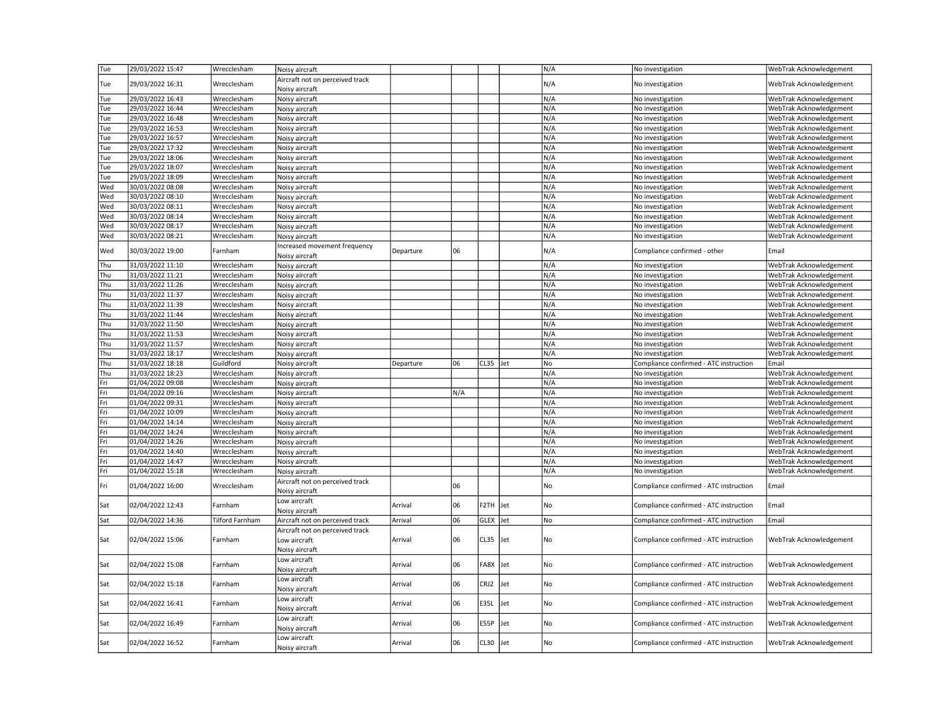| Tue | 29/03/2022 15:47 | Wrecclesham            | Noisy aircraft                                                    |           |     |          |      | N/A | No investigation                       | WebTrak Acknowledgement |
|-----|------------------|------------------------|-------------------------------------------------------------------|-----------|-----|----------|------|-----|----------------------------------------|-------------------------|
| Tue | 29/03/2022 16:31 | Wrecclesham            | Aircraft not on perceived track<br>Noisy aircraft                 |           |     |          |      | N/A | No investigation                       | WebTrak Acknowledgement |
| Tue | 29/03/2022 16:43 | Wrecclesham            | Noisy aircraft                                                    |           |     |          |      | N/A | No investigation                       | WebTrak Acknowledgement |
| Tue | 29/03/2022 16:44 | Wrecclesham            | Noisy aircraft                                                    |           |     |          |      | N/A | No investigation                       | WebTrak Acknowledgement |
| Tue | 29/03/2022 16:48 | Wrecclesham            | Noisy aircraft                                                    |           |     |          |      | N/A | No investigation                       | WebTrak Acknowledgement |
| Tue | 29/03/2022 16:53 | Wrecclesham            | Noisy aircraft                                                    |           |     |          |      | N/A | No investigation                       | WebTrak Acknowledgement |
| Tue | 29/03/2022 16:57 | Wrecclesham            | Noisy aircraft                                                    |           |     |          |      | N/A | No investigation                       | WebTrak Acknowledgement |
| Tue | 29/03/2022 17:32 | Wrecclesham            | Noisy aircraft                                                    |           |     |          |      | N/A | No investigation                       | WebTrak Acknowledgement |
| Tue | 29/03/2022 18:06 | Wrecclesham            | Noisy aircraft                                                    |           |     |          |      | N/A | No investigation                       | WebTrak Acknowledgement |
| Tue | 29/03/2022 18:07 | Wrecclesham            | Noisy aircraft                                                    |           |     |          |      | N/A | No investigation                       | WebTrak Acknowledgement |
| Tue | 29/03/2022 18:09 | Wrecclesham            | Noisy aircraft                                                    |           |     |          |      | N/A | No investigation                       | WebTrak Acknowledgement |
| Wed | 30/03/2022 08:08 | Wrecclesham            | Noisy aircraft                                                    |           |     |          |      | N/A | No investigation                       | WebTrak Acknowledgement |
| Wed | 30/03/2022 08:10 | Wrecclesham            | Noisy aircraft                                                    |           |     |          |      | N/A | No investigation                       | WebTrak Acknowledgement |
| Wed | 30/03/2022 08:11 | Wrecclesham            | Noisy aircraft                                                    |           |     |          |      | N/A | No investigation                       | WebTrak Acknowledgement |
| Wed | 30/03/2022 08:14 | Wrecclesham            | Noisy aircraft                                                    |           |     |          |      | N/A | No investigation                       | WebTrak Acknowledgement |
| Wed | 30/03/2022 08:17 | Wrecclesham            |                                                                   |           |     |          |      | N/A | No investigation                       | WebTrak Acknowledgement |
| Wed | 30/03/2022 08:21 | Wrecclesham            | Noisy aircraft                                                    |           |     |          |      | N/A | No investigation                       | WebTrak Acknowledgement |
|     |                  |                        | Noisy aircraft                                                    |           |     |          |      |     |                                        |                         |
| Wed | 30/03/2022 19:00 | Farnham                | Increased movement frequency<br>Noisy aircraft                    | Departure | 06  |          |      | N/A | Compliance confirmed - other           | Email                   |
| Thu | 31/03/2022 11:10 | Wrecclesham            | Noisy aircraft                                                    |           |     |          |      | N/A | No investigation                       | WebTrak Acknowledgement |
| Thu | 31/03/2022 11:21 | Wrecclesham            | Noisy aircraft                                                    |           |     |          |      | N/A | No investigation                       | WebTrak Acknowledgement |
| Thu | 31/03/2022 11:26 | Wrecclesham            | Noisy aircraft                                                    |           |     |          |      | N/A | No investigation                       | WebTrak Acknowledgement |
| Thu | 31/03/2022 11:37 | Wrecclesham            | Noisy aircraft                                                    |           |     |          |      | N/A | No investigation                       | WebTrak Acknowledgement |
| Thu | 31/03/2022 11:39 | Wrecclesham            | Noisy aircraft                                                    |           |     |          |      | N/A | No investigation                       | WebTrak Acknowledgement |
| Thu | 31/03/2022 11:44 | Wrecclesham            | Noisy aircraft                                                    |           |     |          |      | N/A | No investigation                       | WebTrak Acknowledgement |
| Thu | 31/03/2022 11:50 | Wrecclesham            | Noisy aircraft                                                    |           |     |          |      | N/A | No investigation                       | WebTrak Acknowledgement |
| Thu | 31/03/2022 11:53 | Wrecclesham            | Noisy aircraft                                                    |           |     |          |      | N/A | No investigation                       | WebTrak Acknowledgement |
| Thu | 31/03/2022 11:57 | Wrecclesham            | Noisy aircraft                                                    |           |     |          |      | N/A | No investigation                       | WebTrak Acknowledgement |
| Thu | 31/03/2022 18:17 | Wrecclesham            | Noisy aircraft                                                    |           |     |          |      | N/A | No investigation                       | WebTrak Acknowledgement |
| Thu | 31/03/2022 18:18 | Guildford              | Noisy aircraft                                                    | Departure | 06  | CL35 Jet |      | No  | Compliance confirmed - ATC instruction | Email                   |
| Thu | 31/03/2022 18:23 | Wrecclesham            | Noisy aircraft                                                    |           |     |          |      | N/A | No investigation                       | WebTrak Acknowledgement |
| Fri | 01/04/2022 09:08 | Wrecclesham            | Noisy aircraft                                                    |           |     |          |      | N/A | No investigation                       | WebTrak Acknowledgement |
| Fri | 01/04/2022 09:16 | Wrecclesham            | Noisy aircraft                                                    |           | N/A |          |      | N/A | No investigation                       | WebTrak Acknowledgement |
| Fri | 01/04/2022 09:31 | Wrecclesham            | Noisy aircraft                                                    |           |     |          |      | N/A | No investigation                       | WebTrak Acknowledgement |
| Fri | 01/04/2022 10:09 | Wrecclesham            | Noisy aircraft                                                    |           |     |          |      | N/A | No investigation                       | WebTrak Acknowledgement |
| Fri | 01/04/2022 14:14 |                        |                                                                   |           |     |          |      | N/A |                                        |                         |
|     | 01/04/2022 14:24 | Wrecclesham            | Noisy aircraft                                                    |           |     |          |      |     | No investigation                       | WebTrak Acknowledgement |
| Fri |                  | Wrecclesham            | Noisy aircraft                                                    |           |     |          |      | N/A | No investigation                       | WebTrak Acknowledgement |
| Fri | 01/04/2022 14:26 | Wrecclesham            | Noisy aircraft                                                    |           |     |          |      | N/A | No investigation                       | WebTrak Acknowledgement |
| Fri | 01/04/2022 14:40 | Wrecclesham            | Noisy aircraft                                                    |           |     |          |      | N/A | No investigation                       | WebTrak Acknowledgement |
| Fri | 01/04/2022 14:47 | Wrecclesham            | Noisy aircraft                                                    |           |     |          |      | N/A | No investigation                       | WebTrak Acknowledgement |
| Fri | 01/04/2022 15:18 | Wrecclesham            | Noisy aircraft                                                    |           |     |          |      | N/A | No investigation                       | WebTrak Acknowledgement |
| Fri | 01/04/2022 16:00 | Wrecclesham            | Aircraft not on perceived track<br>Noisy aircraft                 |           | 06  |          |      | No  | Compliance confirmed - ATC instruction | Email                   |
| Sat | 02/04/2022 12:43 | Farnham                | Low aircraft<br>Noisy aircraft                                    | Arrival   | 06  | F2TH Jet |      | No  | Compliance confirmed - ATC instruction | Email                   |
| Sat | 02/04/2022 14:36 | <b>Tilford Farnham</b> | Aircraft not on perceived track                                   | Arrival   | 06  | GLEX Jet |      | No  | Compliance confirmed - ATC instruction | Email                   |
| Sat | 02/04/2022 15:06 | Farnham                | Aircraft not on perceived track<br>Low aircraft<br>Noisy aircraft | Arrival   | 06  | CL35 Jet |      | No  | Compliance confirmed - ATC instruction | WebTrak Acknowledgement |
| Sat | 02/04/2022 15:08 | Farnham                | Low aircraft<br>Noisy aircraft                                    | Arrival   | 06  | FA8X Jet |      | No  | Compliance confirmed - ATC instruction | WebTrak Acknowledgement |
| Sat | 02/04/2022 15:18 | Farnham                | Low aircraft<br>Noisy aircraft                                    | Arrival   | 06  | CRJ2     | Jet  | No  | Compliance confirmed - ATC instruction | WebTrak Acknowledgement |
| Sat | 02/04/2022 16:41 | Farnham                | Low aircraft<br>Noisy aircraft                                    | Arrival   | 06  | E35L     | Jet  | No  | Compliance confirmed - ATC instruction | WebTrak Acknowledgement |
| Sat | 02/04/2022 16:49 | Farnham                | Low aircraft                                                      | Arrival   | 06  | E55P     | lJet | No  | Compliance confirmed - ATC instruction | WebTrak Acknowledgement |
| Sat | 02/04/2022 16:52 | Farnham                | Noisy aircraft<br>Low aircraft                                    | Arrival   | 06  | CL30 Jet |      | No  | Compliance confirmed - ATC instruction | WebTrak Acknowledgement |
|     |                  |                        | Noisy aircraft                                                    |           |     |          |      |     |                                        |                         |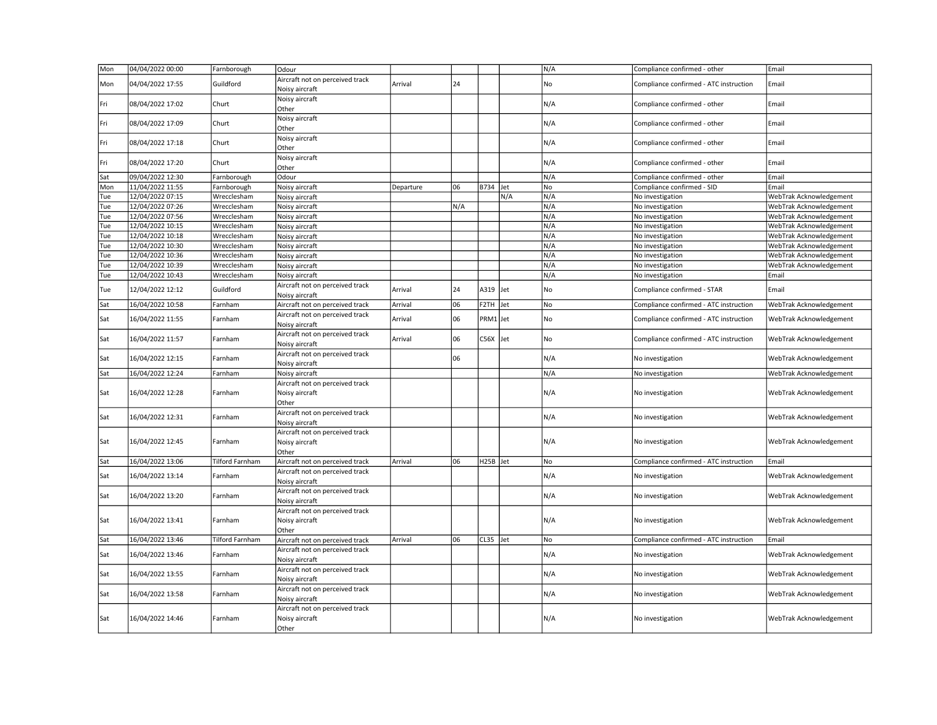| Mon | 04/04/2022 00:00 | Farnborough     | Odour                                                      |           |     |                      |     | N/A | Compliance confirmed - other           | Email                   |
|-----|------------------|-----------------|------------------------------------------------------------|-----------|-----|----------------------|-----|-----|----------------------------------------|-------------------------|
| Mon | 04/04/2022 17:55 | Guildford       | Aircraft not on perceived track<br>Noisy aircraft          | Arrival   | 24  |                      |     | No  | Compliance confirmed - ATC instruction | Email                   |
| Fri | 08/04/2022 17:02 | Churt           | Noisy aircraft<br>Other                                    |           |     |                      |     | N/A | Compliance confirmed - other           | Email                   |
| Fri | 08/04/2022 17:09 | Churt           | Noisy aircraft<br>Other                                    |           |     |                      |     | N/A | Compliance confirmed - other           | Email                   |
| Fri | 08/04/2022 17:18 | Churt           | Noisy aircraft<br>Other                                    |           |     |                      |     | N/A | Compliance confirmed - other           | Email                   |
| Fri | 08/04/2022 17:20 | Churt           | Noisy aircraft<br>Other                                    |           |     |                      |     | N/A | Compliance confirmed - other           | Email                   |
| Sat | 09/04/2022 12:30 | Farnborough     | Odour                                                      |           |     |                      |     | N/A | Compliance confirmed - other           | Email                   |
| Mon | 11/04/2022 11:55 | Farnborough     | Noisy aircraft                                             | Departure | 06  | B734 Jet             |     | No  | Compliance confirmed - SID             | Email                   |
| Tue | 12/04/2022 07:15 | Wrecclesham     | Noisy aircraft                                             |           |     |                      | N/A | N/A | No investigation                       | WebTrak Acknowledgement |
| Tue | 12/04/2022 07:26 | Wrecclesham     | Noisy aircraft                                             |           | N/A |                      |     | N/A | No investigation                       | WebTrak Acknowledgement |
| Tue | 12/04/2022 07:56 | Wrecclesham     | Noisy aircraft                                             |           |     |                      |     | N/A | No investigation                       | WebTrak Acknowledgement |
| Tue | 12/04/2022 10:15 | Wrecclesham     | Noisy aircraft                                             |           |     |                      |     | N/A | No investigation                       | WebTrak Acknowledgement |
| Tue | 12/04/2022 10:18 | Wrecclesham     | Noisy aircraft                                             |           |     |                      |     | N/A | No investigation                       | WebTrak Acknowledgement |
| Tue | 12/04/2022 10:30 | Wrecclesham     | Noisy aircraft                                             |           |     |                      |     | N/A | No investigation                       | WebTrak Acknowledgement |
| Tue | 12/04/2022 10:36 | Wrecclesham     | Noisy aircraft                                             |           |     |                      |     | N/A | No investigation                       | WebTrak Acknowledgement |
| Tue | 12/04/2022 10:39 | Wrecclesham     | Noisy aircraft                                             |           |     |                      |     | N/A | No investigation                       | WebTrak Acknowledgement |
| Tue | 12/04/2022 10:43 | Wrecclesham     | Noisy aircraft                                             |           |     |                      |     | N/A | No investigation                       | Email                   |
| Tue | 12/04/2022 12:12 | Guildford       | Aircraft not on perceived track<br>Noisy aircraft          | Arrival   | 24  | $A319$ Jet           |     | No  | Compliance confirmed - STAR            | Email                   |
| Sat | 16/04/2022 10:58 | Farnham         | Aircraft not on perceived track                            | Arrival   | 06  | F <sub>2</sub> TH    | Jet | No  | Compliance confirmed - ATC instruction | WebTrak Acknowledgement |
| Sat | 16/04/2022 11:55 | Farnham         | Aircraft not on perceived track<br>Noisy aircraft          | Arrival   | 06  | PRM1 Jet             |     | No  | Compliance confirmed - ATC instruction | WebTrak Acknowledgement |
| Sat | 16/04/2022 11:57 | Farnham         | Aircraft not on perceived track<br>Noisy aircraft          | Arrival   | 06  | C56X lJet            |     | No  | Compliance confirmed - ATC instruction | WebTrak Acknowledgement |
| Sat | 16/04/2022 12:15 | Farnham         | Aircraft not on perceived track<br>Noisy aircraft          |           | 06  |                      |     | N/A | No investigation                       | WebTrak Acknowledgement |
| Sat | 16/04/2022 12:24 | Farnham         | Noisy aircraft                                             |           |     |                      |     | N/A | No investigation                       | WebTrak Acknowledgement |
| Sat | 16/04/2022 12:28 | Farnham         | Aircraft not on perceived track<br>Noisy aircraft<br>Other |           |     |                      |     | N/A | No investigation                       | WebTrak Acknowledgement |
| Sat | 16/04/2022 12:31 | Farnham         | Aircraft not on perceived track<br>Noisy aircraft          |           |     |                      |     | N/A | No investigation                       | WebTrak Acknowledgement |
| Sat | 16/04/2022 12:45 | Farnham         | Aircraft not on perceived track<br>Noisy aircraft<br>Other |           |     |                      |     | N/A | No investigation                       | WebTrak Acknowledgement |
| Sat | 16/04/2022 13:06 | Tilford Farnham | Aircraft not on perceived track                            | Arrival   | 06  | H <sub>25B</sub> Jet |     | No  | Compliance confirmed - ATC instruction | Email                   |
| Sat | 16/04/2022 13:14 | Farnham         | Aircraft not on perceived track<br>Noisy aircraft          |           |     |                      |     | N/A | No investigation                       | WebTrak Acknowledgement |
| Sat | 16/04/2022 13:20 | Farnham         | Aircraft not on perceived track<br>Noisy aircraft          |           |     |                      |     | N/A | No investigation                       | WebTrak Acknowledgement |
| Sat | 16/04/2022 13:41 | Farnham         | Aircraft not on perceived track<br>Noisy aircraft<br>Other |           |     |                      |     | N/A | No investigation                       | WebTrak Acknowledgement |
| Sat | 16/04/2022 13:46 | Tilford Farnham | Aircraft not on perceived track                            | Arrival   | 06  | CL35 Jet             |     | No  | Compliance confirmed - ATC instruction | Email                   |
| Sat | 16/04/2022 13:46 | Farnham         | Aircraft not on perceived track<br>Noisy aircraft          |           |     |                      |     | N/A | No investigation                       | WebTrak Acknowledgement |
| Sat | 16/04/2022 13:55 | Farnham         | Aircraft not on perceived track<br>Noisy aircraft          |           |     |                      |     | N/A | No investigation                       | WebTrak Acknowledgement |
| Sat | 16/04/2022 13:58 | Farnham         | Aircraft not on perceived track<br>Noisy aircraft          |           |     |                      |     | N/A | No investigation                       | WebTrak Acknowledgement |
| Sat | 16/04/2022 14:46 | Farnham         | Aircraft not on perceived track<br>Noisy aircraft<br>Other |           |     |                      |     | N/A | No investigation                       | WebTrak Acknowledgement |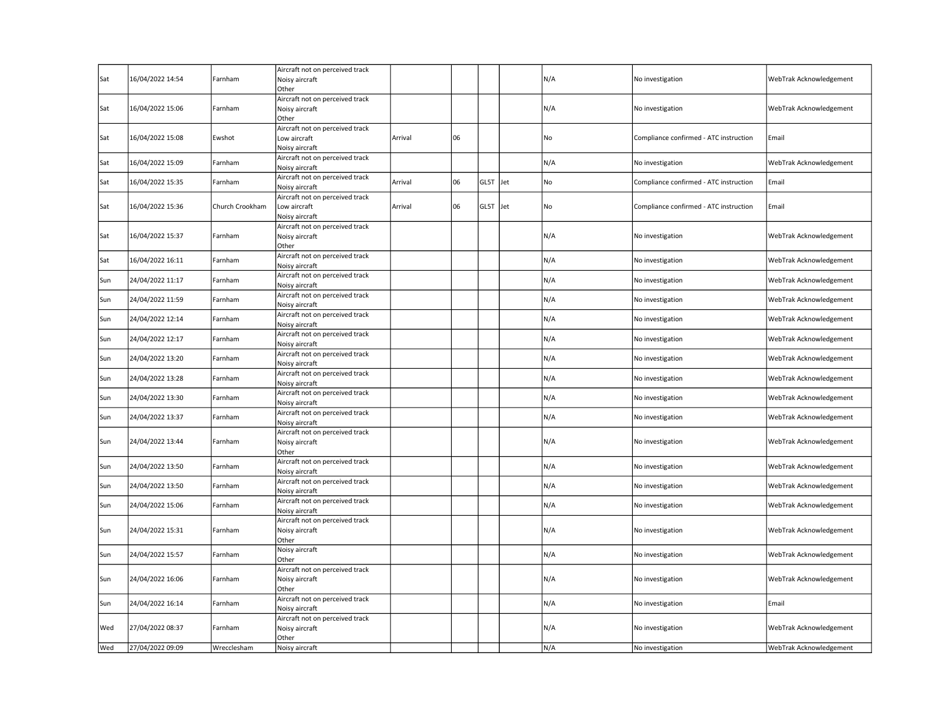| Sat | 16/04/2022 14:54 | Farnham         | Aircraft not on perceived track<br>Noisy aircraft<br>Other        |         |    |      |     | N/A | No investigation                       | WebTrak Acknowledgement |
|-----|------------------|-----------------|-------------------------------------------------------------------|---------|----|------|-----|-----|----------------------------------------|-------------------------|
| Sat | 16/04/2022 15:06 | Farnham         | Aircraft not on perceived track<br>Noisy aircraft<br>Other        |         |    |      |     | N/A | No investigation                       | WebTrak Acknowledgement |
| Sat | 16/04/2022 15:08 | Ewshot          | Aircraft not on perceived track<br>Low aircraft<br>Noisy aircraft | Arrival | 06 |      |     | No  | Compliance confirmed - ATC instruction | Email                   |
| Sat | 16/04/2022 15:09 | Farnham         | Aircraft not on perceived track<br>Noisy aircraft                 |         |    |      |     | N/A | No investigation                       | WebTrak Acknowledgement |
| Sat | 16/04/2022 15:35 | Farnham         | Aircraft not on perceived track<br>Noisy aircraft                 | Arrival | 06 | GL5T | Jet | No  | Compliance confirmed - ATC instruction | Email                   |
| Sat | 16/04/2022 15:36 | Church Crookham | Aircraft not on perceived track<br>Low aircraft<br>Noisy aircraft | Arrival | 06 | GL5T | Jet | No  | Compliance confirmed - ATC instruction | Email                   |
| Sat | 16/04/2022 15:37 | Farnham         | Aircraft not on perceived track<br>Noisy aircraft<br>Other        |         |    |      |     | N/A | No investigation                       | WebTrak Acknowledgement |
| Sat | 16/04/2022 16:11 | Farnham         | Aircraft not on perceived track<br>Noisy aircraft                 |         |    |      |     | N/A | No investigation                       | WebTrak Acknowledgement |
| Sun | 24/04/2022 11:17 | Farnham         | Aircraft not on perceived track<br>Noisy aircraft                 |         |    |      |     | N/A | No investigation                       | WebTrak Acknowledgement |
| Sun | 24/04/2022 11:59 | Farnham         | Aircraft not on perceived track<br>Noisy aircraft                 |         |    |      |     | N/A | No investigation                       | WebTrak Acknowledgement |
| Sun | 24/04/2022 12:14 | Farnham         | Aircraft not on perceived track<br>Noisy aircraft                 |         |    |      |     | N/A | No investigation                       | WebTrak Acknowledgement |
| Sun | 24/04/2022 12:17 | Farnham         | Aircraft not on perceived track<br>Noisy aircraft                 |         |    |      |     | N/A | No investigation                       | WebTrak Acknowledgement |
| Sun | 24/04/2022 13:20 | Farnham         | Aircraft not on perceived track<br>Noisy aircraft                 |         |    |      |     | N/A | No investigation                       | WebTrak Acknowledgement |
| Sun | 24/04/2022 13:28 | Farnham         | Aircraft not on perceived track<br>Noisy aircraft                 |         |    |      |     | N/A | No investigation                       | WebTrak Acknowledgement |
| Sun | 24/04/2022 13:30 | Farnham         | Aircraft not on perceived track<br>Noisy aircraft                 |         |    |      |     | N/A | No investigation                       | WebTrak Acknowledgement |
| Sun | 24/04/2022 13:37 | Farnham         | Aircraft not on perceived track<br>Noisy aircraft                 |         |    |      |     | N/A | No investigation                       | WebTrak Acknowledgement |
| Sun | 24/04/2022 13:44 | Farnham         | Aircraft not on perceived track<br>Noisy aircraft<br>Other        |         |    |      |     | N/A | No investigation                       | WebTrak Acknowledgement |
| Sun | 24/04/2022 13:50 | Farnham         | Aircraft not on perceived track<br>Noisy aircraft                 |         |    |      |     | N/A | No investigation                       | WebTrak Acknowledgement |
| Sun | 24/04/2022 13:50 | Farnham         | Aircraft not on perceived track<br>Noisy aircraft                 |         |    |      |     | N/A | No investigation                       | WebTrak Acknowledgement |
| Sun | 24/04/2022 15:06 | Farnham         | Aircraft not on perceived track<br>Noisy aircraft                 |         |    |      |     | N/A | No investigation                       | WebTrak Acknowledgement |
| Sun | 24/04/2022 15:31 | Farnham         | Aircraft not on perceived track<br>Noisy aircraft<br>Other        |         |    |      |     | N/A | No investigation                       | WebTrak Acknowledgement |
| Sun | 24/04/2022 15:57 | Farnham         | Noisy aircraft<br>Other                                           |         |    |      |     | N/A | No investigation                       | WebTrak Acknowledgement |
| Sun | 24/04/2022 16:06 | Farnham         | Aircraft not on perceived track<br>Noisy aircraft<br>Other        |         |    |      |     | N/A | No investigation                       | WebTrak Acknowledgement |
| Sun | 24/04/2022 16:14 | Farnham         | Aircraft not on perceived track<br>Noisy aircraft                 |         |    |      |     | N/A | No investigation                       | Email                   |
| Wed | 27/04/2022 08:37 | Farnham         | Aircraft not on perceived track<br>Noisy aircraft<br>Other        |         |    |      |     | N/A | No investigation                       | WebTrak Acknowledgement |
| Wed | 27/04/2022 09:09 | Wrecclesham     | Noisy aircraft                                                    |         |    |      |     | N/A | No investigation                       | WebTrak Acknowledgement |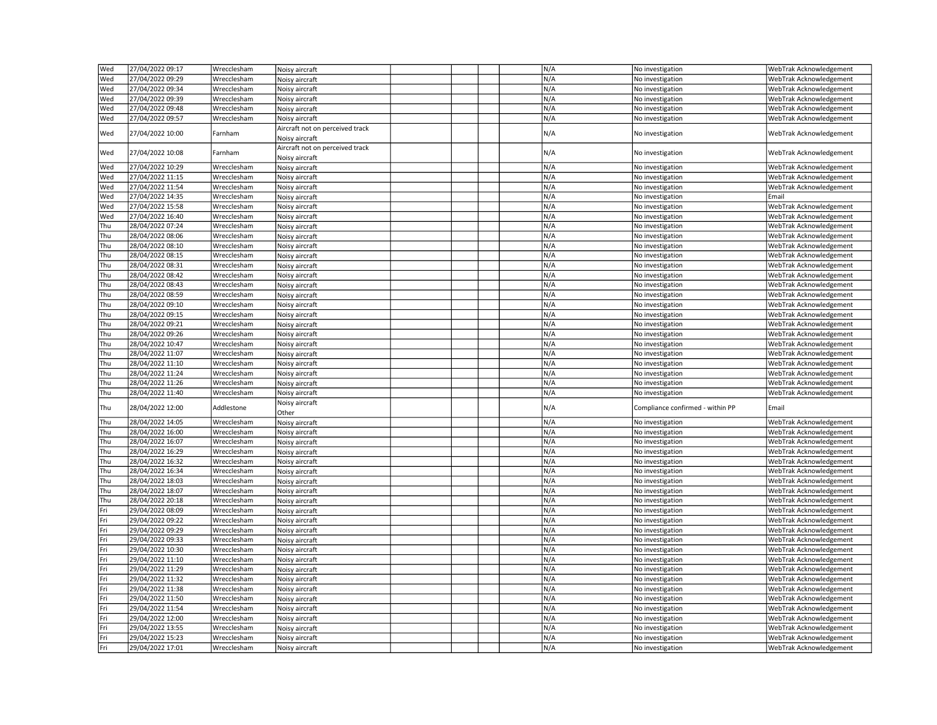| N/A<br>27/04/2022 09:29<br>Wed<br>Wrecclesham<br>No investigation<br>WebTrak Acknowledgement<br>Noisy aircraft<br> Wed<br>27/04/2022 09:34<br>N/A<br>Wrecclesham<br>No investigation<br>WebTrak Acknowledgement<br>Noisy aircraft<br>Wed<br>27/04/2022 09:39<br>N/A<br>Wrecclesham<br>No investigation<br>WebTrak Acknowledgement<br>Noisy aircraft<br>Wed<br>27/04/2022 09:48<br>N/A<br>Wrecclesham<br>Noisy aircraft<br>No investigation<br>WebTrak Acknowledgement<br>Wed<br>27/04/2022 09:57<br>Wrecclesham<br>N/A<br>WebTrak Acknowledgement<br>Noisy aircraft<br>No investigation<br>Aircraft not on perceived track<br>N/A<br><b>Wed</b><br>27/04/2022 10:00<br>Farnham<br>No investigation<br>WebTrak Acknowledgement<br>Noisy aircraft<br>Aircraft not on perceived track<br>N/A<br> Wed<br>27/04/2022 10:08<br>No investigation<br>WebTrak Acknowledgement<br>Farnham<br>Noisy aircraft<br> Wed<br>27/04/2022 10:29<br>N/A<br>WebTrak Acknowledgement<br>Wrecclesham<br>Noisy aircraft<br>No investigation<br>Wed<br>N/A<br>27/04/2022 11:15<br>Wrecclesham<br>Noisy aircraft<br>No investigation<br>WebTrak Acknowledgement<br>N/A<br>Wed<br>27/04/2022 11:54<br>Wrecclesham<br>WebTrak Acknowledgement<br>Noisy aircraft<br>No investigation<br>N/A<br>Wed<br>27/04/2022 14:35<br>Wrecclesham<br>No investigation<br>Noisy aircraft<br>Email<br>N/A<br>27/04/2022 15:58<br>Wed<br>Wrecclesham<br>No investigation<br>WebTrak Acknowledgement<br>Noisy aircraft<br>Wed<br>N/A<br>27/04/2022 16:40<br>Wrecclesham<br>Noisy aircraft<br>No investigation<br>WebTrak Acknowledgement<br>N/A<br> Thu<br>28/04/2022 07:24<br>Wrecclesham<br>Noisy aircraft<br>No investigation<br>WebTrak Acknowledgement<br>N/A<br>Thu<br>28/04/2022 08:06<br>Wrecclesham<br>Noisy aircraft<br>No investigation<br>WebTrak Acknowledgement<br>Thu<br>N/A<br>28/04/2022 08:10<br>Wrecclesham<br>Noisy aircraft<br>No investigation<br>WebTrak Acknowledgement<br>Thu<br>N/A<br>28/04/2022 08:15<br>Wrecclesham<br>No investigation<br>WebTrak Acknowledgement<br>Noisy aircraft<br> Thu<br>N/A<br>28/04/2022 08:31<br>Wrecclesham<br>Noisy aircraft<br>No investigation<br>WebTrak Acknowledgement<br>Thu<br>N/A<br>28/04/2022 08:42<br>Wrecclesham<br>Noisy aircraft<br>No investigation<br>WebTrak Acknowledgement<br> Thu<br>N/A<br>28/04/2022 08:43<br>Wrecclesham<br>Noisy aircraft<br>No investigation<br>WebTrak Acknowledgement<br>Thu<br>N/A<br>28/04/2022 08:59<br>Wrecclesham<br>Noisy aircraft<br>No investigation<br>WebTrak Acknowledgement<br>Thu<br>N/A<br>28/04/2022 09:10<br>Wrecclesham<br>Noisy aircraft<br>No investigation<br>WebTrak Acknowledgement<br>N/A<br>Thu<br>28/04/2022 09:15<br>No investigation<br>WebTrak Acknowledgement<br>Wrecclesham<br>Noisy aircraft<br> Thu<br>N/A<br>28/04/2022 09:21<br>WebTrak Acknowledgement<br>Wrecclesham<br>Noisy aircraft<br>No investigation<br> Thu<br>N/A<br>28/04/2022 09:26<br>Wrecclesham<br>No investigation<br>WebTrak Acknowledgement<br>Noisy aircraft<br>Thu<br>N/A<br>28/04/2022 10:47<br>Wrecclesham<br>WebTrak Acknowledgement<br>Noisy aircraft<br>No investigation<br>Thu<br>28/04/2022 11:07<br>N/A<br>WebTrak Acknowledgement<br>Wrecclesham<br>Noisy aircraft<br>No investigation<br>Thu<br>N/A<br>28/04/2022 11:10<br>Wrecclesham<br>No investigation<br>WebTrak Acknowledgement<br>Noisy aircraft<br>Thu<br>28/04/2022 11:24<br>N/A<br>Wrecclesham<br>No investigation<br>WebTrak Acknowledgement<br>Noisy aircraft<br>Thu<br>28/04/2022 11:26<br>N/A<br>Wrecclesham<br>WebTrak Acknowledgement<br>Noisy aircraft<br>No investigation<br>N/A<br> Thu<br>28/04/2022 11:40<br>WebTrak Acknowledgement<br>Wrecclesham<br>Noisy aircraft<br>No investigation<br>Noisy aircraft<br>N/A<br>Thu<br>28/04/2022 12:00<br>Addlestone<br>Compliance confirmed - within PP<br>Email<br>Other<br>28/04/2022 14:05<br>N/A<br>Thu<br>Wrecclesham<br>Noisy aircraft<br>WebTrak Acknowledgement<br>No investigation<br>N/A<br>Thu<br>28/04/2022 16:00<br>Wrecclesham<br>No investigation<br>WebTrak Acknowledgement<br>Noisy aircraft<br>Thu<br>28/04/2022 16:07<br>N/A<br>Wrecclesham<br>No investigation<br>WebTrak Acknowledgement<br>Noisy aircraft<br> Thu<br>N/A<br>28/04/2022 16:29<br>WebTrak Acknowledgement<br>Wrecclesham<br>Noisy aircraft<br>No investigation<br>Thu<br>N/A<br>28/04/2022 16:32<br>Wrecclesham<br>No investigation<br>WebTrak Acknowledgement<br>Noisy aircraft<br>Thu<br>28/04/2022 16:34<br>N/A<br>Wrecclesham<br>No investigation<br>WebTrak Acknowledgement<br>Noisy aircraft<br>Thu<br>28/04/2022 18:03<br>N/A<br>Wrecclesham<br>No investigation<br>WebTrak Acknowledgement<br>Noisy aircraft<br> Thu<br>28/04/2022 18:07<br>N/A<br>Wrecclesham<br>No investigation<br>WebTrak Acknowledgement<br>Noisy aircraft<br>Thu<br>28/04/2022 20:18<br>N/A<br>Wrecclesham<br>No investigation<br>WebTrak Acknowledgement<br>Noisy aircraft<br>N/A<br>Fri<br>29/04/2022 08:09<br>Wrecclesham<br>Noisy aircraft<br>WebTrak Acknowledgement<br>No investigation<br>Fri<br>N/A<br>29/04/2022 09:22<br>Noisy aircraft<br>Wrecclesham<br>No investigation<br>WebTrak Acknowledgement<br>Fri<br>N/A<br>29/04/2022 09:29<br>Wrecclesham<br>Noisy aircraft<br>No investigation<br>WebTrak Acknowledgement<br>Fri<br>N/A<br>29/04/2022 09:33<br>Wrecclesham<br>Noisy aircraft<br>No investigation<br>WebTrak Acknowledgement<br>Fri<br>29/04/2022 10:30<br>N/A<br>Wrecclesham<br>Noisy aircraft<br>No investigation<br>WebTrak Acknowledgement<br>Fri<br>29/04/2022 11:10<br>N/A<br>Wrecclesham<br>No investigation<br>WebTrak Acknowledgement<br>Noisy aircraft<br>Fri<br>N/A<br>29/04/2022 11:29<br>Wrecclesham<br>Noisy aircraft<br>No investigation<br>WebTrak Acknowledgement<br>Fri<br>N/A<br>29/04/2022 11:32<br>Wrecclesham<br>WebTrak Acknowledgement<br>Noisy aircraft<br>No investigation<br>Fri<br>N/A<br>29/04/2022 11:38<br>Wrecclesham<br>WebTrak Acknowledgement<br>Noisy aircraft<br>No investigation<br>Fri<br>N/A<br>29/04/2022 11:50<br>Wrecclesham<br>No investigation<br>WebTrak Acknowledgement<br>Noisy aircraft<br>Fri<br>N/A<br>29/04/2022 11:54<br>Wrecclesham<br>No investigation<br>WebTrak Acknowledgement<br>Noisy aircraft<br>Fri<br>N/A<br>29/04/2022 12:00<br>Wrecclesham<br>Noisy aircraft<br>No investigation<br>WebTrak Acknowledgement<br>Fri<br>N/A<br>29/04/2022 13:55<br>Wrecclesham<br>No investigation<br>WebTrak Acknowledgement<br>Noisy aircraft<br>Fri<br>N/A<br>29/04/2022 15:23<br>Wrecclesham<br>Noisy aircraft<br>No investigation<br>WebTrak Acknowledgement<br>Fri<br>N/A<br>29/04/2022 17:01<br>Wrecclesham<br>Noisy aircraft<br>No investigation<br>WebTrak Acknowledgement | <b>Wed</b> | 27/04/2022 09:17 | Wrecclesham | Noisy aircraft |  |  | N/A | No investigation | WebTrak Acknowledgement |
|------------------------------------------------------------------------------------------------------------------------------------------------------------------------------------------------------------------------------------------------------------------------------------------------------------------------------------------------------------------------------------------------------------------------------------------------------------------------------------------------------------------------------------------------------------------------------------------------------------------------------------------------------------------------------------------------------------------------------------------------------------------------------------------------------------------------------------------------------------------------------------------------------------------------------------------------------------------------------------------------------------------------------------------------------------------------------------------------------------------------------------------------------------------------------------------------------------------------------------------------------------------------------------------------------------------------------------------------------------------------------------------------------------------------------------------------------------------------------------------------------------------------------------------------------------------------------------------------------------------------------------------------------------------------------------------------------------------------------------------------------------------------------------------------------------------------------------------------------------------------------------------------------------------------------------------------------------------------------------------------------------------------------------------------------------------------------------------------------------------------------------------------------------------------------------------------------------------------------------------------------------------------------------------------------------------------------------------------------------------------------------------------------------------------------------------------------------------------------------------------------------------------------------------------------------------------------------------------------------------------------------------------------------------------------------------------------------------------------------------------------------------------------------------------------------------------------------------------------------------------------------------------------------------------------------------------------------------------------------------------------------------------------------------------------------------------------------------------------------------------------------------------------------------------------------------------------------------------------------------------------------------------------------------------------------------------------------------------------------------------------------------------------------------------------------------------------------------------------------------------------------------------------------------------------------------------------------------------------------------------------------------------------------------------------------------------------------------------------------------------------------------------------------------------------------------------------------------------------------------------------------------------------------------------------------------------------------------------------------------------------------------------------------------------------------------------------------------------------------------------------------------------------------------------------------------------------------------------------------------------------------------------------------------------------------------------------------------------------------------------------------------------------------------------------------------------------------------------------------------------------------------------------------------------------------------------------------------------------------------------------------------------------------------------------------------------------------------------------------------------------------------------------------------------------------------------------------------------------------------------------------------------------------------------------------------------------------------------------------------------------------------------------------------------------------------------------------------------------------------------------------------------------------------------------------------------------------------------------------------------------------------------------------------------------------------------------------------------------------------------------------------------------------------------------------------------------------------------------------------------------------------------------------------------------------------------------------------------------------------------------------------------------------------------------------------------------------------------------------------------------------------------------------------------------------------------------------------------------------------------------------------------------------------------------------------------------------------------------------------------------------------------------------------------------------------------------------------------------------------------------------------------------------------------------------------------------------------------------------------------------------------------------------------------------------------------------------------------------------------------------------------------------------------------------------------------------------------------------------------------------------------------------------------------------------------------------------------------------------------------------------------------------------------------------------------------------------------|------------|------------------|-------------|----------------|--|--|-----|------------------|-------------------------|
|                                                                                                                                                                                                                                                                                                                                                                                                                                                                                                                                                                                                                                                                                                                                                                                                                                                                                                                                                                                                                                                                                                                                                                                                                                                                                                                                                                                                                                                                                                                                                                                                                                                                                                                                                                                                                                                                                                                                                                                                                                                                                                                                                                                                                                                                                                                                                                                                                                                                                                                                                                                                                                                                                                                                                                                                                                                                                                                                                                                                                                                                                                                                                                                                                                                                                                                                                                                                                                                                                                                                                                                                                                                                                                                                                                                                                                                                                                                                                                                                                                                                                                                                                                                                                                                                                                                                                                                                                                                                                                                                                                                                                                                                                                                                                                                                                                                                                                                                                                                                                                                                                                                                                                                                                                                                                                                                                                                                                                                                                                                                                                                                                                                                                                                                                                                                                                                                                                                                                                                                                                                                                                                                                                                                                                                                                                                                                                                                                                                                                                                                                                                                                                                                                                                  |            |                  |             |                |  |  |     |                  |                         |
|                                                                                                                                                                                                                                                                                                                                                                                                                                                                                                                                                                                                                                                                                                                                                                                                                                                                                                                                                                                                                                                                                                                                                                                                                                                                                                                                                                                                                                                                                                                                                                                                                                                                                                                                                                                                                                                                                                                                                                                                                                                                                                                                                                                                                                                                                                                                                                                                                                                                                                                                                                                                                                                                                                                                                                                                                                                                                                                                                                                                                                                                                                                                                                                                                                                                                                                                                                                                                                                                                                                                                                                                                                                                                                                                                                                                                                                                                                                                                                                                                                                                                                                                                                                                                                                                                                                                                                                                                                                                                                                                                                                                                                                                                                                                                                                                                                                                                                                                                                                                                                                                                                                                                                                                                                                                                                                                                                                                                                                                                                                                                                                                                                                                                                                                                                                                                                                                                                                                                                                                                                                                                                                                                                                                                                                                                                                                                                                                                                                                                                                                                                                                                                                                                                                  |            |                  |             |                |  |  |     |                  |                         |
|                                                                                                                                                                                                                                                                                                                                                                                                                                                                                                                                                                                                                                                                                                                                                                                                                                                                                                                                                                                                                                                                                                                                                                                                                                                                                                                                                                                                                                                                                                                                                                                                                                                                                                                                                                                                                                                                                                                                                                                                                                                                                                                                                                                                                                                                                                                                                                                                                                                                                                                                                                                                                                                                                                                                                                                                                                                                                                                                                                                                                                                                                                                                                                                                                                                                                                                                                                                                                                                                                                                                                                                                                                                                                                                                                                                                                                                                                                                                                                                                                                                                                                                                                                                                                                                                                                                                                                                                                                                                                                                                                                                                                                                                                                                                                                                                                                                                                                                                                                                                                                                                                                                                                                                                                                                                                                                                                                                                                                                                                                                                                                                                                                                                                                                                                                                                                                                                                                                                                                                                                                                                                                                                                                                                                                                                                                                                                                                                                                                                                                                                                                                                                                                                                                                  |            |                  |             |                |  |  |     |                  |                         |
|                                                                                                                                                                                                                                                                                                                                                                                                                                                                                                                                                                                                                                                                                                                                                                                                                                                                                                                                                                                                                                                                                                                                                                                                                                                                                                                                                                                                                                                                                                                                                                                                                                                                                                                                                                                                                                                                                                                                                                                                                                                                                                                                                                                                                                                                                                                                                                                                                                                                                                                                                                                                                                                                                                                                                                                                                                                                                                                                                                                                                                                                                                                                                                                                                                                                                                                                                                                                                                                                                                                                                                                                                                                                                                                                                                                                                                                                                                                                                                                                                                                                                                                                                                                                                                                                                                                                                                                                                                                                                                                                                                                                                                                                                                                                                                                                                                                                                                                                                                                                                                                                                                                                                                                                                                                                                                                                                                                                                                                                                                                                                                                                                                                                                                                                                                                                                                                                                                                                                                                                                                                                                                                                                                                                                                                                                                                                                                                                                                                                                                                                                                                                                                                                                                                  |            |                  |             |                |  |  |     |                  |                         |
|                                                                                                                                                                                                                                                                                                                                                                                                                                                                                                                                                                                                                                                                                                                                                                                                                                                                                                                                                                                                                                                                                                                                                                                                                                                                                                                                                                                                                                                                                                                                                                                                                                                                                                                                                                                                                                                                                                                                                                                                                                                                                                                                                                                                                                                                                                                                                                                                                                                                                                                                                                                                                                                                                                                                                                                                                                                                                                                                                                                                                                                                                                                                                                                                                                                                                                                                                                                                                                                                                                                                                                                                                                                                                                                                                                                                                                                                                                                                                                                                                                                                                                                                                                                                                                                                                                                                                                                                                                                                                                                                                                                                                                                                                                                                                                                                                                                                                                                                                                                                                                                                                                                                                                                                                                                                                                                                                                                                                                                                                                                                                                                                                                                                                                                                                                                                                                                                                                                                                                                                                                                                                                                                                                                                                                                                                                                                                                                                                                                                                                                                                                                                                                                                                                                  |            |                  |             |                |  |  |     |                  |                         |
|                                                                                                                                                                                                                                                                                                                                                                                                                                                                                                                                                                                                                                                                                                                                                                                                                                                                                                                                                                                                                                                                                                                                                                                                                                                                                                                                                                                                                                                                                                                                                                                                                                                                                                                                                                                                                                                                                                                                                                                                                                                                                                                                                                                                                                                                                                                                                                                                                                                                                                                                                                                                                                                                                                                                                                                                                                                                                                                                                                                                                                                                                                                                                                                                                                                                                                                                                                                                                                                                                                                                                                                                                                                                                                                                                                                                                                                                                                                                                                                                                                                                                                                                                                                                                                                                                                                                                                                                                                                                                                                                                                                                                                                                                                                                                                                                                                                                                                                                                                                                                                                                                                                                                                                                                                                                                                                                                                                                                                                                                                                                                                                                                                                                                                                                                                                                                                                                                                                                                                                                                                                                                                                                                                                                                                                                                                                                                                                                                                                                                                                                                                                                                                                                                                                  |            |                  |             |                |  |  |     |                  |                         |
|                                                                                                                                                                                                                                                                                                                                                                                                                                                                                                                                                                                                                                                                                                                                                                                                                                                                                                                                                                                                                                                                                                                                                                                                                                                                                                                                                                                                                                                                                                                                                                                                                                                                                                                                                                                                                                                                                                                                                                                                                                                                                                                                                                                                                                                                                                                                                                                                                                                                                                                                                                                                                                                                                                                                                                                                                                                                                                                                                                                                                                                                                                                                                                                                                                                                                                                                                                                                                                                                                                                                                                                                                                                                                                                                                                                                                                                                                                                                                                                                                                                                                                                                                                                                                                                                                                                                                                                                                                                                                                                                                                                                                                                                                                                                                                                                                                                                                                                                                                                                                                                                                                                                                                                                                                                                                                                                                                                                                                                                                                                                                                                                                                                                                                                                                                                                                                                                                                                                                                                                                                                                                                                                                                                                                                                                                                                                                                                                                                                                                                                                                                                                                                                                                                                  |            |                  |             |                |  |  |     |                  |                         |
|                                                                                                                                                                                                                                                                                                                                                                                                                                                                                                                                                                                                                                                                                                                                                                                                                                                                                                                                                                                                                                                                                                                                                                                                                                                                                                                                                                                                                                                                                                                                                                                                                                                                                                                                                                                                                                                                                                                                                                                                                                                                                                                                                                                                                                                                                                                                                                                                                                                                                                                                                                                                                                                                                                                                                                                                                                                                                                                                                                                                                                                                                                                                                                                                                                                                                                                                                                                                                                                                                                                                                                                                                                                                                                                                                                                                                                                                                                                                                                                                                                                                                                                                                                                                                                                                                                                                                                                                                                                                                                                                                                                                                                                                                                                                                                                                                                                                                                                                                                                                                                                                                                                                                                                                                                                                                                                                                                                                                                                                                                                                                                                                                                                                                                                                                                                                                                                                                                                                                                                                                                                                                                                                                                                                                                                                                                                                                                                                                                                                                                                                                                                                                                                                                                                  |            |                  |             |                |  |  |     |                  |                         |
|                                                                                                                                                                                                                                                                                                                                                                                                                                                                                                                                                                                                                                                                                                                                                                                                                                                                                                                                                                                                                                                                                                                                                                                                                                                                                                                                                                                                                                                                                                                                                                                                                                                                                                                                                                                                                                                                                                                                                                                                                                                                                                                                                                                                                                                                                                                                                                                                                                                                                                                                                                                                                                                                                                                                                                                                                                                                                                                                                                                                                                                                                                                                                                                                                                                                                                                                                                                                                                                                                                                                                                                                                                                                                                                                                                                                                                                                                                                                                                                                                                                                                                                                                                                                                                                                                                                                                                                                                                                                                                                                                                                                                                                                                                                                                                                                                                                                                                                                                                                                                                                                                                                                                                                                                                                                                                                                                                                                                                                                                                                                                                                                                                                                                                                                                                                                                                                                                                                                                                                                                                                                                                                                                                                                                                                                                                                                                                                                                                                                                                                                                                                                                                                                                                                  |            |                  |             |                |  |  |     |                  |                         |
|                                                                                                                                                                                                                                                                                                                                                                                                                                                                                                                                                                                                                                                                                                                                                                                                                                                                                                                                                                                                                                                                                                                                                                                                                                                                                                                                                                                                                                                                                                                                                                                                                                                                                                                                                                                                                                                                                                                                                                                                                                                                                                                                                                                                                                                                                                                                                                                                                                                                                                                                                                                                                                                                                                                                                                                                                                                                                                                                                                                                                                                                                                                                                                                                                                                                                                                                                                                                                                                                                                                                                                                                                                                                                                                                                                                                                                                                                                                                                                                                                                                                                                                                                                                                                                                                                                                                                                                                                                                                                                                                                                                                                                                                                                                                                                                                                                                                                                                                                                                                                                                                                                                                                                                                                                                                                                                                                                                                                                                                                                                                                                                                                                                                                                                                                                                                                                                                                                                                                                                                                                                                                                                                                                                                                                                                                                                                                                                                                                                                                                                                                                                                                                                                                                                  |            |                  |             |                |  |  |     |                  |                         |
|                                                                                                                                                                                                                                                                                                                                                                                                                                                                                                                                                                                                                                                                                                                                                                                                                                                                                                                                                                                                                                                                                                                                                                                                                                                                                                                                                                                                                                                                                                                                                                                                                                                                                                                                                                                                                                                                                                                                                                                                                                                                                                                                                                                                                                                                                                                                                                                                                                                                                                                                                                                                                                                                                                                                                                                                                                                                                                                                                                                                                                                                                                                                                                                                                                                                                                                                                                                                                                                                                                                                                                                                                                                                                                                                                                                                                                                                                                                                                                                                                                                                                                                                                                                                                                                                                                                                                                                                                                                                                                                                                                                                                                                                                                                                                                                                                                                                                                                                                                                                                                                                                                                                                                                                                                                                                                                                                                                                                                                                                                                                                                                                                                                                                                                                                                                                                                                                                                                                                                                                                                                                                                                                                                                                                                                                                                                                                                                                                                                                                                                                                                                                                                                                                                                  |            |                  |             |                |  |  |     |                  |                         |
|                                                                                                                                                                                                                                                                                                                                                                                                                                                                                                                                                                                                                                                                                                                                                                                                                                                                                                                                                                                                                                                                                                                                                                                                                                                                                                                                                                                                                                                                                                                                                                                                                                                                                                                                                                                                                                                                                                                                                                                                                                                                                                                                                                                                                                                                                                                                                                                                                                                                                                                                                                                                                                                                                                                                                                                                                                                                                                                                                                                                                                                                                                                                                                                                                                                                                                                                                                                                                                                                                                                                                                                                                                                                                                                                                                                                                                                                                                                                                                                                                                                                                                                                                                                                                                                                                                                                                                                                                                                                                                                                                                                                                                                                                                                                                                                                                                                                                                                                                                                                                                                                                                                                                                                                                                                                                                                                                                                                                                                                                                                                                                                                                                                                                                                                                                                                                                                                                                                                                                                                                                                                                                                                                                                                                                                                                                                                                                                                                                                                                                                                                                                                                                                                                                                  |            |                  |             |                |  |  |     |                  |                         |
|                                                                                                                                                                                                                                                                                                                                                                                                                                                                                                                                                                                                                                                                                                                                                                                                                                                                                                                                                                                                                                                                                                                                                                                                                                                                                                                                                                                                                                                                                                                                                                                                                                                                                                                                                                                                                                                                                                                                                                                                                                                                                                                                                                                                                                                                                                                                                                                                                                                                                                                                                                                                                                                                                                                                                                                                                                                                                                                                                                                                                                                                                                                                                                                                                                                                                                                                                                                                                                                                                                                                                                                                                                                                                                                                                                                                                                                                                                                                                                                                                                                                                                                                                                                                                                                                                                                                                                                                                                                                                                                                                                                                                                                                                                                                                                                                                                                                                                                                                                                                                                                                                                                                                                                                                                                                                                                                                                                                                                                                                                                                                                                                                                                                                                                                                                                                                                                                                                                                                                                                                                                                                                                                                                                                                                                                                                                                                                                                                                                                                                                                                                                                                                                                                                                  |            |                  |             |                |  |  |     |                  |                         |
|                                                                                                                                                                                                                                                                                                                                                                                                                                                                                                                                                                                                                                                                                                                                                                                                                                                                                                                                                                                                                                                                                                                                                                                                                                                                                                                                                                                                                                                                                                                                                                                                                                                                                                                                                                                                                                                                                                                                                                                                                                                                                                                                                                                                                                                                                                                                                                                                                                                                                                                                                                                                                                                                                                                                                                                                                                                                                                                                                                                                                                                                                                                                                                                                                                                                                                                                                                                                                                                                                                                                                                                                                                                                                                                                                                                                                                                                                                                                                                                                                                                                                                                                                                                                                                                                                                                                                                                                                                                                                                                                                                                                                                                                                                                                                                                                                                                                                                                                                                                                                                                                                                                                                                                                                                                                                                                                                                                                                                                                                                                                                                                                                                                                                                                                                                                                                                                                                                                                                                                                                                                                                                                                                                                                                                                                                                                                                                                                                                                                                                                                                                                                                                                                                                                  |            |                  |             |                |  |  |     |                  |                         |
|                                                                                                                                                                                                                                                                                                                                                                                                                                                                                                                                                                                                                                                                                                                                                                                                                                                                                                                                                                                                                                                                                                                                                                                                                                                                                                                                                                                                                                                                                                                                                                                                                                                                                                                                                                                                                                                                                                                                                                                                                                                                                                                                                                                                                                                                                                                                                                                                                                                                                                                                                                                                                                                                                                                                                                                                                                                                                                                                                                                                                                                                                                                                                                                                                                                                                                                                                                                                                                                                                                                                                                                                                                                                                                                                                                                                                                                                                                                                                                                                                                                                                                                                                                                                                                                                                                                                                                                                                                                                                                                                                                                                                                                                                                                                                                                                                                                                                                                                                                                                                                                                                                                                                                                                                                                                                                                                                                                                                                                                                                                                                                                                                                                                                                                                                                                                                                                                                                                                                                                                                                                                                                                                                                                                                                                                                                                                                                                                                                                                                                                                                                                                                                                                                                                  |            |                  |             |                |  |  |     |                  |                         |
|                                                                                                                                                                                                                                                                                                                                                                                                                                                                                                                                                                                                                                                                                                                                                                                                                                                                                                                                                                                                                                                                                                                                                                                                                                                                                                                                                                                                                                                                                                                                                                                                                                                                                                                                                                                                                                                                                                                                                                                                                                                                                                                                                                                                                                                                                                                                                                                                                                                                                                                                                                                                                                                                                                                                                                                                                                                                                                                                                                                                                                                                                                                                                                                                                                                                                                                                                                                                                                                                                                                                                                                                                                                                                                                                                                                                                                                                                                                                                                                                                                                                                                                                                                                                                                                                                                                                                                                                                                                                                                                                                                                                                                                                                                                                                                                                                                                                                                                                                                                                                                                                                                                                                                                                                                                                                                                                                                                                                                                                                                                                                                                                                                                                                                                                                                                                                                                                                                                                                                                                                                                                                                                                                                                                                                                                                                                                                                                                                                                                                                                                                                                                                                                                                                                  |            |                  |             |                |  |  |     |                  |                         |
|                                                                                                                                                                                                                                                                                                                                                                                                                                                                                                                                                                                                                                                                                                                                                                                                                                                                                                                                                                                                                                                                                                                                                                                                                                                                                                                                                                                                                                                                                                                                                                                                                                                                                                                                                                                                                                                                                                                                                                                                                                                                                                                                                                                                                                                                                                                                                                                                                                                                                                                                                                                                                                                                                                                                                                                                                                                                                                                                                                                                                                                                                                                                                                                                                                                                                                                                                                                                                                                                                                                                                                                                                                                                                                                                                                                                                                                                                                                                                                                                                                                                                                                                                                                                                                                                                                                                                                                                                                                                                                                                                                                                                                                                                                                                                                                                                                                                                                                                                                                                                                                                                                                                                                                                                                                                                                                                                                                                                                                                                                                                                                                                                                                                                                                                                                                                                                                                                                                                                                                                                                                                                                                                                                                                                                                                                                                                                                                                                                                                                                                                                                                                                                                                                                                  |            |                  |             |                |  |  |     |                  |                         |
|                                                                                                                                                                                                                                                                                                                                                                                                                                                                                                                                                                                                                                                                                                                                                                                                                                                                                                                                                                                                                                                                                                                                                                                                                                                                                                                                                                                                                                                                                                                                                                                                                                                                                                                                                                                                                                                                                                                                                                                                                                                                                                                                                                                                                                                                                                                                                                                                                                                                                                                                                                                                                                                                                                                                                                                                                                                                                                                                                                                                                                                                                                                                                                                                                                                                                                                                                                                                                                                                                                                                                                                                                                                                                                                                                                                                                                                                                                                                                                                                                                                                                                                                                                                                                                                                                                                                                                                                                                                                                                                                                                                                                                                                                                                                                                                                                                                                                                                                                                                                                                                                                                                                                                                                                                                                                                                                                                                                                                                                                                                                                                                                                                                                                                                                                                                                                                                                                                                                                                                                                                                                                                                                                                                                                                                                                                                                                                                                                                                                                                                                                                                                                                                                                                                  |            |                  |             |                |  |  |     |                  |                         |
|                                                                                                                                                                                                                                                                                                                                                                                                                                                                                                                                                                                                                                                                                                                                                                                                                                                                                                                                                                                                                                                                                                                                                                                                                                                                                                                                                                                                                                                                                                                                                                                                                                                                                                                                                                                                                                                                                                                                                                                                                                                                                                                                                                                                                                                                                                                                                                                                                                                                                                                                                                                                                                                                                                                                                                                                                                                                                                                                                                                                                                                                                                                                                                                                                                                                                                                                                                                                                                                                                                                                                                                                                                                                                                                                                                                                                                                                                                                                                                                                                                                                                                                                                                                                                                                                                                                                                                                                                                                                                                                                                                                                                                                                                                                                                                                                                                                                                                                                                                                                                                                                                                                                                                                                                                                                                                                                                                                                                                                                                                                                                                                                                                                                                                                                                                                                                                                                                                                                                                                                                                                                                                                                                                                                                                                                                                                                                                                                                                                                                                                                                                                                                                                                                                                  |            |                  |             |                |  |  |     |                  |                         |
|                                                                                                                                                                                                                                                                                                                                                                                                                                                                                                                                                                                                                                                                                                                                                                                                                                                                                                                                                                                                                                                                                                                                                                                                                                                                                                                                                                                                                                                                                                                                                                                                                                                                                                                                                                                                                                                                                                                                                                                                                                                                                                                                                                                                                                                                                                                                                                                                                                                                                                                                                                                                                                                                                                                                                                                                                                                                                                                                                                                                                                                                                                                                                                                                                                                                                                                                                                                                                                                                                                                                                                                                                                                                                                                                                                                                                                                                                                                                                                                                                                                                                                                                                                                                                                                                                                                                                                                                                                                                                                                                                                                                                                                                                                                                                                                                                                                                                                                                                                                                                                                                                                                                                                                                                                                                                                                                                                                                                                                                                                                                                                                                                                                                                                                                                                                                                                                                                                                                                                                                                                                                                                                                                                                                                                                                                                                                                                                                                                                                                                                                                                                                                                                                                                                  |            |                  |             |                |  |  |     |                  |                         |
|                                                                                                                                                                                                                                                                                                                                                                                                                                                                                                                                                                                                                                                                                                                                                                                                                                                                                                                                                                                                                                                                                                                                                                                                                                                                                                                                                                                                                                                                                                                                                                                                                                                                                                                                                                                                                                                                                                                                                                                                                                                                                                                                                                                                                                                                                                                                                                                                                                                                                                                                                                                                                                                                                                                                                                                                                                                                                                                                                                                                                                                                                                                                                                                                                                                                                                                                                                                                                                                                                                                                                                                                                                                                                                                                                                                                                                                                                                                                                                                                                                                                                                                                                                                                                                                                                                                                                                                                                                                                                                                                                                                                                                                                                                                                                                                                                                                                                                                                                                                                                                                                                                                                                                                                                                                                                                                                                                                                                                                                                                                                                                                                                                                                                                                                                                                                                                                                                                                                                                                                                                                                                                                                                                                                                                                                                                                                                                                                                                                                                                                                                                                                                                                                                                                  |            |                  |             |                |  |  |     |                  |                         |
|                                                                                                                                                                                                                                                                                                                                                                                                                                                                                                                                                                                                                                                                                                                                                                                                                                                                                                                                                                                                                                                                                                                                                                                                                                                                                                                                                                                                                                                                                                                                                                                                                                                                                                                                                                                                                                                                                                                                                                                                                                                                                                                                                                                                                                                                                                                                                                                                                                                                                                                                                                                                                                                                                                                                                                                                                                                                                                                                                                                                                                                                                                                                                                                                                                                                                                                                                                                                                                                                                                                                                                                                                                                                                                                                                                                                                                                                                                                                                                                                                                                                                                                                                                                                                                                                                                                                                                                                                                                                                                                                                                                                                                                                                                                                                                                                                                                                                                                                                                                                                                                                                                                                                                                                                                                                                                                                                                                                                                                                                                                                                                                                                                                                                                                                                                                                                                                                                                                                                                                                                                                                                                                                                                                                                                                                                                                                                                                                                                                                                                                                                                                                                                                                                                                  |            |                  |             |                |  |  |     |                  |                         |
|                                                                                                                                                                                                                                                                                                                                                                                                                                                                                                                                                                                                                                                                                                                                                                                                                                                                                                                                                                                                                                                                                                                                                                                                                                                                                                                                                                                                                                                                                                                                                                                                                                                                                                                                                                                                                                                                                                                                                                                                                                                                                                                                                                                                                                                                                                                                                                                                                                                                                                                                                                                                                                                                                                                                                                                                                                                                                                                                                                                                                                                                                                                                                                                                                                                                                                                                                                                                                                                                                                                                                                                                                                                                                                                                                                                                                                                                                                                                                                                                                                                                                                                                                                                                                                                                                                                                                                                                                                                                                                                                                                                                                                                                                                                                                                                                                                                                                                                                                                                                                                                                                                                                                                                                                                                                                                                                                                                                                                                                                                                                                                                                                                                                                                                                                                                                                                                                                                                                                                                                                                                                                                                                                                                                                                                                                                                                                                                                                                                                                                                                                                                                                                                                                                                  |            |                  |             |                |  |  |     |                  |                         |
|                                                                                                                                                                                                                                                                                                                                                                                                                                                                                                                                                                                                                                                                                                                                                                                                                                                                                                                                                                                                                                                                                                                                                                                                                                                                                                                                                                                                                                                                                                                                                                                                                                                                                                                                                                                                                                                                                                                                                                                                                                                                                                                                                                                                                                                                                                                                                                                                                                                                                                                                                                                                                                                                                                                                                                                                                                                                                                                                                                                                                                                                                                                                                                                                                                                                                                                                                                                                                                                                                                                                                                                                                                                                                                                                                                                                                                                                                                                                                                                                                                                                                                                                                                                                                                                                                                                                                                                                                                                                                                                                                                                                                                                                                                                                                                                                                                                                                                                                                                                                                                                                                                                                                                                                                                                                                                                                                                                                                                                                                                                                                                                                                                                                                                                                                                                                                                                                                                                                                                                                                                                                                                                                                                                                                                                                                                                                                                                                                                                                                                                                                                                                                                                                                                                  |            |                  |             |                |  |  |     |                  |                         |
|                                                                                                                                                                                                                                                                                                                                                                                                                                                                                                                                                                                                                                                                                                                                                                                                                                                                                                                                                                                                                                                                                                                                                                                                                                                                                                                                                                                                                                                                                                                                                                                                                                                                                                                                                                                                                                                                                                                                                                                                                                                                                                                                                                                                                                                                                                                                                                                                                                                                                                                                                                                                                                                                                                                                                                                                                                                                                                                                                                                                                                                                                                                                                                                                                                                                                                                                                                                                                                                                                                                                                                                                                                                                                                                                                                                                                                                                                                                                                                                                                                                                                                                                                                                                                                                                                                                                                                                                                                                                                                                                                                                                                                                                                                                                                                                                                                                                                                                                                                                                                                                                                                                                                                                                                                                                                                                                                                                                                                                                                                                                                                                                                                                                                                                                                                                                                                                                                                                                                                                                                                                                                                                                                                                                                                                                                                                                                                                                                                                                                                                                                                                                                                                                                                                  |            |                  |             |                |  |  |     |                  |                         |
|                                                                                                                                                                                                                                                                                                                                                                                                                                                                                                                                                                                                                                                                                                                                                                                                                                                                                                                                                                                                                                                                                                                                                                                                                                                                                                                                                                                                                                                                                                                                                                                                                                                                                                                                                                                                                                                                                                                                                                                                                                                                                                                                                                                                                                                                                                                                                                                                                                                                                                                                                                                                                                                                                                                                                                                                                                                                                                                                                                                                                                                                                                                                                                                                                                                                                                                                                                                                                                                                                                                                                                                                                                                                                                                                                                                                                                                                                                                                                                                                                                                                                                                                                                                                                                                                                                                                                                                                                                                                                                                                                                                                                                                                                                                                                                                                                                                                                                                                                                                                                                                                                                                                                                                                                                                                                                                                                                                                                                                                                                                                                                                                                                                                                                                                                                                                                                                                                                                                                                                                                                                                                                                                                                                                                                                                                                                                                                                                                                                                                                                                                                                                                                                                                                                  |            |                  |             |                |  |  |     |                  |                         |
|                                                                                                                                                                                                                                                                                                                                                                                                                                                                                                                                                                                                                                                                                                                                                                                                                                                                                                                                                                                                                                                                                                                                                                                                                                                                                                                                                                                                                                                                                                                                                                                                                                                                                                                                                                                                                                                                                                                                                                                                                                                                                                                                                                                                                                                                                                                                                                                                                                                                                                                                                                                                                                                                                                                                                                                                                                                                                                                                                                                                                                                                                                                                                                                                                                                                                                                                                                                                                                                                                                                                                                                                                                                                                                                                                                                                                                                                                                                                                                                                                                                                                                                                                                                                                                                                                                                                                                                                                                                                                                                                                                                                                                                                                                                                                                                                                                                                                                                                                                                                                                                                                                                                                                                                                                                                                                                                                                                                                                                                                                                                                                                                                                                                                                                                                                                                                                                                                                                                                                                                                                                                                                                                                                                                                                                                                                                                                                                                                                                                                                                                                                                                                                                                                                                  |            |                  |             |                |  |  |     |                  |                         |
|                                                                                                                                                                                                                                                                                                                                                                                                                                                                                                                                                                                                                                                                                                                                                                                                                                                                                                                                                                                                                                                                                                                                                                                                                                                                                                                                                                                                                                                                                                                                                                                                                                                                                                                                                                                                                                                                                                                                                                                                                                                                                                                                                                                                                                                                                                                                                                                                                                                                                                                                                                                                                                                                                                                                                                                                                                                                                                                                                                                                                                                                                                                                                                                                                                                                                                                                                                                                                                                                                                                                                                                                                                                                                                                                                                                                                                                                                                                                                                                                                                                                                                                                                                                                                                                                                                                                                                                                                                                                                                                                                                                                                                                                                                                                                                                                                                                                                                                                                                                                                                                                                                                                                                                                                                                                                                                                                                                                                                                                                                                                                                                                                                                                                                                                                                                                                                                                                                                                                                                                                                                                                                                                                                                                                                                                                                                                                                                                                                                                                                                                                                                                                                                                                                                  |            |                  |             |                |  |  |     |                  |                         |
|                                                                                                                                                                                                                                                                                                                                                                                                                                                                                                                                                                                                                                                                                                                                                                                                                                                                                                                                                                                                                                                                                                                                                                                                                                                                                                                                                                                                                                                                                                                                                                                                                                                                                                                                                                                                                                                                                                                                                                                                                                                                                                                                                                                                                                                                                                                                                                                                                                                                                                                                                                                                                                                                                                                                                                                                                                                                                                                                                                                                                                                                                                                                                                                                                                                                                                                                                                                                                                                                                                                                                                                                                                                                                                                                                                                                                                                                                                                                                                                                                                                                                                                                                                                                                                                                                                                                                                                                                                                                                                                                                                                                                                                                                                                                                                                                                                                                                                                                                                                                                                                                                                                                                                                                                                                                                                                                                                                                                                                                                                                                                                                                                                                                                                                                                                                                                                                                                                                                                                                                                                                                                                                                                                                                                                                                                                                                                                                                                                                                                                                                                                                                                                                                                                                  |            |                  |             |                |  |  |     |                  |                         |
|                                                                                                                                                                                                                                                                                                                                                                                                                                                                                                                                                                                                                                                                                                                                                                                                                                                                                                                                                                                                                                                                                                                                                                                                                                                                                                                                                                                                                                                                                                                                                                                                                                                                                                                                                                                                                                                                                                                                                                                                                                                                                                                                                                                                                                                                                                                                                                                                                                                                                                                                                                                                                                                                                                                                                                                                                                                                                                                                                                                                                                                                                                                                                                                                                                                                                                                                                                                                                                                                                                                                                                                                                                                                                                                                                                                                                                                                                                                                                                                                                                                                                                                                                                                                                                                                                                                                                                                                                                                                                                                                                                                                                                                                                                                                                                                                                                                                                                                                                                                                                                                                                                                                                                                                                                                                                                                                                                                                                                                                                                                                                                                                                                                                                                                                                                                                                                                                                                                                                                                                                                                                                                                                                                                                                                                                                                                                                                                                                                                                                                                                                                                                                                                                                                                  |            |                  |             |                |  |  |     |                  |                         |
|                                                                                                                                                                                                                                                                                                                                                                                                                                                                                                                                                                                                                                                                                                                                                                                                                                                                                                                                                                                                                                                                                                                                                                                                                                                                                                                                                                                                                                                                                                                                                                                                                                                                                                                                                                                                                                                                                                                                                                                                                                                                                                                                                                                                                                                                                                                                                                                                                                                                                                                                                                                                                                                                                                                                                                                                                                                                                                                                                                                                                                                                                                                                                                                                                                                                                                                                                                                                                                                                                                                                                                                                                                                                                                                                                                                                                                                                                                                                                                                                                                                                                                                                                                                                                                                                                                                                                                                                                                                                                                                                                                                                                                                                                                                                                                                                                                                                                                                                                                                                                                                                                                                                                                                                                                                                                                                                                                                                                                                                                                                                                                                                                                                                                                                                                                                                                                                                                                                                                                                                                                                                                                                                                                                                                                                                                                                                                                                                                                                                                                                                                                                                                                                                                                                  |            |                  |             |                |  |  |     |                  |                         |
|                                                                                                                                                                                                                                                                                                                                                                                                                                                                                                                                                                                                                                                                                                                                                                                                                                                                                                                                                                                                                                                                                                                                                                                                                                                                                                                                                                                                                                                                                                                                                                                                                                                                                                                                                                                                                                                                                                                                                                                                                                                                                                                                                                                                                                                                                                                                                                                                                                                                                                                                                                                                                                                                                                                                                                                                                                                                                                                                                                                                                                                                                                                                                                                                                                                                                                                                                                                                                                                                                                                                                                                                                                                                                                                                                                                                                                                                                                                                                                                                                                                                                                                                                                                                                                                                                                                                                                                                                                                                                                                                                                                                                                                                                                                                                                                                                                                                                                                                                                                                                                                                                                                                                                                                                                                                                                                                                                                                                                                                                                                                                                                                                                                                                                                                                                                                                                                                                                                                                                                                                                                                                                                                                                                                                                                                                                                                                                                                                                                                                                                                                                                                                                                                                                                  |            |                  |             |                |  |  |     |                  |                         |
|                                                                                                                                                                                                                                                                                                                                                                                                                                                                                                                                                                                                                                                                                                                                                                                                                                                                                                                                                                                                                                                                                                                                                                                                                                                                                                                                                                                                                                                                                                                                                                                                                                                                                                                                                                                                                                                                                                                                                                                                                                                                                                                                                                                                                                                                                                                                                                                                                                                                                                                                                                                                                                                                                                                                                                                                                                                                                                                                                                                                                                                                                                                                                                                                                                                                                                                                                                                                                                                                                                                                                                                                                                                                                                                                                                                                                                                                                                                                                                                                                                                                                                                                                                                                                                                                                                                                                                                                                                                                                                                                                                                                                                                                                                                                                                                                                                                                                                                                                                                                                                                                                                                                                                                                                                                                                                                                                                                                                                                                                                                                                                                                                                                                                                                                                                                                                                                                                                                                                                                                                                                                                                                                                                                                                                                                                                                                                                                                                                                                                                                                                                                                                                                                                                                  |            |                  |             |                |  |  |     |                  |                         |
|                                                                                                                                                                                                                                                                                                                                                                                                                                                                                                                                                                                                                                                                                                                                                                                                                                                                                                                                                                                                                                                                                                                                                                                                                                                                                                                                                                                                                                                                                                                                                                                                                                                                                                                                                                                                                                                                                                                                                                                                                                                                                                                                                                                                                                                                                                                                                                                                                                                                                                                                                                                                                                                                                                                                                                                                                                                                                                                                                                                                                                                                                                                                                                                                                                                                                                                                                                                                                                                                                                                                                                                                                                                                                                                                                                                                                                                                                                                                                                                                                                                                                                                                                                                                                                                                                                                                                                                                                                                                                                                                                                                                                                                                                                                                                                                                                                                                                                                                                                                                                                                                                                                                                                                                                                                                                                                                                                                                                                                                                                                                                                                                                                                                                                                                                                                                                                                                                                                                                                                                                                                                                                                                                                                                                                                                                                                                                                                                                                                                                                                                                                                                                                                                                                                  |            |                  |             |                |  |  |     |                  |                         |
|                                                                                                                                                                                                                                                                                                                                                                                                                                                                                                                                                                                                                                                                                                                                                                                                                                                                                                                                                                                                                                                                                                                                                                                                                                                                                                                                                                                                                                                                                                                                                                                                                                                                                                                                                                                                                                                                                                                                                                                                                                                                                                                                                                                                                                                                                                                                                                                                                                                                                                                                                                                                                                                                                                                                                                                                                                                                                                                                                                                                                                                                                                                                                                                                                                                                                                                                                                                                                                                                                                                                                                                                                                                                                                                                                                                                                                                                                                                                                                                                                                                                                                                                                                                                                                                                                                                                                                                                                                                                                                                                                                                                                                                                                                                                                                                                                                                                                                                                                                                                                                                                                                                                                                                                                                                                                                                                                                                                                                                                                                                                                                                                                                                                                                                                                                                                                                                                                                                                                                                                                                                                                                                                                                                                                                                                                                                                                                                                                                                                                                                                                                                                                                                                                                                  |            |                  |             |                |  |  |     |                  |                         |
|                                                                                                                                                                                                                                                                                                                                                                                                                                                                                                                                                                                                                                                                                                                                                                                                                                                                                                                                                                                                                                                                                                                                                                                                                                                                                                                                                                                                                                                                                                                                                                                                                                                                                                                                                                                                                                                                                                                                                                                                                                                                                                                                                                                                                                                                                                                                                                                                                                                                                                                                                                                                                                                                                                                                                                                                                                                                                                                                                                                                                                                                                                                                                                                                                                                                                                                                                                                                                                                                                                                                                                                                                                                                                                                                                                                                                                                                                                                                                                                                                                                                                                                                                                                                                                                                                                                                                                                                                                                                                                                                                                                                                                                                                                                                                                                                                                                                                                                                                                                                                                                                                                                                                                                                                                                                                                                                                                                                                                                                                                                                                                                                                                                                                                                                                                                                                                                                                                                                                                                                                                                                                                                                                                                                                                                                                                                                                                                                                                                                                                                                                                                                                                                                                                                  |            |                  |             |                |  |  |     |                  |                         |
|                                                                                                                                                                                                                                                                                                                                                                                                                                                                                                                                                                                                                                                                                                                                                                                                                                                                                                                                                                                                                                                                                                                                                                                                                                                                                                                                                                                                                                                                                                                                                                                                                                                                                                                                                                                                                                                                                                                                                                                                                                                                                                                                                                                                                                                                                                                                                                                                                                                                                                                                                                                                                                                                                                                                                                                                                                                                                                                                                                                                                                                                                                                                                                                                                                                                                                                                                                                                                                                                                                                                                                                                                                                                                                                                                                                                                                                                                                                                                                                                                                                                                                                                                                                                                                                                                                                                                                                                                                                                                                                                                                                                                                                                                                                                                                                                                                                                                                                                                                                                                                                                                                                                                                                                                                                                                                                                                                                                                                                                                                                                                                                                                                                                                                                                                                                                                                                                                                                                                                                                                                                                                                                                                                                                                                                                                                                                                                                                                                                                                                                                                                                                                                                                                                                  |            |                  |             |                |  |  |     |                  |                         |
|                                                                                                                                                                                                                                                                                                                                                                                                                                                                                                                                                                                                                                                                                                                                                                                                                                                                                                                                                                                                                                                                                                                                                                                                                                                                                                                                                                                                                                                                                                                                                                                                                                                                                                                                                                                                                                                                                                                                                                                                                                                                                                                                                                                                                                                                                                                                                                                                                                                                                                                                                                                                                                                                                                                                                                                                                                                                                                                                                                                                                                                                                                                                                                                                                                                                                                                                                                                                                                                                                                                                                                                                                                                                                                                                                                                                                                                                                                                                                                                                                                                                                                                                                                                                                                                                                                                                                                                                                                                                                                                                                                                                                                                                                                                                                                                                                                                                                                                                                                                                                                                                                                                                                                                                                                                                                                                                                                                                                                                                                                                                                                                                                                                                                                                                                                                                                                                                                                                                                                                                                                                                                                                                                                                                                                                                                                                                                                                                                                                                                                                                                                                                                                                                                                                  |            |                  |             |                |  |  |     |                  |                         |
|                                                                                                                                                                                                                                                                                                                                                                                                                                                                                                                                                                                                                                                                                                                                                                                                                                                                                                                                                                                                                                                                                                                                                                                                                                                                                                                                                                                                                                                                                                                                                                                                                                                                                                                                                                                                                                                                                                                                                                                                                                                                                                                                                                                                                                                                                                                                                                                                                                                                                                                                                                                                                                                                                                                                                                                                                                                                                                                                                                                                                                                                                                                                                                                                                                                                                                                                                                                                                                                                                                                                                                                                                                                                                                                                                                                                                                                                                                                                                                                                                                                                                                                                                                                                                                                                                                                                                                                                                                                                                                                                                                                                                                                                                                                                                                                                                                                                                                                                                                                                                                                                                                                                                                                                                                                                                                                                                                                                                                                                                                                                                                                                                                                                                                                                                                                                                                                                                                                                                                                                                                                                                                                                                                                                                                                                                                                                                                                                                                                                                                                                                                                                                                                                                                                  |            |                  |             |                |  |  |     |                  |                         |
|                                                                                                                                                                                                                                                                                                                                                                                                                                                                                                                                                                                                                                                                                                                                                                                                                                                                                                                                                                                                                                                                                                                                                                                                                                                                                                                                                                                                                                                                                                                                                                                                                                                                                                                                                                                                                                                                                                                                                                                                                                                                                                                                                                                                                                                                                                                                                                                                                                                                                                                                                                                                                                                                                                                                                                                                                                                                                                                                                                                                                                                                                                                                                                                                                                                                                                                                                                                                                                                                                                                                                                                                                                                                                                                                                                                                                                                                                                                                                                                                                                                                                                                                                                                                                                                                                                                                                                                                                                                                                                                                                                                                                                                                                                                                                                                                                                                                                                                                                                                                                                                                                                                                                                                                                                                                                                                                                                                                                                                                                                                                                                                                                                                                                                                                                                                                                                                                                                                                                                                                                                                                                                                                                                                                                                                                                                                                                                                                                                                                                                                                                                                                                                                                                                                  |            |                  |             |                |  |  |     |                  |                         |
|                                                                                                                                                                                                                                                                                                                                                                                                                                                                                                                                                                                                                                                                                                                                                                                                                                                                                                                                                                                                                                                                                                                                                                                                                                                                                                                                                                                                                                                                                                                                                                                                                                                                                                                                                                                                                                                                                                                                                                                                                                                                                                                                                                                                                                                                                                                                                                                                                                                                                                                                                                                                                                                                                                                                                                                                                                                                                                                                                                                                                                                                                                                                                                                                                                                                                                                                                                                                                                                                                                                                                                                                                                                                                                                                                                                                                                                                                                                                                                                                                                                                                                                                                                                                                                                                                                                                                                                                                                                                                                                                                                                                                                                                                                                                                                                                                                                                                                                                                                                                                                                                                                                                                                                                                                                                                                                                                                                                                                                                                                                                                                                                                                                                                                                                                                                                                                                                                                                                                                                                                                                                                                                                                                                                                                                                                                                                                                                                                                                                                                                                                                                                                                                                                                                  |            |                  |             |                |  |  |     |                  |                         |
|                                                                                                                                                                                                                                                                                                                                                                                                                                                                                                                                                                                                                                                                                                                                                                                                                                                                                                                                                                                                                                                                                                                                                                                                                                                                                                                                                                                                                                                                                                                                                                                                                                                                                                                                                                                                                                                                                                                                                                                                                                                                                                                                                                                                                                                                                                                                                                                                                                                                                                                                                                                                                                                                                                                                                                                                                                                                                                                                                                                                                                                                                                                                                                                                                                                                                                                                                                                                                                                                                                                                                                                                                                                                                                                                                                                                                                                                                                                                                                                                                                                                                                                                                                                                                                                                                                                                                                                                                                                                                                                                                                                                                                                                                                                                                                                                                                                                                                                                                                                                                                                                                                                                                                                                                                                                                                                                                                                                                                                                                                                                                                                                                                                                                                                                                                                                                                                                                                                                                                                                                                                                                                                                                                                                                                                                                                                                                                                                                                                                                                                                                                                                                                                                                                                  |            |                  |             |                |  |  |     |                  |                         |
|                                                                                                                                                                                                                                                                                                                                                                                                                                                                                                                                                                                                                                                                                                                                                                                                                                                                                                                                                                                                                                                                                                                                                                                                                                                                                                                                                                                                                                                                                                                                                                                                                                                                                                                                                                                                                                                                                                                                                                                                                                                                                                                                                                                                                                                                                                                                                                                                                                                                                                                                                                                                                                                                                                                                                                                                                                                                                                                                                                                                                                                                                                                                                                                                                                                                                                                                                                                                                                                                                                                                                                                                                                                                                                                                                                                                                                                                                                                                                                                                                                                                                                                                                                                                                                                                                                                                                                                                                                                                                                                                                                                                                                                                                                                                                                                                                                                                                                                                                                                                                                                                                                                                                                                                                                                                                                                                                                                                                                                                                                                                                                                                                                                                                                                                                                                                                                                                                                                                                                                                                                                                                                                                                                                                                                                                                                                                                                                                                                                                                                                                                                                                                                                                                                                  |            |                  |             |                |  |  |     |                  |                         |
|                                                                                                                                                                                                                                                                                                                                                                                                                                                                                                                                                                                                                                                                                                                                                                                                                                                                                                                                                                                                                                                                                                                                                                                                                                                                                                                                                                                                                                                                                                                                                                                                                                                                                                                                                                                                                                                                                                                                                                                                                                                                                                                                                                                                                                                                                                                                                                                                                                                                                                                                                                                                                                                                                                                                                                                                                                                                                                                                                                                                                                                                                                                                                                                                                                                                                                                                                                                                                                                                                                                                                                                                                                                                                                                                                                                                                                                                                                                                                                                                                                                                                                                                                                                                                                                                                                                                                                                                                                                                                                                                                                                                                                                                                                                                                                                                                                                                                                                                                                                                                                                                                                                                                                                                                                                                                                                                                                                                                                                                                                                                                                                                                                                                                                                                                                                                                                                                                                                                                                                                                                                                                                                                                                                                                                                                                                                                                                                                                                                                                                                                                                                                                                                                                                                  |            |                  |             |                |  |  |     |                  |                         |
|                                                                                                                                                                                                                                                                                                                                                                                                                                                                                                                                                                                                                                                                                                                                                                                                                                                                                                                                                                                                                                                                                                                                                                                                                                                                                                                                                                                                                                                                                                                                                                                                                                                                                                                                                                                                                                                                                                                                                                                                                                                                                                                                                                                                                                                                                                                                                                                                                                                                                                                                                                                                                                                                                                                                                                                                                                                                                                                                                                                                                                                                                                                                                                                                                                                                                                                                                                                                                                                                                                                                                                                                                                                                                                                                                                                                                                                                                                                                                                                                                                                                                                                                                                                                                                                                                                                                                                                                                                                                                                                                                                                                                                                                                                                                                                                                                                                                                                                                                                                                                                                                                                                                                                                                                                                                                                                                                                                                                                                                                                                                                                                                                                                                                                                                                                                                                                                                                                                                                                                                                                                                                                                                                                                                                                                                                                                                                                                                                                                                                                                                                                                                                                                                                                                  |            |                  |             |                |  |  |     |                  |                         |
|                                                                                                                                                                                                                                                                                                                                                                                                                                                                                                                                                                                                                                                                                                                                                                                                                                                                                                                                                                                                                                                                                                                                                                                                                                                                                                                                                                                                                                                                                                                                                                                                                                                                                                                                                                                                                                                                                                                                                                                                                                                                                                                                                                                                                                                                                                                                                                                                                                                                                                                                                                                                                                                                                                                                                                                                                                                                                                                                                                                                                                                                                                                                                                                                                                                                                                                                                                                                                                                                                                                                                                                                                                                                                                                                                                                                                                                                                                                                                                                                                                                                                                                                                                                                                                                                                                                                                                                                                                                                                                                                                                                                                                                                                                                                                                                                                                                                                                                                                                                                                                                                                                                                                                                                                                                                                                                                                                                                                                                                                                                                                                                                                                                                                                                                                                                                                                                                                                                                                                                                                                                                                                                                                                                                                                                                                                                                                                                                                                                                                                                                                                                                                                                                                                                  |            |                  |             |                |  |  |     |                  |                         |
|                                                                                                                                                                                                                                                                                                                                                                                                                                                                                                                                                                                                                                                                                                                                                                                                                                                                                                                                                                                                                                                                                                                                                                                                                                                                                                                                                                                                                                                                                                                                                                                                                                                                                                                                                                                                                                                                                                                                                                                                                                                                                                                                                                                                                                                                                                                                                                                                                                                                                                                                                                                                                                                                                                                                                                                                                                                                                                                                                                                                                                                                                                                                                                                                                                                                                                                                                                                                                                                                                                                                                                                                                                                                                                                                                                                                                                                                                                                                                                                                                                                                                                                                                                                                                                                                                                                                                                                                                                                                                                                                                                                                                                                                                                                                                                                                                                                                                                                                                                                                                                                                                                                                                                                                                                                                                                                                                                                                                                                                                                                                                                                                                                                                                                                                                                                                                                                                                                                                                                                                                                                                                                                                                                                                                                                                                                                                                                                                                                                                                                                                                                                                                                                                                                                  |            |                  |             |                |  |  |     |                  |                         |
|                                                                                                                                                                                                                                                                                                                                                                                                                                                                                                                                                                                                                                                                                                                                                                                                                                                                                                                                                                                                                                                                                                                                                                                                                                                                                                                                                                                                                                                                                                                                                                                                                                                                                                                                                                                                                                                                                                                                                                                                                                                                                                                                                                                                                                                                                                                                                                                                                                                                                                                                                                                                                                                                                                                                                                                                                                                                                                                                                                                                                                                                                                                                                                                                                                                                                                                                                                                                                                                                                                                                                                                                                                                                                                                                                                                                                                                                                                                                                                                                                                                                                                                                                                                                                                                                                                                                                                                                                                                                                                                                                                                                                                                                                                                                                                                                                                                                                                                                                                                                                                                                                                                                                                                                                                                                                                                                                                                                                                                                                                                                                                                                                                                                                                                                                                                                                                                                                                                                                                                                                                                                                                                                                                                                                                                                                                                                                                                                                                                                                                                                                                                                                                                                                                                  |            |                  |             |                |  |  |     |                  |                         |
|                                                                                                                                                                                                                                                                                                                                                                                                                                                                                                                                                                                                                                                                                                                                                                                                                                                                                                                                                                                                                                                                                                                                                                                                                                                                                                                                                                                                                                                                                                                                                                                                                                                                                                                                                                                                                                                                                                                                                                                                                                                                                                                                                                                                                                                                                                                                                                                                                                                                                                                                                                                                                                                                                                                                                                                                                                                                                                                                                                                                                                                                                                                                                                                                                                                                                                                                                                                                                                                                                                                                                                                                                                                                                                                                                                                                                                                                                                                                                                                                                                                                                                                                                                                                                                                                                                                                                                                                                                                                                                                                                                                                                                                                                                                                                                                                                                                                                                                                                                                                                                                                                                                                                                                                                                                                                                                                                                                                                                                                                                                                                                                                                                                                                                                                                                                                                                                                                                                                                                                                                                                                                                                                                                                                                                                                                                                                                                                                                                                                                                                                                                                                                                                                                                                  |            |                  |             |                |  |  |     |                  |                         |
|                                                                                                                                                                                                                                                                                                                                                                                                                                                                                                                                                                                                                                                                                                                                                                                                                                                                                                                                                                                                                                                                                                                                                                                                                                                                                                                                                                                                                                                                                                                                                                                                                                                                                                                                                                                                                                                                                                                                                                                                                                                                                                                                                                                                                                                                                                                                                                                                                                                                                                                                                                                                                                                                                                                                                                                                                                                                                                                                                                                                                                                                                                                                                                                                                                                                                                                                                                                                                                                                                                                                                                                                                                                                                                                                                                                                                                                                                                                                                                                                                                                                                                                                                                                                                                                                                                                                                                                                                                                                                                                                                                                                                                                                                                                                                                                                                                                                                                                                                                                                                                                                                                                                                                                                                                                                                                                                                                                                                                                                                                                                                                                                                                                                                                                                                                                                                                                                                                                                                                                                                                                                                                                                                                                                                                                                                                                                                                                                                                                                                                                                                                                                                                                                                                                  |            |                  |             |                |  |  |     |                  |                         |
|                                                                                                                                                                                                                                                                                                                                                                                                                                                                                                                                                                                                                                                                                                                                                                                                                                                                                                                                                                                                                                                                                                                                                                                                                                                                                                                                                                                                                                                                                                                                                                                                                                                                                                                                                                                                                                                                                                                                                                                                                                                                                                                                                                                                                                                                                                                                                                                                                                                                                                                                                                                                                                                                                                                                                                                                                                                                                                                                                                                                                                                                                                                                                                                                                                                                                                                                                                                                                                                                                                                                                                                                                                                                                                                                                                                                                                                                                                                                                                                                                                                                                                                                                                                                                                                                                                                                                                                                                                                                                                                                                                                                                                                                                                                                                                                                                                                                                                                                                                                                                                                                                                                                                                                                                                                                                                                                                                                                                                                                                                                                                                                                                                                                                                                                                                                                                                                                                                                                                                                                                                                                                                                                                                                                                                                                                                                                                                                                                                                                                                                                                                                                                                                                                                                  |            |                  |             |                |  |  |     |                  |                         |
|                                                                                                                                                                                                                                                                                                                                                                                                                                                                                                                                                                                                                                                                                                                                                                                                                                                                                                                                                                                                                                                                                                                                                                                                                                                                                                                                                                                                                                                                                                                                                                                                                                                                                                                                                                                                                                                                                                                                                                                                                                                                                                                                                                                                                                                                                                                                                                                                                                                                                                                                                                                                                                                                                                                                                                                                                                                                                                                                                                                                                                                                                                                                                                                                                                                                                                                                                                                                                                                                                                                                                                                                                                                                                                                                                                                                                                                                                                                                                                                                                                                                                                                                                                                                                                                                                                                                                                                                                                                                                                                                                                                                                                                                                                                                                                                                                                                                                                                                                                                                                                                                                                                                                                                                                                                                                                                                                                                                                                                                                                                                                                                                                                                                                                                                                                                                                                                                                                                                                                                                                                                                                                                                                                                                                                                                                                                                                                                                                                                                                                                                                                                                                                                                                                                  |            |                  |             |                |  |  |     |                  |                         |
|                                                                                                                                                                                                                                                                                                                                                                                                                                                                                                                                                                                                                                                                                                                                                                                                                                                                                                                                                                                                                                                                                                                                                                                                                                                                                                                                                                                                                                                                                                                                                                                                                                                                                                                                                                                                                                                                                                                                                                                                                                                                                                                                                                                                                                                                                                                                                                                                                                                                                                                                                                                                                                                                                                                                                                                                                                                                                                                                                                                                                                                                                                                                                                                                                                                                                                                                                                                                                                                                                                                                                                                                                                                                                                                                                                                                                                                                                                                                                                                                                                                                                                                                                                                                                                                                                                                                                                                                                                                                                                                                                                                                                                                                                                                                                                                                                                                                                                                                                                                                                                                                                                                                                                                                                                                                                                                                                                                                                                                                                                                                                                                                                                                                                                                                                                                                                                                                                                                                                                                                                                                                                                                                                                                                                                                                                                                                                                                                                                                                                                                                                                                                                                                                                                                  |            |                  |             |                |  |  |     |                  |                         |
|                                                                                                                                                                                                                                                                                                                                                                                                                                                                                                                                                                                                                                                                                                                                                                                                                                                                                                                                                                                                                                                                                                                                                                                                                                                                                                                                                                                                                                                                                                                                                                                                                                                                                                                                                                                                                                                                                                                                                                                                                                                                                                                                                                                                                                                                                                                                                                                                                                                                                                                                                                                                                                                                                                                                                                                                                                                                                                                                                                                                                                                                                                                                                                                                                                                                                                                                                                                                                                                                                                                                                                                                                                                                                                                                                                                                                                                                                                                                                                                                                                                                                                                                                                                                                                                                                                                                                                                                                                                                                                                                                                                                                                                                                                                                                                                                                                                                                                                                                                                                                                                                                                                                                                                                                                                                                                                                                                                                                                                                                                                                                                                                                                                                                                                                                                                                                                                                                                                                                                                                                                                                                                                                                                                                                                                                                                                                                                                                                                                                                                                                                                                                                                                                                                                  |            |                  |             |                |  |  |     |                  |                         |
|                                                                                                                                                                                                                                                                                                                                                                                                                                                                                                                                                                                                                                                                                                                                                                                                                                                                                                                                                                                                                                                                                                                                                                                                                                                                                                                                                                                                                                                                                                                                                                                                                                                                                                                                                                                                                                                                                                                                                                                                                                                                                                                                                                                                                                                                                                                                                                                                                                                                                                                                                                                                                                                                                                                                                                                                                                                                                                                                                                                                                                                                                                                                                                                                                                                                                                                                                                                                                                                                                                                                                                                                                                                                                                                                                                                                                                                                                                                                                                                                                                                                                                                                                                                                                                                                                                                                                                                                                                                                                                                                                                                                                                                                                                                                                                                                                                                                                                                                                                                                                                                                                                                                                                                                                                                                                                                                                                                                                                                                                                                                                                                                                                                                                                                                                                                                                                                                                                                                                                                                                                                                                                                                                                                                                                                                                                                                                                                                                                                                                                                                                                                                                                                                                                                  |            |                  |             |                |  |  |     |                  |                         |
|                                                                                                                                                                                                                                                                                                                                                                                                                                                                                                                                                                                                                                                                                                                                                                                                                                                                                                                                                                                                                                                                                                                                                                                                                                                                                                                                                                                                                                                                                                                                                                                                                                                                                                                                                                                                                                                                                                                                                                                                                                                                                                                                                                                                                                                                                                                                                                                                                                                                                                                                                                                                                                                                                                                                                                                                                                                                                                                                                                                                                                                                                                                                                                                                                                                                                                                                                                                                                                                                                                                                                                                                                                                                                                                                                                                                                                                                                                                                                                                                                                                                                                                                                                                                                                                                                                                                                                                                                                                                                                                                                                                                                                                                                                                                                                                                                                                                                                                                                                                                                                                                                                                                                                                                                                                                                                                                                                                                                                                                                                                                                                                                                                                                                                                                                                                                                                                                                                                                                                                                                                                                                                                                                                                                                                                                                                                                                                                                                                                                                                                                                                                                                                                                                                                  |            |                  |             |                |  |  |     |                  |                         |
|                                                                                                                                                                                                                                                                                                                                                                                                                                                                                                                                                                                                                                                                                                                                                                                                                                                                                                                                                                                                                                                                                                                                                                                                                                                                                                                                                                                                                                                                                                                                                                                                                                                                                                                                                                                                                                                                                                                                                                                                                                                                                                                                                                                                                                                                                                                                                                                                                                                                                                                                                                                                                                                                                                                                                                                                                                                                                                                                                                                                                                                                                                                                                                                                                                                                                                                                                                                                                                                                                                                                                                                                                                                                                                                                                                                                                                                                                                                                                                                                                                                                                                                                                                                                                                                                                                                                                                                                                                                                                                                                                                                                                                                                                                                                                                                                                                                                                                                                                                                                                                                                                                                                                                                                                                                                                                                                                                                                                                                                                                                                                                                                                                                                                                                                                                                                                                                                                                                                                                                                                                                                                                                                                                                                                                                                                                                                                                                                                                                                                                                                                                                                                                                                                                                  |            |                  |             |                |  |  |     |                  |                         |
|                                                                                                                                                                                                                                                                                                                                                                                                                                                                                                                                                                                                                                                                                                                                                                                                                                                                                                                                                                                                                                                                                                                                                                                                                                                                                                                                                                                                                                                                                                                                                                                                                                                                                                                                                                                                                                                                                                                                                                                                                                                                                                                                                                                                                                                                                                                                                                                                                                                                                                                                                                                                                                                                                                                                                                                                                                                                                                                                                                                                                                                                                                                                                                                                                                                                                                                                                                                                                                                                                                                                                                                                                                                                                                                                                                                                                                                                                                                                                                                                                                                                                                                                                                                                                                                                                                                                                                                                                                                                                                                                                                                                                                                                                                                                                                                                                                                                                                                                                                                                                                                                                                                                                                                                                                                                                                                                                                                                                                                                                                                                                                                                                                                                                                                                                                                                                                                                                                                                                                                                                                                                                                                                                                                                                                                                                                                                                                                                                                                                                                                                                                                                                                                                                                                  |            |                  |             |                |  |  |     |                  |                         |
|                                                                                                                                                                                                                                                                                                                                                                                                                                                                                                                                                                                                                                                                                                                                                                                                                                                                                                                                                                                                                                                                                                                                                                                                                                                                                                                                                                                                                                                                                                                                                                                                                                                                                                                                                                                                                                                                                                                                                                                                                                                                                                                                                                                                                                                                                                                                                                                                                                                                                                                                                                                                                                                                                                                                                                                                                                                                                                                                                                                                                                                                                                                                                                                                                                                                                                                                                                                                                                                                                                                                                                                                                                                                                                                                                                                                                                                                                                                                                                                                                                                                                                                                                                                                                                                                                                                                                                                                                                                                                                                                                                                                                                                                                                                                                                                                                                                                                                                                                                                                                                                                                                                                                                                                                                                                                                                                                                                                                                                                                                                                                                                                                                                                                                                                                                                                                                                                                                                                                                                                                                                                                                                                                                                                                                                                                                                                                                                                                                                                                                                                                                                                                                                                                                                  |            |                  |             |                |  |  |     |                  |                         |
|                                                                                                                                                                                                                                                                                                                                                                                                                                                                                                                                                                                                                                                                                                                                                                                                                                                                                                                                                                                                                                                                                                                                                                                                                                                                                                                                                                                                                                                                                                                                                                                                                                                                                                                                                                                                                                                                                                                                                                                                                                                                                                                                                                                                                                                                                                                                                                                                                                                                                                                                                                                                                                                                                                                                                                                                                                                                                                                                                                                                                                                                                                                                                                                                                                                                                                                                                                                                                                                                                                                                                                                                                                                                                                                                                                                                                                                                                                                                                                                                                                                                                                                                                                                                                                                                                                                                                                                                                                                                                                                                                                                                                                                                                                                                                                                                                                                                                                                                                                                                                                                                                                                                                                                                                                                                                                                                                                                                                                                                                                                                                                                                                                                                                                                                                                                                                                                                                                                                                                                                                                                                                                                                                                                                                                                                                                                                                                                                                                                                                                                                                                                                                                                                                                                  |            |                  |             |                |  |  |     |                  |                         |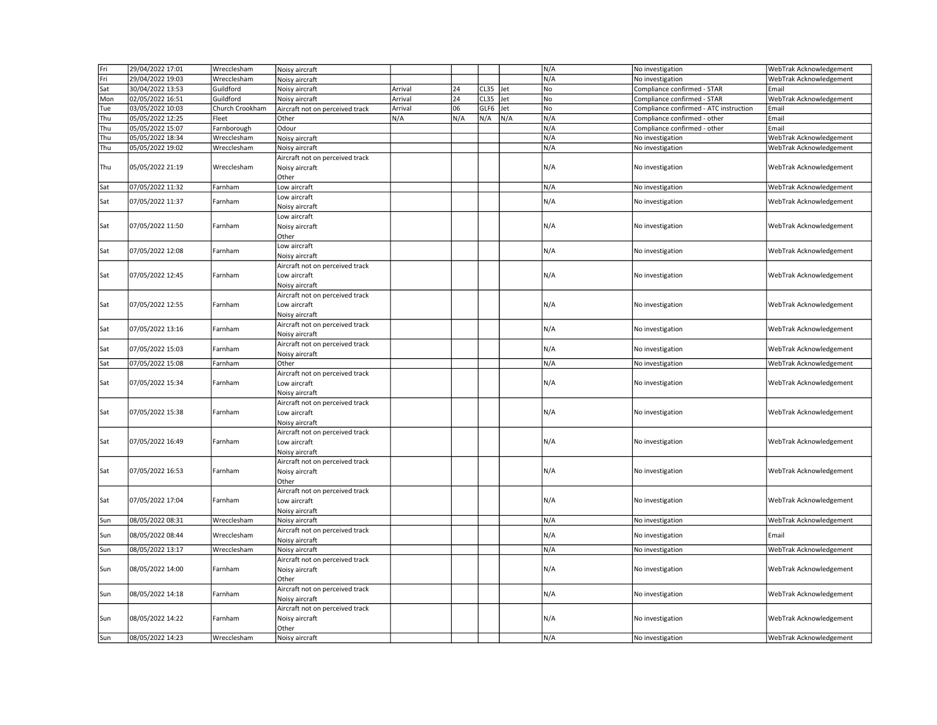| Fri | 29/04/2022 17:01 | Wrecclesham     | Noisy aircraft                                                    |         |     |      |     | N/A | No investigation                       | WebTrak Acknowledgement |
|-----|------------------|-----------------|-------------------------------------------------------------------|---------|-----|------|-----|-----|----------------------------------------|-------------------------|
| Fri | 29/04/2022 19:03 | Wrecclesham     | Noisy aircraft                                                    |         |     |      |     | N/A | No investigation                       | WebTrak Acknowledgement |
| Sat | 30/04/2022 13:53 | Guildford       | Noisy aircraft                                                    | Arrival | 24  | CL35 | Jet | No  | Compliance confirmed - STAR            | Email                   |
| Mon | 02/05/2022 16:51 | Guildford       | Noisy aircraft                                                    | Arrival | 24  | CL35 | Jet | No  | Compliance confirmed - STAR            | WebTrak Acknowledgement |
| Tue | 03/05/2022 10:03 | Church Crookham | Aircraft not on perceived track                                   | Arrival | 06  | GLF6 | Jet | No  | Compliance confirmed - ATC instruction | Email                   |
| Thu | 05/05/2022 12:25 | Fleet           | Other                                                             | N/A     | N/A | N/A  | N/A | N/A | Compliance confirmed - other           | Email                   |
| Thu | 05/05/2022 15:07 | Farnborough     | Odour                                                             |         |     |      |     | N/A | Compliance confirmed - other           | Email                   |
| Thu | 05/05/2022 18:34 | Wrecclesham     | Noisy aircraft                                                    |         |     |      |     | N/A | No investigation                       | WebTrak Acknowledgement |
| Thu | 05/05/2022 19:02 | Wrecclesham     | Noisy aircraft                                                    |         |     |      |     | N/A | No investigation                       | WebTrak Acknowledgement |
| Thu | 05/05/2022 21:19 | Wrecclesham     | Aircraft not on perceived track<br>Noisy aircraft<br>Other        |         |     |      |     | N/A | No investigation                       | WebTrak Acknowledgement |
| Sat | 07/05/2022 11:32 | Farnham         | Low aircraft                                                      |         |     |      |     | N/A | No investigation                       | WebTrak Acknowledgement |
|     |                  |                 | Low aircraft                                                      |         |     |      |     | N/A |                                        |                         |
| Sat | 07/05/2022 11:37 | Farnham         | Noisy aircraft                                                    |         |     |      |     |     | No investigation                       | WebTrak Acknowledgement |
| Sat | 07/05/2022 11:50 | Farnham         | Low aircraft<br>Noisy aircraft<br>Other                           |         |     |      |     | N/A | No investigation                       | WebTrak Acknowledgement |
| Sat | 07/05/2022 12:08 | Farnham         | Low aircraft<br>Noisy aircraft                                    |         |     |      |     | N/A | No investigation                       | WebTrak Acknowledgement |
| Sat | 07/05/2022 12:45 | Farnham         | Aircraft not on perceived track<br>Low aircraft<br>Noisy aircraft |         |     |      |     | N/A | No investigation                       | WebTrak Acknowledgement |
| Sat | 07/05/2022 12:55 | Farnham         | Aircraft not on perceived track<br>Low aircraft<br>Noisy aircraft |         |     |      |     | N/A | No investigation                       | WebTrak Acknowledgement |
| Sat | 07/05/2022 13:16 | Farnham         | Aircraft not on perceived track<br>Noisy aircraft                 |         |     |      |     | N/A | No investigation                       | WebTrak Acknowledgement |
| Sat | 07/05/2022 15:03 | Farnham         | Aircraft not on perceived track<br>Noisy aircraft                 |         |     |      |     | N/A | No investigation                       | WebTrak Acknowledgement |
| Sat | 07/05/2022 15:08 | Farnham         | Other                                                             |         |     |      |     | N/A | No investigation                       | WebTrak Acknowledgement |
| Sat | 07/05/2022 15:34 | Farnham         | Aircraft not on perceived track<br>Low aircraft<br>Noisy aircraft |         |     |      |     | N/A | No investigation                       | WebTrak Acknowledgement |
| Sat | 07/05/2022 15:38 | Farnham         | Aircraft not on perceived track<br>Low aircraft<br>Noisy aircraft |         |     |      |     | N/A | No investigation                       | WebTrak Acknowledgement |
| Sat | 07/05/2022 16:49 | Farnham         | Aircraft not on perceived track<br>Low aircraft<br>Noisy aircraft |         |     |      |     | N/A | No investigation                       | WebTrak Acknowledgement |
| Sat | 07/05/2022 16:53 | Farnham         | Aircraft not on perceived track<br>Noisy aircraft<br>Other        |         |     |      |     | N/A | No investigation                       | WebTrak Acknowledgement |
| Sat | 07/05/2022 17:04 | Farnham         | Aircraft not on perceived track<br>Low aircraft<br>Noisy aircraft |         |     |      |     | N/A | No investigation                       | WebTrak Acknowledgement |
| Sun | 08/05/2022 08:31 | Wrecclesham     | Noisy aircraft                                                    |         |     |      |     | N/A | No investigation                       | WebTrak Acknowledgement |
| Sun | 08/05/2022 08:44 | Wrecclesham     | Aircraft not on perceived track<br>Noisy aircraft                 |         |     |      |     | N/A | No investigation                       | Email                   |
| Sun | 08/05/2022 13:17 | Wrecclesham     | Noisy aircraft                                                    |         |     |      |     | N/A | No investigation                       | WebTrak Acknowledgement |
| Sun | 08/05/2022 14:00 | Farnham         | Aircraft not on perceived track<br>Noisy aircraft<br>Other        |         |     |      |     | N/A | No investigation                       | WebTrak Acknowledgement |
| Sun | 08/05/2022 14:18 | Farnham         | Aircraft not on perceived track<br>Noisy aircraft                 |         |     |      |     | N/A | No investigation                       | WebTrak Acknowledgement |
| Sun | 08/05/2022 14:22 | Farnham         | Aircraft not on perceived track<br>Noisy aircraft<br>Other        |         |     |      |     | N/A | No investigation                       | WebTrak Acknowledgement |
| Sun | 08/05/2022 14:23 | Wrecclesham     | Noisy aircraft                                                    |         |     |      |     | N/A | No investigation                       | WebTrak Acknowledgement |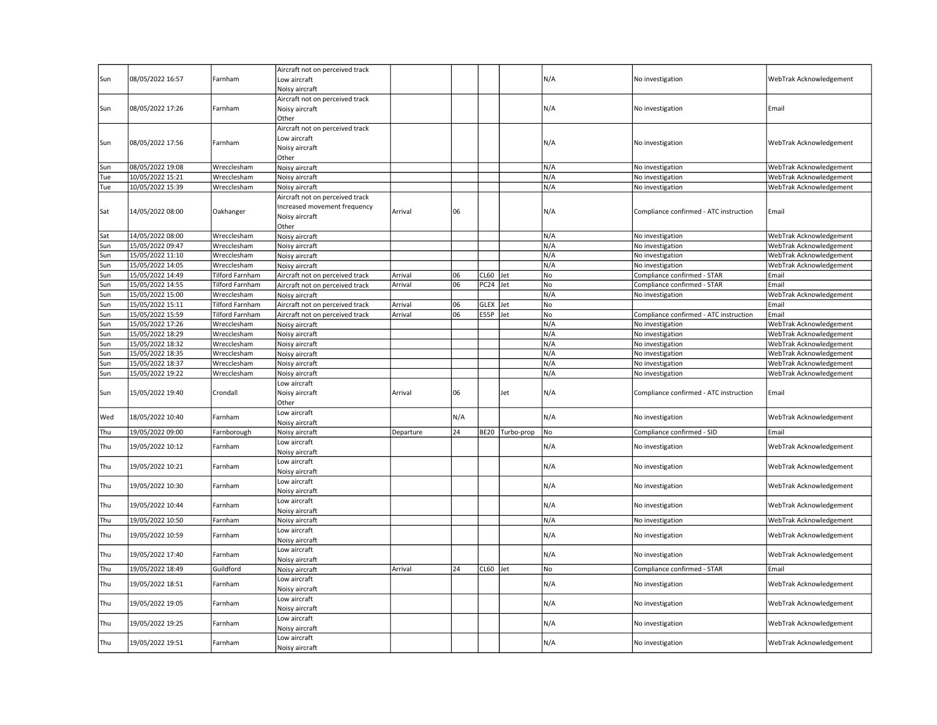| Sun | 08/05/2022 16:57 | Farnham         | Aircraft not on perceived track<br>Low aircraft<br>Noisy aircraft                          |           |     |                  |                 | N/A | No investigation                       | WebTrak Acknowledgement |
|-----|------------------|-----------------|--------------------------------------------------------------------------------------------|-----------|-----|------------------|-----------------|-----|----------------------------------------|-------------------------|
| Sun | 08/05/2022 17:26 | Farnham         | Aircraft not on perceived track<br>Noisy aircraft<br>Other                                 |           |     |                  |                 | N/A | No investigation                       | Email                   |
| Sun | 08/05/2022 17:56 | Farnham         | Aircraft not on perceived track<br>Low aircraft<br>Noisy aircraft<br>Other                 |           |     |                  |                 | N/A | No investigation                       | WebTrak Acknowledgement |
| Sun | 08/05/2022 19:08 | Wrecclesham     | Noisy aircraft                                                                             |           |     |                  |                 | N/A | No investigation                       | WebTrak Acknowledgement |
| Tue | 10/05/2022 15:21 | Wrecclesham     | Noisy aircraft                                                                             |           |     |                  |                 | N/A | No investigation                       | WebTrak Acknowledgement |
| Tue | 10/05/2022 15:39 | Wrecclesham     | Noisy aircraft                                                                             |           |     |                  |                 | N/A | No investigation                       | WebTrak Acknowledgement |
| Sat | 14/05/2022 08:00 | Oakhanger       | Aircraft not on perceived track<br>Increased movement frequency<br>Noisy aircraft<br>Other | Arrival   | 06  |                  |                 | N/A | Compliance confirmed - ATC instruction | Email                   |
| Sat | 14/05/2022 08:00 | Wrecclesham     | Noisy aircraft                                                                             |           |     |                  |                 | N/A | No investigation                       | WebTrak Acknowledgement |
| Sun | 15/05/2022 09:47 | Wrecclesham     | Noisy aircraft                                                                             |           |     |                  |                 | N/A | No investigation                       | WebTrak Acknowledgement |
| Sun | 15/05/2022 11:10 | Wrecclesham     | Noisy aircraft                                                                             |           |     |                  |                 | N/A | No investigation                       | WebTrak Acknowledgement |
| Sun | 15/05/2022 14:05 | Wrecclesham     | Noisy aircraft                                                                             |           |     |                  |                 | N/A | No investigation                       | WebTrak Acknowledgement |
| Sun | 15/05/2022 14:49 | Tilford Farnham | Aircraft not on perceived track                                                            | Arrival   | 06  | <b>CL60</b>      | Jet             | No  | Compliance confirmed - STAR            | Email                   |
| Sun | 15/05/2022 14:55 | Tilford Farnham | Aircraft not on perceived track                                                            | Arrival   | 06  | PC <sub>24</sub> | Jet             | No  | Compliance confirmed - STAR            | Email                   |
| Sun | 15/05/2022 15:00 | Wrecclesham     | Noisy aircraft                                                                             |           |     |                  |                 | N/A | No investigation                       | WebTrak Acknowledgement |
| Sun | 15/05/2022 15:11 | Tilford Farnham | Aircraft not on perceived track                                                            | Arrival   | 06  | <b>GLEX</b>      | Jet             | No  |                                        | Email                   |
| Sun | 15/05/2022 15:59 | Tilford Farnham | Aircraft not on perceived track                                                            | Arrival   | 06  | E55P             | Jet             | No  | Compliance confirmed - ATC instruction | Email                   |
| Sun | 15/05/2022 17:26 | Wrecclesham     | Noisy aircraft                                                                             |           |     |                  |                 | N/A | No investigation                       | WebTrak Acknowledgement |
| Sun | 15/05/2022 18:29 | Wrecclesham     | Noisy aircraft                                                                             |           |     |                  |                 | N/A | No investigation                       | WebTrak Acknowledgement |
| Sun | 15/05/2022 18:32 | Wrecclesham     | Noisy aircraft                                                                             |           |     |                  |                 | N/A | No investigation                       | WebTrak Acknowledgement |
| Sun | 15/05/2022 18:35 | Wrecclesham     | Noisy aircraft                                                                             |           |     |                  |                 | N/A | No investigation                       | WebTrak Acknowledgement |
| Sun | 15/05/2022 18:37 | Wrecclesham     | Noisy aircraft                                                                             |           |     |                  |                 | N/A | No investigation                       | WebTrak Acknowledgement |
| Sun | 15/05/2022 19:22 | Wrecclesham     | Noisy aircraft                                                                             |           |     |                  |                 | N/A | No investigation                       | WebTrak Acknowledgement |
| Sun | 15/05/2022 19:40 | Crondall        | Low aircraft<br>Noisy aircraft<br>Other                                                    | Arrival   | 06  |                  | Jet             | N/A | Compliance confirmed - ATC instruction | Email                   |
| Wed | 18/05/2022 10:40 | Farnham         | Low aircraft<br>Noisy aircraft                                                             |           | N/A |                  |                 | N/A | No investigation                       | WebTrak Acknowledgement |
| Thu | 19/05/2022 09:00 | Farnborough     | Noisy aircraft                                                                             | Departure | 24  |                  | BE20 Turbo-prop | No  | Compliance confirmed - SID             | Email                   |
| Thu | 19/05/2022 10:12 | Farnham         | Low aircraft<br>Noisy aircraft                                                             |           |     |                  |                 | N/A | No investigation                       | WebTrak Acknowledgement |
| Thu | 19/05/2022 10:21 | Farnham         | Low aircraft<br>Noisy aircraft                                                             |           |     |                  |                 | N/A | No investigation                       | WebTrak Acknowledgement |
| Thu | 19/05/2022 10:30 | Farnham         | Low aircraft<br>Noisy aircraft                                                             |           |     |                  |                 | N/A | No investigation                       | WebTrak Acknowledgement |
| Thu | 19/05/2022 10:44 | Farnham         | Low aircraft<br>Noisy aircraft                                                             |           |     |                  |                 | N/A | No investigation                       | WebTrak Acknowledgement |
| Thu | 19/05/2022 10:50 | Farnham         | Noisy aircraft                                                                             |           |     |                  |                 | N/A | No investigation                       | WebTrak Acknowledgement |
| Thu | 19/05/2022 10:59 | Farnham         | Low aircraft<br>Noisy aircraft                                                             |           |     |                  |                 | N/A | No investigation                       | WebTrak Acknowledgement |
| Thu | 19/05/2022 17:40 | Farnham         | Low aircraft<br>Noisy aircraft                                                             |           |     |                  |                 | N/A | No investigation                       | WebTrak Acknowledgement |
| Thu | 19/05/2022 18:49 | Guildford       | Noisy aircraft                                                                             | Arrival   | 24  | <b>CL60</b>      | Jet             | No  | Compliance confirmed - STAR            | Email                   |
| Thu | 19/05/2022 18:51 | Farnham         | Low aircraft<br>Noisy aircraft                                                             |           |     |                  |                 | N/A | No investigation                       | WebTrak Acknowledgement |
| Thu | 19/05/2022 19:05 | Farnham         | Low aircraft<br>Noisy aircraft                                                             |           |     |                  |                 | N/A | No investigation                       | WebTrak Acknowledgement |
| Thu | 19/05/2022 19:25 | Farnham         | Low aircraft<br>Noisy aircraft                                                             |           |     |                  |                 | N/A | No investigation                       | WebTrak Acknowledgement |
| Thu | 19/05/2022 19:51 | Farnham         | Low aircraft<br>Noisy aircraft                                                             |           |     |                  |                 | N/A | No investigation                       | WebTrak Acknowledgement |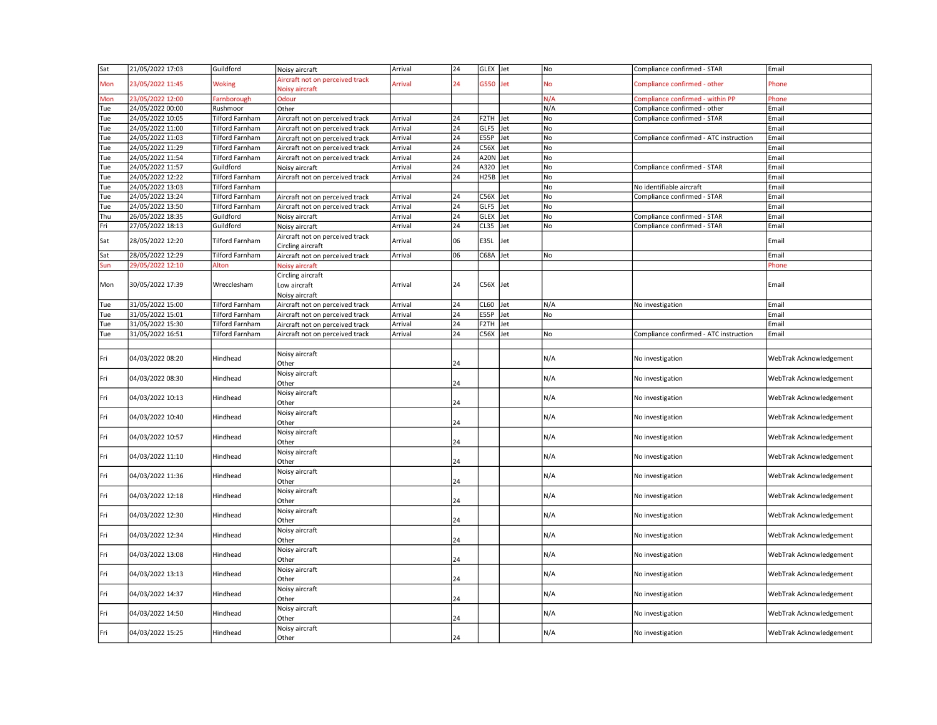| Sat | 21/05/2022 17:03 | Guildford              | Noisy aircraft                                       | Arrival | 24              | GLEX Jet             |     | No  | Compliance confirmed - STAR            | Email                   |
|-----|------------------|------------------------|------------------------------------------------------|---------|-----------------|----------------------|-----|-----|----------------------------------------|-------------------------|
| Mon | 23/05/2022 11:45 | <b>Woking</b>          | Aircraft not on perceived track<br>Noisy aircraft    | Arrival | 24              | G550                 | Jet | No  | Compliance confirmed - other           | Phone                   |
| Mon | 23/05/2022 12:00 | Farnborough            | <b>Odour</b>                                         |         |                 |                      |     | N/A | Compliance confirmed - within PP       | Phone                   |
| Tue | 24/05/2022 00:00 | Rushmoor               | Other                                                |         |                 |                      |     | N/A | Compliance confirmed - other           | Email                   |
| Tue | 24/05/2022 10:05 | <b>Tilford Farnham</b> | Aircraft not on perceived track                      | Arrival | 24              | F2TH Jet             |     | No  | Compliance confirmed - STAR            | Email                   |
| Tue | 24/05/2022 11:00 | <b>Tilford Farnham</b> | Aircraft not on perceived track                      | Arrival | 24              | GLF5                 | Jet | No  |                                        | Email                   |
| Tue | 24/05/2022 11:03 | Tilford Farnham        | Aircraft not on perceived track                      | Arrival | 24              | <b>E55P</b>          | Jet | No  | Compliance confirmed - ATC instruction | Email                   |
| Tue | 24/05/2022 11:29 | <b>Tilford Farnham</b> | Aircraft not on perceived track                      | Arrival | 24              | C56X                 | Jet | No  |                                        | Email                   |
| Tue | 24/05/2022 11:54 | Tilford Farnham        | Aircraft not on perceived track                      | Arrival | 24              | A <sub>20</sub> N    | Jet | No  |                                        | Email                   |
| Tue | 24/05/2022 11:57 | Guildford              | Noisy aircraft                                       | Arrival | 24              | A320                 | Jet | No  | Compliance confirmed - STAR            | Email                   |
| Tue | 24/05/2022 12:22 | Tilford Farnham        | Aircraft not on perceived track                      | Arrival | 24              | H <sub>25B</sub> Jet |     | No  |                                        | Email                   |
| Tue | 24/05/2022 13:03 | Tilford Farnham        |                                                      |         |                 |                      |     | No  | No identifiable aircraft               | Email                   |
| Tue | 24/05/2022 13:24 | Tilford Farnham        |                                                      | Arrival | 24              | $C56X$ Jet           |     | No  | Compliance confirmed - STAR            | Email                   |
|     |                  |                        | Aircraft not on perceived track                      |         | $\overline{24}$ | GLF5                 |     | No  |                                        |                         |
| Tue | 24/05/2022 13:50 | <b>Tilford Farnham</b> | Aircraft not on perceived track                      | Arrival |                 |                      | Jet |     |                                        | Email                   |
| Thu | 26/05/2022 18:35 | Guildford              | Noisy aircraft                                       | Arrival | 24              | GLEX                 | Jet | No  | Compliance confirmed - STAR            | Email                   |
| Fri | 27/05/2022 18:13 | Guildford              | Noisy aircraft                                       | Arrival | 24              | CL35                 | Jet | No  | Compliance confirmed - STAR            | Email                   |
| Sat | 28/05/2022 12:20 | <b>Tilford Farnham</b> | Aircraft not on perceived track<br>Circling aircraft | Arrival | 06              | E35L                 | Jet |     |                                        | Email                   |
| Sat | 28/05/2022 12:29 | <b>Tilford Farnham</b> | Aircraft not on perceived track                      | Arrival | 06              | C68A                 | Jet | No  |                                        | Email                   |
| Sun | 29/05/2022 12:10 | Alton                  | Noisy aircraft                                       |         |                 |                      |     |     |                                        | Phone                   |
| Mon | 30/05/2022 17:39 | Wrecclesham            | Circling aircraft<br>Low aircraft<br>Noisy aircraft  | Arrival | 24              | $C56X$ Jet           |     |     |                                        | Email                   |
| Tue | 31/05/2022 15:00 | <b>Tilford Farnham</b> | Aircraft not on perceived track                      | Arrival | 24              | <b>CL60</b>          | Jet | N/A | No investigation                       | Email                   |
| Tue | 31/05/2022 15:01 | <b>Tilford Farnham</b> | Aircraft not on perceived track                      | Arrival | 24              | <b>E55P</b>          | Jet | No  |                                        | Email                   |
| Tue | 31/05/2022 15:30 | Tilford Farnham        | Aircraft not on perceived track                      | Arrival | 24              | F <sub>2</sub> TH    | Jet |     |                                        | Email                   |
| Tue | 31/05/2022 16:51 | Tilford Farnham        | Aircraft not on perceived track                      | Arrival | 24              | C56X                 | Jet | No  | Compliance confirmed - ATC instruction | Email                   |
|     |                  |                        |                                                      |         |                 |                      |     |     |                                        |                         |
| Fri | 04/03/2022 08:20 | Hindhead               | Noisy aircraft<br>Other                              |         | 24              |                      |     | N/A | No investigation                       | WebTrak Acknowledgement |
| Fri | 04/03/2022 08:30 | Hindhead               | Noisy aircraft<br>Other                              |         | 24              |                      |     | N/A | No investigation                       | WebTrak Acknowledgement |
| Fri | 04/03/2022 10:13 | Hindhead               | Noisy aircraft<br>Other                              |         | 24              |                      |     | N/A | No investigation                       | WebTrak Acknowledgement |
| Fri | 04/03/2022 10:40 | Hindhead               | Noisy aircraft<br>Other                              |         | 24              |                      |     | N/A | No investigation                       | WebTrak Acknowledgement |
| Fri | 04/03/2022 10:57 | Hindhead               | Noisy aircraft<br>Other                              |         | 24              |                      |     | N/A | No investigation                       | WebTrak Acknowledgement |
| Fri | 04/03/2022 11:10 | Hindhead               | Noisy aircraft<br>Other                              |         | 24              |                      |     | N/A | No investigation                       | WebTrak Acknowledgement |
| Fri | 04/03/2022 11:36 | Hindhead               | Noisy aircraft<br>Other                              |         | 24              |                      |     | N/A | No investigation                       | WebTrak Acknowledgement |
| Fri | 04/03/2022 12:18 | Hindhead               | Noisy aircraft<br>Other                              |         | 24              |                      |     | N/A | No investigation                       | WebTrak Acknowledgement |
| Fri | 04/03/2022 12:30 | Hindhead               | Noisy aircraft<br>Other                              |         | 24              |                      |     | N/A | No investigation                       | WebTrak Acknowledgement |
| Fri | 04/03/2022 12:34 | Hindhead               | Noisy aircraft<br>Other                              |         | 24              |                      |     | N/A | No investigation                       | WebTrak Acknowledgement |
| Fri | 04/03/2022 13:08 | Hindhead               | Noisy aircraft<br>Other                              |         | 24              |                      |     | N/A | No investigation                       | WebTrak Acknowledgement |
| Fri | 04/03/2022 13:13 | Hindhead               | Noisy aircraft<br>Other                              |         | 24              |                      |     | N/A | No investigation                       | WebTrak Acknowledgement |
| Fri | 04/03/2022 14:37 | Hindhead               | Noisy aircraft<br>Other                              |         | 24              |                      |     | N/A | No investigation                       | WebTrak Acknowledgement |
| Fri | 04/03/2022 14:50 | Hindhead               | Noisy aircraft<br>Other                              |         | 24              |                      |     | N/A | No investigation                       | WebTrak Acknowledgement |
| Fri | 04/03/2022 15:25 | Hindhead               | Noisy aircraft<br>Other                              |         | 24              |                      |     | N/A | No investigation                       | WebTrak Acknowledgement |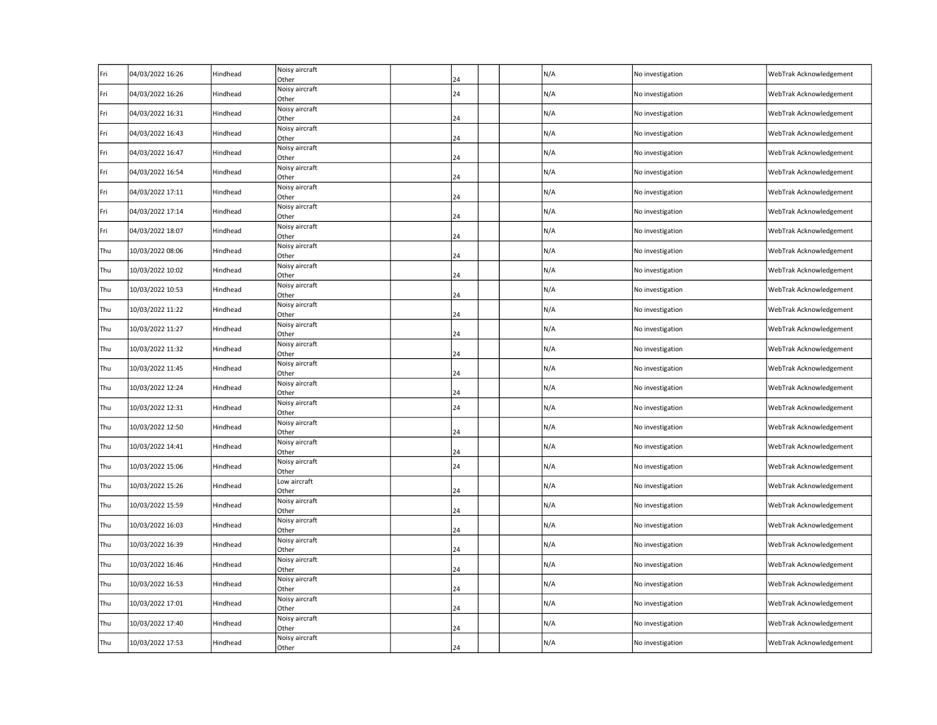| Fri | 04/03/2022 16:26 | Hindhead | Noisy aircraft<br>Other | 24 | N/A | No investigation | WebTrak Acknowledgement |
|-----|------------------|----------|-------------------------|----|-----|------------------|-------------------------|
| Fri | 04/03/2022 16:26 | Hindhead | Noisy aircraft<br>Other | 24 | N/A | No investigation | WebTrak Acknowledgement |
| Fri | 04/03/2022 16:31 | Hindhead | Noisy aircraft<br>Other | 24 | N/A | No investigation | WebTrak Acknowledgement |
| Fri | 04/03/2022 16:43 | Hindhead | Noisy aircraft<br>Other | 24 | N/A | No investigation | WebTrak Acknowledgement |
| Fri | 04/03/2022 16:47 | Hindhead | Noisy aircraft<br>Other | 24 | N/A | No investigation | WebTrak Acknowledgement |
| Fri | 04/03/2022 16:54 | Hindhead | Noisy aircraft<br>Other | 24 | N/A | No investigation | WebTrak Acknowledgement |
| Fri | 04/03/2022 17:11 | Hindhead | Noisy aircraft<br>Other | 24 | N/A | No investigation | WebTrak Acknowledgement |
| Fri | 04/03/2022 17:14 | Hindhead | Noisy aircraft<br>Other | 24 | N/A | No investigation | WebTrak Acknowledgement |
| Fri | 04/03/2022 18:07 | Hindhead | Noisy aircraft<br>Other | 24 | N/A | No investigation | WebTrak Acknowledgement |
| Thu | 10/03/2022 08:06 | Hindhead | Noisy aircraft<br>Other | 24 | N/A | No investigation | WebTrak Acknowledgement |
| Thu | 10/03/2022 10:02 | Hindhead | Noisy aircraft<br>Other | 24 | N/A | No investigation | WebTrak Acknowledgement |
| Thu | 10/03/2022 10:53 | Hindhead | Noisy aircraft<br>Other | 24 | N/A | No investigation | WebTrak Acknowledgement |
| Thu | 10/03/2022 11:22 | Hindhead | Noisy aircraft<br>Other | 24 | N/A | No investigation | WebTrak Acknowledgement |
| Thu | 10/03/2022 11:27 | Hindhead | Noisy aircraft<br>Other | 24 | N/A | No investigation | WebTrak Acknowledgement |
| Thu | 10/03/2022 11:32 | Hindhead | Noisy aircraft<br>Other | 24 | N/A | No investigation | WebTrak Acknowledgement |
| Thu | 10/03/2022 11:45 | Hindhead | Noisy aircraft<br>Other | 24 | N/A | No investigation | WebTrak Acknowledgement |
| Thu | 10/03/2022 12:24 | Hindhead | Noisy aircraft<br>Other | 24 | N/A | No investigation | WebTrak Acknowledgement |
| Thu | 10/03/2022 12:31 | Hindhead | Noisy aircraft<br>Other | 24 | N/A | No investigation | WebTrak Acknowledgement |
| Thu | 10/03/2022 12:50 | Hindhead | Noisy aircraft<br>Other | 24 | N/A | No investigation | WebTrak Acknowledgement |
| Thu | 10/03/2022 14:41 | Hindhead | Noisy aircraft<br>Other | 24 | N/A | No investigation | WebTrak Acknowledgement |
| Thu | 10/03/2022 15:06 | Hindhead | Noisy aircraft<br>Other | 24 | N/A | No investigation | WebTrak Acknowledgement |
| Thu | 10/03/2022 15:26 | Hindhead | Low aircraft<br>Other   | 24 | N/A | No investigation | WebTrak Acknowledgement |
| Thu | 10/03/2022 15:59 | Hindhead | Noisy aircraft<br>Other | 24 | N/A | No investigation | WebTrak Acknowledgement |
| Thu | 10/03/2022 16:03 | Hindhead | Noisy aircraft<br>Other | 24 | N/A | No investigation | WebTrak Acknowledgement |
| Thu | 10/03/2022 16:39 | Hindhead | Noisy aircraft<br>Other | 24 | N/A | No investigation | WebTrak Acknowledgement |
| Thu | 10/03/2022 16:46 | Hindhead | Noisy aircraft<br>Other | 24 | N/A | No investigation | WebTrak Acknowledgement |
| Thu | 10/03/2022 16:53 | Hindhead | Noisy aircraft<br>Other | 24 | N/A | No investigation | WebTrak Acknowledgement |
| Thu | 10/03/2022 17:01 | Hindhead | Noisy aircraft<br>Other | 24 | N/A | No investigation | WebTrak Acknowledgement |
| Thu | 10/03/2022 17:40 | Hindhead | Noisy aircraft<br>Other | 24 | N/A | No investigation | WebTrak Acknowledgement |
| Thu | 10/03/2022 17:53 | Hindhead | Noisy aircraft<br>Other | 24 | N/A | No investigation | WebTrak Acknowledgement |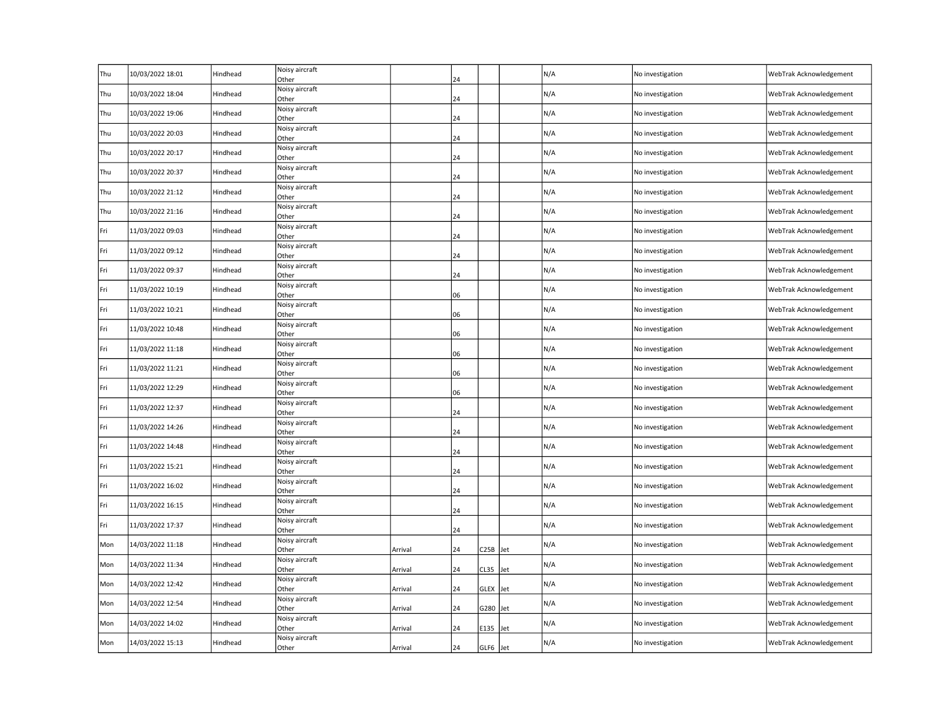| Thu | 10/03/2022 18:01 | Hindhead | Noisy aircraft<br>Other |         | 24 |             |     | N/A | No investigation | WebTrak Acknowledgement |
|-----|------------------|----------|-------------------------|---------|----|-------------|-----|-----|------------------|-------------------------|
| Thu | 10/03/2022 18:04 | Hindhead | Noisy aircraft<br>Other |         | 24 |             |     | N/A | No investigation | WebTrak Acknowledgement |
| Thu | 10/03/2022 19:06 | Hindhead | Noisy aircraft<br>Other |         | 24 |             |     | N/A | No investigation | WebTrak Acknowledgement |
| Thu | 10/03/2022 20:03 | Hindhead | Noisy aircraft<br>Other |         | 24 |             |     | N/A | No investigation | WebTrak Acknowledgement |
| Thu | 10/03/2022 20:17 | Hindhead | Noisy aircraft<br>Other |         | 24 |             |     | N/A | No investigation | WebTrak Acknowledgement |
| Thu | 10/03/2022 20:37 | Hindhead | Noisy aircraft<br>Other |         | 24 |             |     | N/A | No investigation | WebTrak Acknowledgement |
| Thu | 10/03/2022 21:12 | Hindhead | Noisy aircraft<br>Other |         | 24 |             |     | N/A | No investigation | WebTrak Acknowledgement |
| Thu | 10/03/2022 21:16 | Hindhead | Noisy aircraft<br>Other |         | 24 |             |     | N/A | No investigation | WebTrak Acknowledgement |
| Fri | 11/03/2022 09:03 | Hindhead | Noisy aircraft<br>Other |         | 24 |             |     | N/A | No investigation | WebTrak Acknowledgement |
| Fri | 11/03/2022 09:12 | Hindhead | Noisy aircraft<br>Other |         | 24 |             |     | N/A | No investigation | WebTrak Acknowledgement |
| Fri | 11/03/2022 09:37 | Hindhead | Noisy aircraft<br>Other |         | 24 |             |     | N/A | No investigation | WebTrak Acknowledgement |
| Fri | 11/03/2022 10:19 | Hindhead | Noisy aircraft<br>Other |         | 06 |             |     | N/A | No investigation | WebTrak Acknowledgement |
| Fri | 11/03/2022 10:21 | Hindhead | Noisy aircraft<br>Other |         | 06 |             |     | N/A | No investigation | WebTrak Acknowledgement |
| Fri | 11/03/2022 10:48 | Hindhead | Noisy aircraft<br>Other |         | 06 |             |     | N/A | No investigation | WebTrak Acknowledgement |
| Fri | 11/03/2022 11:18 | Hindhead | Noisy aircraft<br>Other |         | 06 |             |     | N/A | No investigation | WebTrak Acknowledgement |
| Fri | 11/03/2022 11:21 | Hindhead | Noisy aircraft<br>Other |         | 06 |             |     | N/A | No investigation | WebTrak Acknowledgement |
| Fri | 11/03/2022 12:29 | Hindhead | Noisy aircraft<br>Other |         | 06 |             |     | N/A | No investigation | WebTrak Acknowledgement |
| Fri | 11/03/2022 12:37 | Hindhead | Noisy aircraft<br>Other |         | 24 |             |     | N/A | No investigation | WebTrak Acknowledgement |
| Fri | 11/03/2022 14:26 | Hindhead | Noisy aircraft<br>Other |         | 24 |             |     | N/A | No investigation | WebTrak Acknowledgement |
| Fri | 11/03/2022 14:48 | Hindhead | Noisy aircraft<br>Other |         | 24 |             |     | N/A | No investigation | WebTrak Acknowledgement |
| Fri | 11/03/2022 15:21 | Hindhead | Noisy aircraft<br>Other |         | 24 |             |     | N/A | No investigation | WebTrak Acknowledgement |
| Fri | 11/03/2022 16:02 | Hindhead | Noisy aircraft<br>Other |         | 24 |             |     | N/A | No investigation | WebTrak Acknowledgement |
| Fri | 11/03/2022 16:15 | Hindhead | Noisy aircraft<br>Other |         | 24 |             |     | N/A | No investigation | WebTrak Acknowledgement |
| Fri | 11/03/2022 17:37 | Hindhead | Noisy aircraft<br>Other |         | 24 |             |     | N/A | No investigation | WebTrak Acknowledgement |
| Mon | 14/03/2022 11:18 | Hindhead | Noisy aircraft<br>Other | Arrival | 24 | $C25B$ Jet  |     | N/A | No investigation | WebTrak Acknowledgement |
| Mon | 14/03/2022 11:34 | Hindhead | Noisy aircraft<br>Other | Arrival | 24 | CL35        | Jet | N/A | No investigation | WebTrak Acknowledgement |
| Mon | 14/03/2022 12:42 | Hindhead | Noisy aircraft<br>Other | Arrival | 24 | <b>GLEX</b> | Jet | N/A | No investigation | WebTrak Acknowledgement |
| Mon | 14/03/2022 12:54 | Hindhead | Noisy aircraft<br>Other | Arrival | 24 | G280 Jet    |     | N/A | No investigation | WebTrak Acknowledgement |
| Mon | 14/03/2022 14:02 | Hindhead | Noisy aircraft<br>Other | Arrival | 24 | E135        | Jet | N/A | No investigation | WebTrak Acknowledgement |
| Mon | 14/03/2022 15:13 | Hindhead | Noisy aircraft<br>Other | Arrival | 24 | GLF6 Jet    |     | N/A | No investigation | WebTrak Acknowledgement |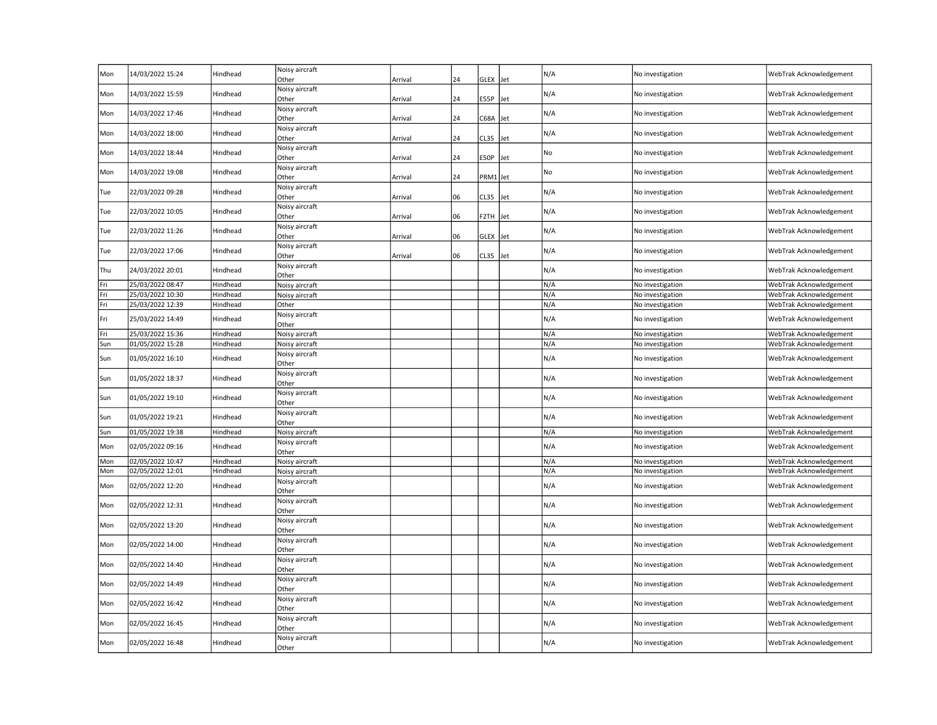| Mon | 14/03/2022 15:24 | Hindhead | Noisy aircraft<br>Other        | Arrival | 24 | GLEX Jet    |     | N/A | No investigation | WebTrak Acknowledgement |
|-----|------------------|----------|--------------------------------|---------|----|-------------|-----|-----|------------------|-------------------------|
| Mon | 14/03/2022 15:59 | Hindhead | Noisy aircraft<br>Other        | Arrival | 24 | E55P        | Jet | N/A | No investigation | WebTrak Acknowledgement |
| Mon | 14/03/2022 17:46 | Hindhead | Noisy aircraft<br>Other        | Arrival | 24 | C68A Jet    |     | N/A | No investigation | WebTrak Acknowledgement |
| Mon | 14/03/2022 18:00 | Hindhead | Noisy aircraft<br>Other        | Arrival | 24 | CL35        | Jet | N/A | No investigation | WebTrak Acknowledgement |
| Mon | 14/03/2022 18:44 | Hindhead | Noisy aircraft<br>Other        | Arrival | 24 | E50P        | Jet | No  | No investigation | WebTrak Acknowledgement |
| Mon | 14/03/2022 19:08 | Hindhead | Noisy aircraft<br>Other        | Arrival | 24 | PRM1 Jet    |     | No  | No investigation | WebTrak Acknowledgement |
| Tue | 22/03/2022 09:28 | Hindhead | Noisy aircraft<br><b>Other</b> | Arrival | 06 | CL35        | Jet | N/A | No investigation | WebTrak Acknowledgement |
| Tue | 22/03/2022 10:05 | Hindhead | Noisy aircraft<br>Other        | Arrival | 06 | F2TH        | let | N/A | No investigation | WebTrak Acknowledgement |
| Tue | 22/03/2022 11:26 | Hindhead | Noisy aircraft<br>Other        | Arrival | 06 | <b>GLEX</b> | Jet | N/A | No investigation | WebTrak Acknowledgement |
| Tue | 22/03/2022 17:06 | Hindhead | Noisy aircraft<br>Other        | Arrival | 06 | CL35        | Jet | N/A | No investigation | WebTrak Acknowledgement |
| Thu | 24/03/2022 20:01 | Hindhead | Noisy aircraft<br>Other        |         |    |             |     | N/A | No investigation | WebTrak Acknowledgement |
| Fri | 25/03/2022 08:47 | Hindhead | Noisy aircraft                 |         |    |             |     | N/A | No investigation | WebTrak Acknowledgement |
| Fri | 25/03/2022 10:30 | Hindhead | Noisy aircraft                 |         |    |             |     | N/A | No investigation | WebTrak Acknowledgement |
| Fri | 25/03/2022 12:39 | Hindhead | Other                          |         |    |             |     | N/A | No investigation | WebTrak Acknowledgement |
| Fri | 25/03/2022 14:49 | Hindhead | Noisy aircraft<br>Other        |         |    |             |     | N/A | No investigation | WebTrak Acknowledgement |
| Fri | 25/03/2022 15:36 | Hindhead | Noisy aircraft                 |         |    |             |     | N/A | No investigation | WebTrak Acknowledgement |
| Sun | 01/05/2022 15:28 | Hindhead | Noisy aircraft                 |         |    |             |     | N/A | No investigation | WebTrak Acknowledgement |
| Sun | 01/05/2022 16:10 | Hindhead | Noisy aircraft<br>Other        |         |    |             |     | N/A | No investigation | WebTrak Acknowledgement |
| Sun | 01/05/2022 18:37 | Hindhead | Noisy aircraft<br>Other        |         |    |             |     | N/A | No investigation | WebTrak Acknowledgement |
| Sun | 01/05/2022 19:10 | Hindhead | Noisy aircraft<br>Other        |         |    |             |     | N/A | No investigation | WebTrak Acknowledgement |
| Sun | 01/05/2022 19:21 | Hindhead | Noisy aircraft<br>Other        |         |    |             |     | N/A | No investigation | WebTrak Acknowledgement |
| Sun | 01/05/2022 19:38 | Hindhead | Noisy aircraft                 |         |    |             |     | N/A | No investigation | WebTrak Acknowledgement |
| Mon | 02/05/2022 09:16 | Hindhead | Noisy aircraft<br>Other        |         |    |             |     | N/A | No investigation | WebTrak Acknowledgement |
| Mon | 02/05/2022 10:47 | Hindhead | Noisy aircraft                 |         |    |             |     | N/A | No investigation | WebTrak Acknowledgement |
| Mon | 02/05/2022 12:01 | Hindhead | Noisy aircraft                 |         |    |             |     | N/A | No investigation | WebTrak Acknowledgement |
| Mon | 02/05/2022 12:20 | Hindhead | Noisy aircraft<br>Other        |         |    |             |     | N/A | No investigation | WebTrak Acknowledgement |
| Mon | 02/05/2022 12:31 | Hindhead | Noisy aircraft<br>Other        |         |    |             |     | N/A | No investigation | WebTrak Acknowledgement |
| Mon | 02/05/2022 13:20 | Hindhead | Noisy aircraft<br>Other        |         |    |             |     | N/A | No investigation | WebTrak Acknowledgement |
| Mon | 02/05/2022 14:00 | Hindhead | Noisy aircraft<br>Other        |         |    |             |     | N/A | No investigation | WebTrak Acknowledgement |
| Mon | 02/05/2022 14:40 | Hindhead | Noisy aircraft<br>Other        |         |    |             |     | N/A | No investigation | WebTrak Acknowledgement |
| Mon | 02/05/2022 14:49 | Hindhead | Noisy aircraft<br>Other        |         |    |             |     | N/A | No investigation | WebTrak Acknowledgement |
| Mon | 02/05/2022 16:42 | Hindhead | Noisy aircraft<br>Other        |         |    |             |     | N/A | No investigation | WebTrak Acknowledgement |
| Mon | 02/05/2022 16:45 | Hindhead | Noisy aircraft<br>Other        |         |    |             |     | N/A | No investigation | WebTrak Acknowledgement |
| Mon | 02/05/2022 16:48 | Hindhead | Noisy aircraft<br>Other        |         |    |             |     | N/A | No investigation | WebTrak Acknowledgement |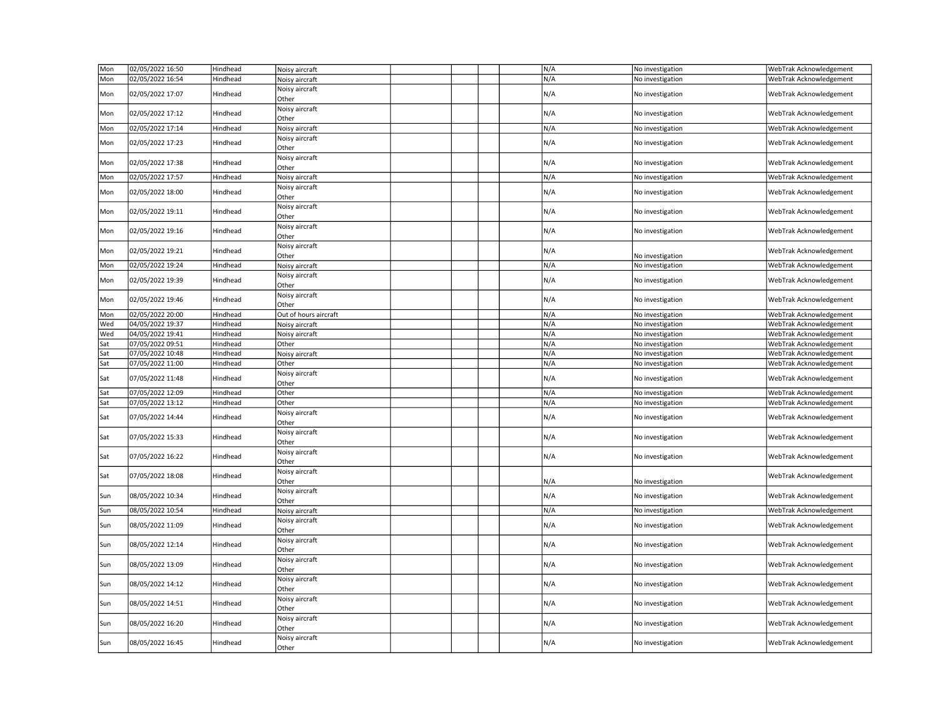| Mon | 02/05/2022 16:50 | Hindhead | Noisy aircraft          |  |  | N/A | No investigation | WebTrak Acknowledgement |
|-----|------------------|----------|-------------------------|--|--|-----|------------------|-------------------------|
| Mon | 02/05/2022 16:54 | Hindhead | Noisy aircraft          |  |  | N/A | No investigation | WebTrak Acknowledgement |
| Mon | 02/05/2022 17:07 | Hindhead | Noisy aircraft<br>Other |  |  | N/A | No investigation | WebTrak Acknowledgement |
| Mon | 02/05/2022 17:12 | Hindhead | Noisy aircraft<br>Other |  |  | N/A | No investigation | WebTrak Acknowledgement |
| Mon | 02/05/2022 17:14 | Hindhead | Noisy aircraft          |  |  | N/A | No investigation | WebTrak Acknowledgement |
| Mon | 02/05/2022 17:23 | Hindhead | Noisy aircraft<br>Other |  |  | N/A | No investigation | WebTrak Acknowledgement |
| Mon | 02/05/2022 17:38 | Hindhead | Noisy aircraft<br>Other |  |  | N/A | No investigation | WebTrak Acknowledgement |
| Mon | 02/05/2022 17:57 | Hindhead | Noisy aircraft          |  |  | N/A | No investigation | WebTrak Acknowledgement |
| Mon | 02/05/2022 18:00 | Hindhead | Noisy aircraft<br>Other |  |  | N/A | No investigation | WebTrak Acknowledgement |
| Mon | 02/05/2022 19:11 | Hindhead | Noisy aircraft<br>Other |  |  | N/A | No investigation | WebTrak Acknowledgement |
| Mon | 02/05/2022 19:16 | Hindhead | Noisy aircraft<br>Other |  |  | N/A | No investigation | WebTrak Acknowledgement |
| Mon | 02/05/2022 19:21 | Hindhead | Noisy aircraft<br>Other |  |  | N/A | No investigation | WebTrak Acknowledgement |
| Mon | 02/05/2022 19:24 | Hindhead | Noisy aircraft          |  |  | N/A | No investigation | WebTrak Acknowledgement |
| Mon | 02/05/2022 19:39 | Hindhead | Noisy aircraft<br>Other |  |  | N/A | No investigation | WebTrak Acknowledgement |
| Mon | 02/05/2022 19:46 | Hindhead | Noisy aircraft<br>Other |  |  | N/A | No investigation | WebTrak Acknowledgement |
| Mon | 02/05/2022 20:00 | Hindhead | Out of hours aircraft   |  |  | N/A | No investigation | WebTrak Acknowledgement |
| Wed | 04/05/2022 19:37 | Hindhead | Noisy aircraft          |  |  | N/A | No investigation | WebTrak Acknowledgement |
| Wed | 04/05/2022 19:41 | Hindhead | Noisy aircraft          |  |  | N/A | No investigation | WebTrak Acknowledgement |
| Sat | 07/05/2022 09:51 | Hindhead | Other                   |  |  | N/A | No investigation | WebTrak Acknowledgement |
| Sat | 07/05/2022 10:48 | Hindhead | Noisy aircraft          |  |  | N/A | No investigation | WebTrak Acknowledgement |
| Sat | 07/05/2022 11:00 | Hindhead | Other                   |  |  | N/A | No investigation | WebTrak Acknowledgement |
| Sat | 07/05/2022 11:48 | Hindhead | Noisy aircraft<br>Other |  |  | N/A | No investigation | WebTrak Acknowledgement |
| Sat | 07/05/2022 12:09 | Hindhead | Other                   |  |  | N/A | No investigation | WebTrak Acknowledgement |
| Sat | 07/05/2022 13:12 | Hindhead | Other                   |  |  | N/A | No investigation | WebTrak Acknowledgement |
| Sat | 07/05/2022 14:44 | Hindhead | Noisy aircraft<br>Other |  |  | N/A | No investigation | WebTrak Acknowledgement |
| Sat | 07/05/2022 15:33 | Hindhead | Noisy aircraft<br>Other |  |  | N/A | No investigation | WebTrak Acknowledgement |
| Sat | 07/05/2022 16:22 | Hindhead | Noisy aircraft<br>Other |  |  | N/A | No investigation | WebTrak Acknowledgement |
| Sat | 07/05/2022 18:08 | Hindhead | Noisy aircraft<br>Other |  |  | N/A | No investigation | WebTrak Acknowledgement |
| Sun | 08/05/2022 10:34 | Hindhead | Noisy aircraft<br>Other |  |  | N/A | No investigation | WebTrak Acknowledgement |
| Sun | 08/05/2022 10:54 | Hindhead | Noisy aircraft          |  |  | N/A | No investigation | WebTrak Acknowledgement |
| Sun | 08/05/2022 11:09 | Hindhead | Noisy aircraft<br>Other |  |  | N/A | No investigation | WebTrak Acknowledgement |
| Sun | 08/05/2022 12:14 | Hindhead | Noisy aircraft<br>Other |  |  | N/A | No investigation | WebTrak Acknowledgement |
| Sun | 08/05/2022 13:09 | Hindhead | Noisy aircraft<br>Other |  |  | N/A | No investigation | WebTrak Acknowledgement |
| Sun | 08/05/2022 14:12 | Hindhead | Noisy aircraft<br>Other |  |  | N/A | No investigation | WebTrak Acknowledgement |
| Sun | 08/05/2022 14:51 | Hindhead | Noisy aircraft<br>Other |  |  | N/A | No investigation | WebTrak Acknowledgement |
| Sun |                  |          | Noisy aircraft          |  |  |     | No investigation |                         |
|     | 08/05/2022 16:20 | Hindhead | Other                   |  |  | N/A |                  | WebTrak Acknowledgement |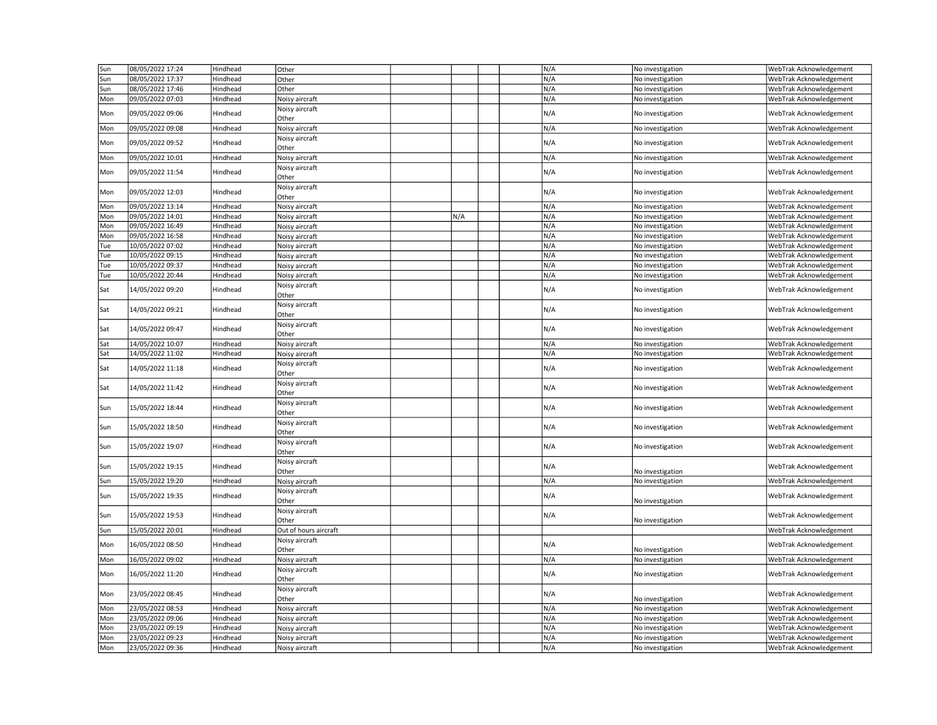| Sun | 08/05/2022 17:24 | Hindhead | Other                   |     |  | N/A | No investigation | WebTrak Acknowledgement |
|-----|------------------|----------|-------------------------|-----|--|-----|------------------|-------------------------|
| Sun | 08/05/2022 17:37 | Hindhead | Other                   |     |  | N/A | No investigation | WebTrak Acknowledgement |
| Sun | 08/05/2022 17:46 | Hindhead | Other                   |     |  | N/A | No investigation | WebTrak Acknowledgement |
| Mon | 09/05/2022 07:03 | Hindhead | Noisy aircraft          |     |  | N/A | No investigation | WebTrak Acknowledgement |
|     |                  |          | Noisy aircraft          |     |  |     |                  |                         |
| Mon | 09/05/2022 09:06 | Hindhead | Other                   |     |  | N/A | No investigation | WebTrak Acknowledgement |
| Mon | 09/05/2022 09:08 | Hindhead | Noisy aircraft          |     |  | N/A | No investigation | WebTrak Acknowledgement |
| Mon | 09/05/2022 09:52 | Hindhead | Noisy aircraft<br>Other |     |  | N/A | No investigation | WebTrak Acknowledgement |
| Mon | 09/05/2022 10:01 | Hindhead | Noisy aircraft          |     |  | N/A | No investigation | WebTrak Acknowledgement |
| Mon | 09/05/2022 11:54 | Hindhead | Noisy aircraft<br>Other |     |  | N/A | No investigation | WebTrak Acknowledgement |
| Mon | 09/05/2022 12:03 | Hindhead | Noisy aircraft<br>Other |     |  | N/A | No investigation | WebTrak Acknowledgement |
| Mon | 09/05/2022 13:14 | Hindhead | Noisy aircraft          |     |  | N/A | No investigation | WebTrak Acknowledgement |
| Mon | 09/05/2022 14:01 | Hindhead | Noisy aircraft          | N/A |  | N/A | No investigation | WebTrak Acknowledgement |
| Mon | 09/05/2022 16:49 | Hindhead | Noisy aircraft          |     |  | N/A | No investigation | WebTrak Acknowledgement |
| Mon | 09/05/2022 16:58 | Hindhead | Noisy aircraft          |     |  | N/A | No investigation | WebTrak Acknowledgement |
| Tue | 10/05/2022 07:02 | Hindhead | Noisy aircraft          |     |  | N/A | No investigation | WebTrak Acknowledgement |
| Tue | 10/05/2022 09:15 | Hindhead | Noisy aircraft          |     |  | N/A | No investigation | WebTrak Acknowledgement |
|     | 10/05/2022 09:37 | Hindhead | Noisy aircraft          |     |  | N/A | No investigation | WebTrak Acknowledgement |
| Tue |                  |          |                         |     |  |     |                  |                         |
| Tue | 10/05/2022 20:44 | Hindhead | Noisy aircraft          |     |  | N/A | No investigation | WebTrak Acknowledgement |
| Sat | 14/05/2022 09:20 | Hindhead | Noisy aircraft<br>Other |     |  | N/A | No investigation | WebTrak Acknowledgement |
| Sat | 14/05/2022 09:21 | Hindhead | Noisy aircraft<br>Other |     |  | N/A | No investigation | WebTrak Acknowledgement |
| Sat | 14/05/2022 09:47 | Hindhead | Noisy aircraft<br>Other |     |  | N/A | No investigation | WebTrak Acknowledgement |
| Sat | 14/05/2022 10:07 | Hindhead | Noisy aircraft          |     |  | N/A | No investigation | WebTrak Acknowledgement |
| Sat | 14/05/2022 11:02 | Hindhead | Noisy aircraft          |     |  | N/A | No investigation | WebTrak Acknowledgement |
| Sat | 14/05/2022 11:18 | Hindhead | Noisy aircraft<br>Other |     |  | N/A | No investigation | WebTrak Acknowledgement |
| Sat | 14/05/2022 11:42 | Hindhead | Noisy aircraft<br>Other |     |  | N/A | No investigation | WebTrak Acknowledgement |
| Sun | 15/05/2022 18:44 | Hindhead | Noisy aircraft<br>Other |     |  | N/A | No investigation | WebTrak Acknowledgement |
| Sun | 15/05/2022 18:50 | Hindhead | Noisy aircraft<br>Other |     |  | N/A | No investigation | WebTrak Acknowledgement |
| Sun | 15/05/2022 19:07 | Hindhead | Noisy aircraft<br>Other |     |  | N/A | No investigation | WebTrak Acknowledgement |
| Sun | 15/05/2022 19:15 | Hindhead | Noisy aircraft<br>Other |     |  | N/A | No investigation | WebTrak Acknowledgement |
| Sun | 15/05/2022 19:20 | Hindhead | Noisy aircraft          |     |  | N/A | No investigation | WebTrak Acknowledgement |
| Sun | 15/05/2022 19:35 | Hindhead | Noisy aircraft<br>Other |     |  | N/A | No investigation | WebTrak Acknowledgement |
| Sun | 15/05/2022 19:53 | Hindhead | Noisy aircraft<br>Other |     |  | N/A | No investigation | WebTrak Acknowledgement |
| Sun | 15/05/2022 20:01 | Hindhead | Out of hours aircraft   |     |  |     |                  | WebTrak Acknowledgement |
| Mon | 16/05/2022 08:50 | Hindhead | Noisy aircraft<br>Other |     |  | N/A | No investigation | WebTrak Acknowledgement |
| Mon | 16/05/2022 09:02 | Hindhead | Noisy aircraft          |     |  | N/A | No investigation | WebTrak Acknowledgement |
|     |                  |          |                         |     |  |     |                  |                         |
| Mon | 16/05/2022 11:20 | Hindhead | Noisy aircraft<br>Other |     |  | N/A | No investigation | WebTrak Acknowledgement |
| Mon | 23/05/2022 08:45 | Hindhead | Noisy aircraft<br>Other |     |  | N/A | No investigation | WebTrak Acknowledgement |
| Mon | 23/05/2022 08:53 | Hindhead | Noisy aircraft          |     |  | N/A | No investigation | WebTrak Acknowledgement |
| Mon | 23/05/2022 09:06 | Hindhead | Noisy aircraft          |     |  | N/A | No investigation | WebTrak Acknowledgement |
| Mon | 23/05/2022 09:19 | Hindhead | Noisy aircraft          |     |  | N/A | No investigation | WebTrak Acknowledgement |
| Mon | 23/05/2022 09:23 | Hindhead | Noisy aircraft          |     |  | N/A | No investigation | WebTrak Acknowledgement |
| Mon | 23/05/2022 09:36 | Hindhead | Noisy aircraft          |     |  | N/A | No investigation | WebTrak Acknowledgement |
|     |                  |          |                         |     |  |     |                  |                         |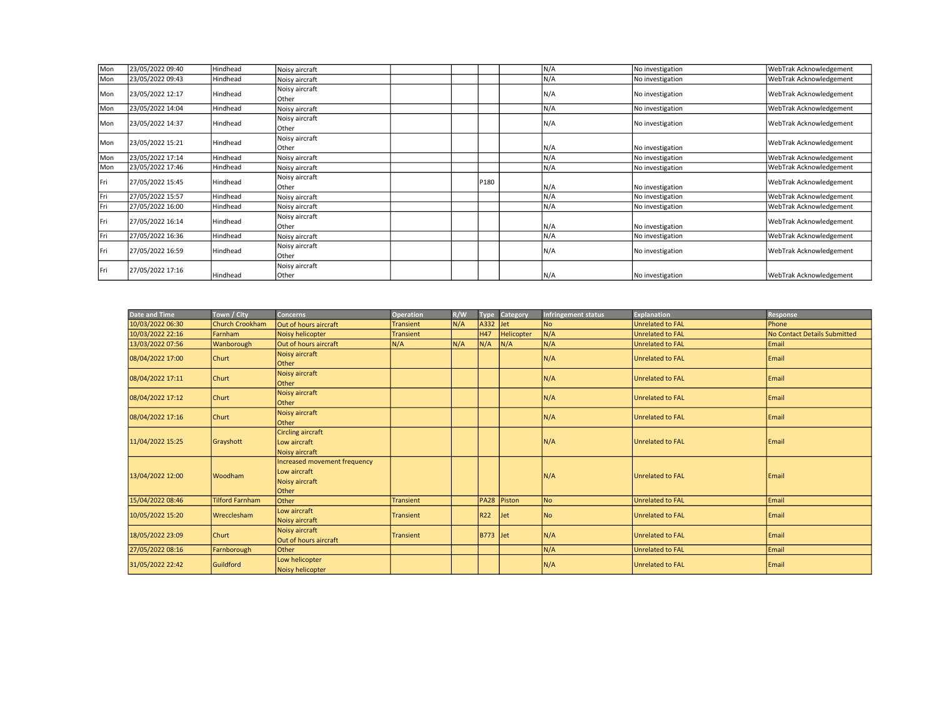| <b>I</b> Mon | 23/05/2022 09:40 | Hindhead | Noisy aircraft          |      | N/A | No investigation | WebTrak Acknowledgement |
|--------------|------------------|----------|-------------------------|------|-----|------------------|-------------------------|
| l Mon        | 23/05/2022 09:43 | Hindhead | Noisy aircraft          |      | N/A | No investigation | WebTrak Acknowledgement |
| l Mon        | 23/05/2022 12:17 | Hindhead | Noisy aircraft<br>Other |      | N/A | No investigation | WebTrak Acknowledgement |
| l Mon        | 23/05/2022 14:04 | Hindhead | Noisy aircraft          |      | N/A | No investigation | WebTrak Acknowledgement |
| <b>I</b> Mon | 23/05/2022 14:37 | Hindhead | Noisy aircraft<br>Other |      | N/A | No investigation | WebTrak Acknowledgement |
| l Mon        | 23/05/2022 15:21 | Hindhead | Noisy aircraft<br>Other |      | N/A | No investigation | WebTrak Acknowledgement |
| Mon          | 23/05/2022 17:14 | Hindhead | Noisy aircraft          |      | N/A | No investigation | WebTrak Acknowledgement |
| Mon          | 23/05/2022 17:46 | Hindhead | Noisy aircraft          |      | N/A | No investigation | WebTrak Acknowledgement |
| Fri          | 27/05/2022 15:45 | Hindhead | Noisy aircraft<br>Other | P180 | N/A | No investigation | WebTrak Acknowledgement |
| Fri          | 27/05/2022 15:57 | Hindhead | Noisy aircraft          |      | N/A | No investigation | WebTrak Acknowledgement |
| Fri          | 27/05/2022 16:00 | Hindhead | Noisy aircraft          |      | N/A | No investigation | WebTrak Acknowledgement |
| Fri          | 27/05/2022 16:14 | Hindhead | Noisy aircraft<br>Other |      | N/A | No investigation | WebTrak Acknowledgement |
| Fri          | 27/05/2022 16:36 | Hindhead | Noisy aircraft          |      | N/A | No investigation | WebTrak Acknowledgement |
| Fri          | 27/05/2022 16:59 | Hindhead | Noisy aircraft<br>Other |      | N/A | No investigation | WebTrak Acknowledgement |
| Fri          | 27/05/2022 17:16 | Hindhead | Noisy aircraft<br>Other |      | N/A | No investigation | WebTrak Acknowledgement |

| <b>Date and Time</b> | Town / City            | <b>Concerns</b>                                                         | <b>Operation</b> | R/W | <b>Type</b>     | Category   | <b>Infringement status</b> | <b>Explanation</b>      | <b>Response</b>                     |
|----------------------|------------------------|-------------------------------------------------------------------------|------------------|-----|-----------------|------------|----------------------------|-------------------------|-------------------------------------|
| 10/03/2022 06:30     | <b>Church Crookham</b> | Out of hours aircraft                                                   | <b>Transient</b> | N/A | A332            | <b>Jet</b> | <b>No</b>                  | <b>Unrelated to FAL</b> | Phone                               |
| 10/03/2022 22:16     | Farnham                | Noisy helicopter                                                        | <b>Transient</b> |     | <b>H47</b>      | Helicopter | N/A                        | <b>Unrelated to FAL</b> | <b>No Contact Details Submitted</b> |
| 13/03/2022 07:56     | Wanborough             | Out of hours aircraft                                                   | N/A              | N/A | N/A             | N/A        | N/A                        | <b>Unrelated to FAL</b> | Email                               |
| 08/04/2022 17:00     | <b>Churt</b>           | Noisy aircraft<br><b>Other</b>                                          |                  |     |                 |            | N/A                        | <b>Unrelated to FAL</b> | Email                               |
| 08/04/2022 17:11     | <b>Churt</b>           | Noisy aircraft<br>Other                                                 |                  |     |                 |            | N/A                        | <b>Unrelated to FAL</b> | Email                               |
| 08/04/2022 17:12     | <b>Churt</b>           | Noisy aircraft<br>Other                                                 |                  |     |                 |            | N/A                        | <b>Unrelated to FAL</b> | Email                               |
| 08/04/2022 17:16     | <b>Churt</b>           | Noisy aircraft<br>Other                                                 |                  |     |                 |            | N/A                        | <b>Unrelated to FAL</b> | Email                               |
| 11/04/2022 15:25     | Grayshott              | <b>Circling aircraft</b><br>Low aircraft<br>Noisy aircraft              |                  |     |                 |            | N/A                        | <b>Unrelated to FAL</b> | Email                               |
| 13/04/2022 12:00     | <b>Woodham</b>         | Increased movement frequency<br>Low aircraft<br>Noisy aircraft<br>Other |                  |     |                 |            | N/A                        | <b>Unrelated to FAL</b> | Email                               |
| 15/04/2022 08:46     | <b>Tilford Farnham</b> | <b>Other</b>                                                            | <b>Transient</b> |     | PA28 Piston     |            | No                         | <b>Unrelated to FAL</b> | Email                               |
| 10/05/2022 15:20     | Wrecclesham            | Low aircraft<br>Noisy aircraft                                          | <b>Transient</b> |     | R22             | <b>Jet</b> | No                         | <b>Unrelated to FAL</b> | Email                               |
| 18/05/2022 23:09     | Churt                  | Noisy aircraft<br>Out of hours aircraft                                 | <b>Transient</b> |     | <b>B773</b> Jet |            | N/A                        | <b>Unrelated to FAL</b> | Email                               |
| 27/05/2022 08:16     | Farnborough            | Other                                                                   |                  |     |                 |            | N/A                        | <b>Unrelated to FAL</b> | Email                               |
| 31/05/2022 22:42     | Guildford              | Low helicopter<br>Noisy helicopter                                      |                  |     |                 |            | N/A                        | <b>Unrelated to FAL</b> | Email                               |